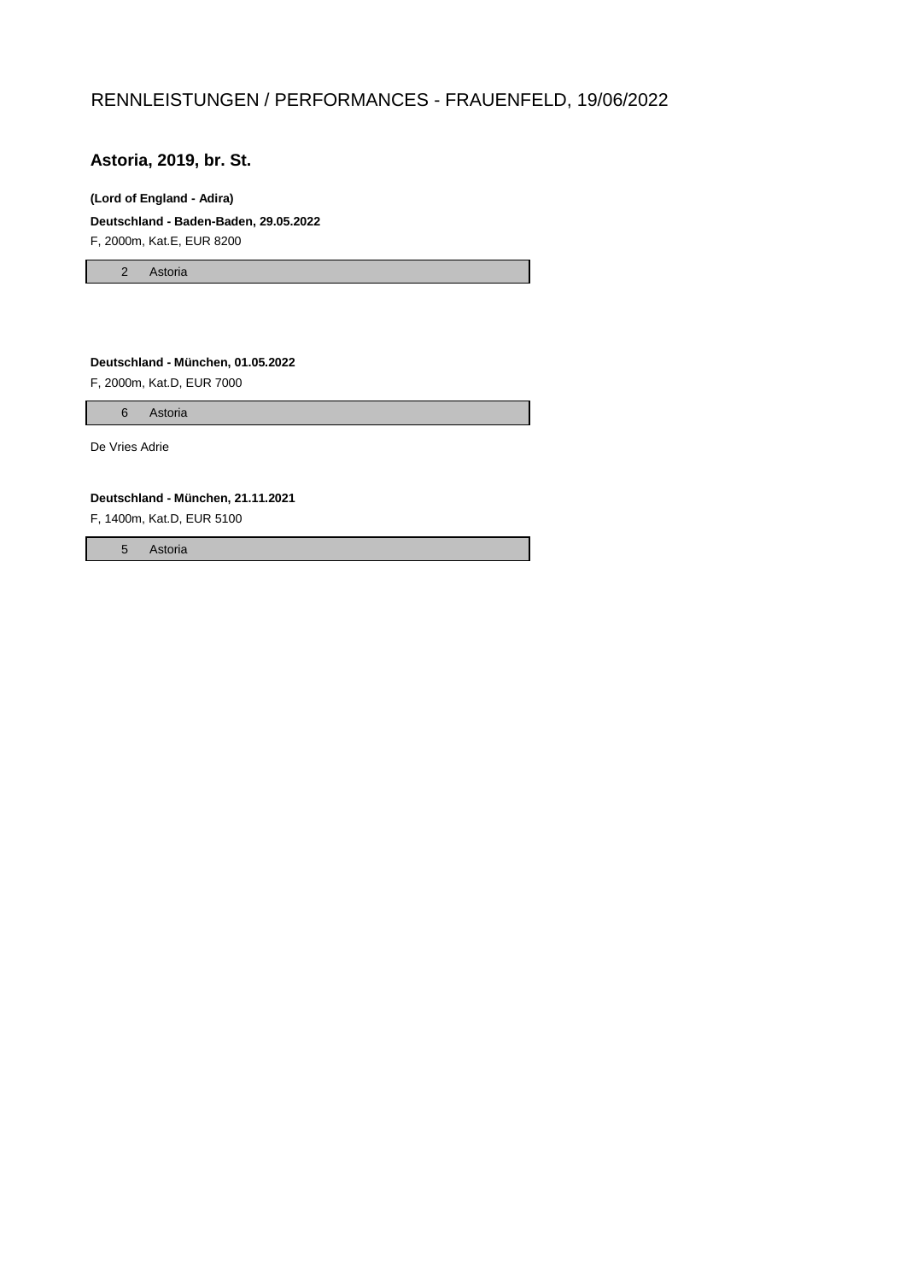## RENNLEISTUNGEN / PERFORMANCES - FRAUENFELD, 19/06/2022

## **Astoria, 2019, br. St.**

#### **(Lord of England - Adira)**

**Deutschland - Baden-Baden, 29.05.2022** F, 2000m, Kat.E, EUR 8200

2 Astoria

**Deutschland - München, 01.05.2022** F, 2000m, Kat.D, EUR 7000

6 Astoria

De Vries Adrie

**Deutschland - München, 21.11.2021**

F, 1400m, Kat.D, EUR 5100

5 Astoria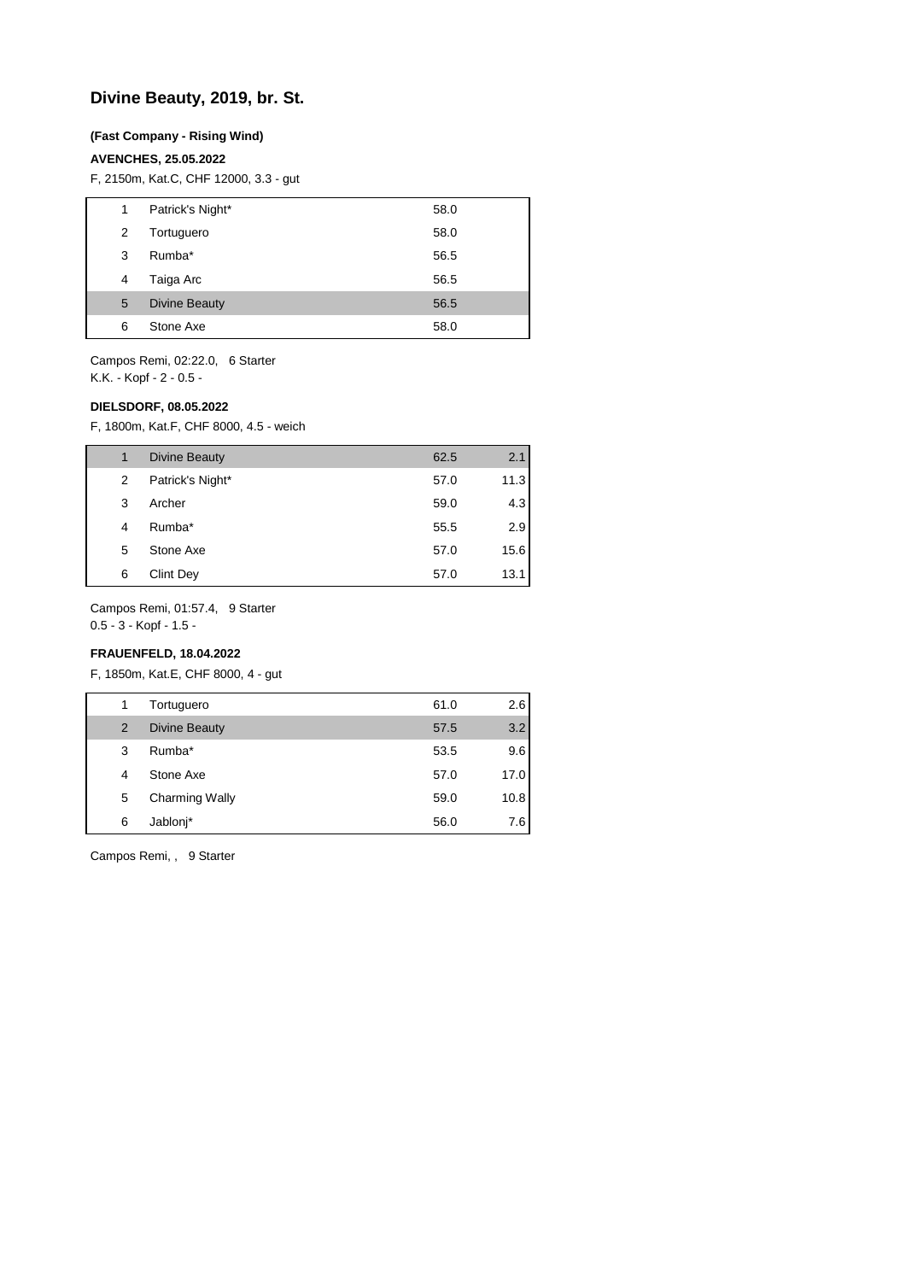## **Divine Beauty, 2019, br. St.**

#### **(Fast Company - Rising Wind)**

#### **AVENCHES, 25.05.2022**

F, 2150m, Kat.C, CHF 12000, 3.3 - gut

| 1 | Patrick's Night*     | 58.0 |
|---|----------------------|------|
| 2 | Tortuguero           | 58.0 |
| 3 | Rumba*               | 56.5 |
| 4 | Taiga Arc            | 56.5 |
| 5 | <b>Divine Beauty</b> | 56.5 |
| 6 | Stone Axe            | 58.0 |

Campos Remi, 02:22.0, 6 Starter K.K. - Kopf - 2 - 0.5 -

#### **DIELSDORF, 08.05.2022**

F, 1800m, Kat.F, CHF 8000, 4.5 - weich

| 1 | Divine Beauty    | 62.5 | 2.1  |
|---|------------------|------|------|
| 2 | Patrick's Night* | 57.0 | 11.3 |
| 3 | Archer           | 59.0 | 4.3  |
| 4 | Rumba*           | 55.5 | 2.9  |
| 5 | Stone Axe        | 57.0 | 15.6 |
| 6 | Clint Dev        | 57.0 | 13.1 |

Campos Remi, 01:57.4, 9 Starter

0.5 - 3 - Kopf - 1.5 -

## **FRAUENFELD, 18.04.2022**

F, 1850m, Kat.E, CHF 8000, 4 - gut

| 1 | Tortuguero            | 61.0 | 2.6  |
|---|-----------------------|------|------|
| 2 | <b>Divine Beauty</b>  | 57.5 | 3.2  |
| 3 | Rumba*                | 53.5 | 9.6  |
| 4 | Stone Axe             | 57.0 | 17.0 |
| 5 | <b>Charming Wally</b> | 59.0 | 10.8 |
| 6 | Jablonj*              | 56.0 | 7.6  |

Campos Remi, , 9 Starter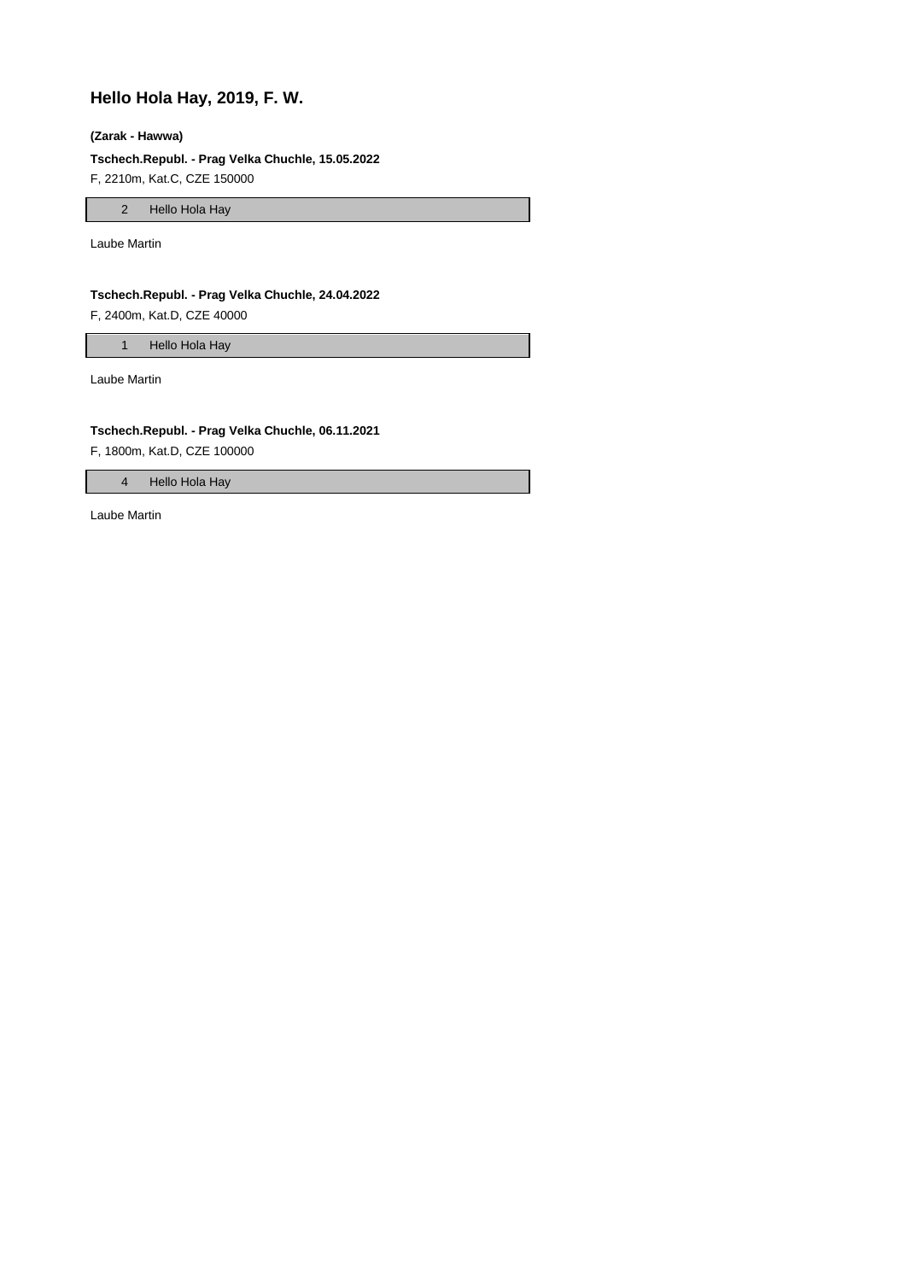## **Hello Hola Hay, 2019, F. W.**

#### **(Zarak - Hawwa)**

**Tschech.Republ. - Prag Velka Chuchle, 15.05.2022**

F, 2210m, Kat.C, CZE 150000

2 Hello Hola Hay

Laube Martin

## **Tschech.Republ. - Prag Velka Chuchle, 24.04.2022**

F, 2400m, Kat.D, CZE 40000

1 Hello Hola Hay

Laube Martin

#### **Tschech.Republ. - Prag Velka Chuchle, 06.11.2021**

F, 1800m, Kat.D, CZE 100000

4 Hello Hola Hay

Laube Martin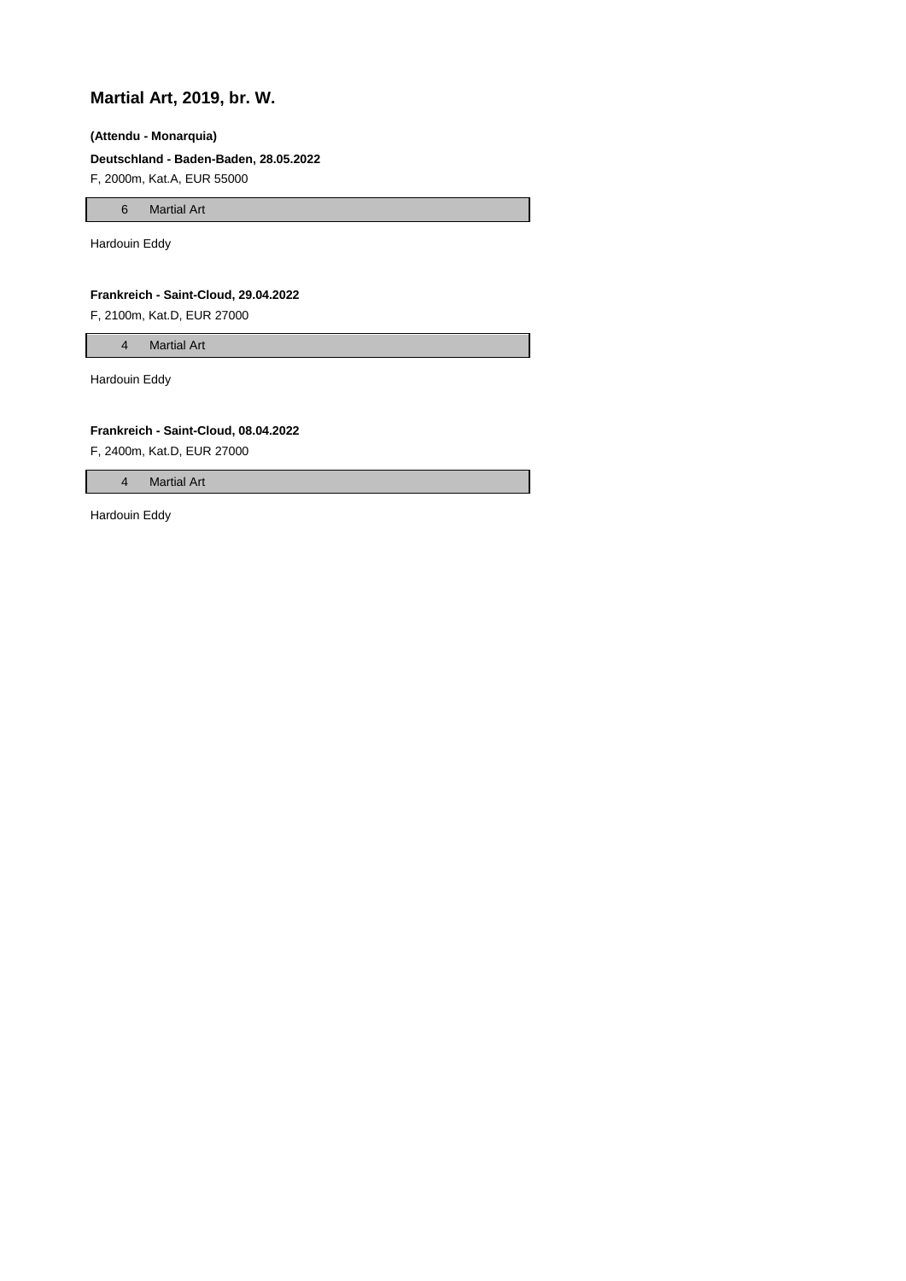## **Martial Art, 2019, br. W.**

#### **(Attendu - Monarquia)**

## **Deutschland - Baden-Baden, 28.05.2022**

F, 2000m, Kat.A, EUR 55000

6 Martial Art

Hardouin Eddy

#### **Frankreich - Saint-Cloud, 29.04.2022**

F, 2100m, Kat.D, EUR 27000

4 Martial Art

Hardouin Eddy

#### **Frankreich - Saint-Cloud, 08.04.2022**

F, 2400m, Kat.D, EUR 27000

4 Martial Art

Hardouin Eddy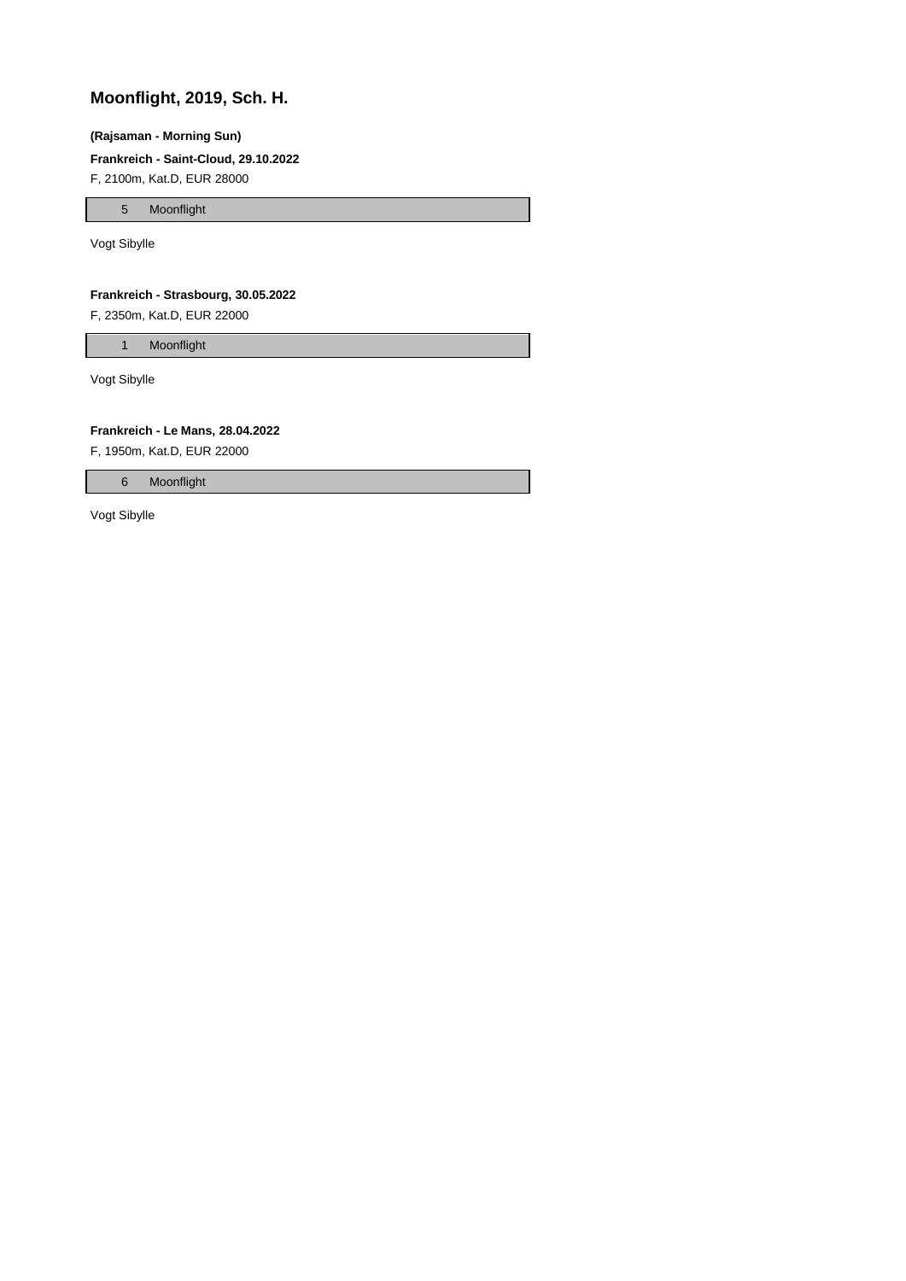## **Moonflight, 2019, Sch. H.**

#### **(Rajsaman - Morning Sun)**

#### **Frankreich - Saint-Cloud, 29.10.2022**

F, 2100m, Kat.D, EUR 28000

5 Moonflight

Vogt Sibylle

### **Frankreich - Strasbourg, 30.05.2022**

F, 2350m, Kat.D, EUR 22000

1 Moonflight

Vogt Sibylle

#### **Frankreich - Le Mans, 28.04.2022**

F, 1950m, Kat.D, EUR 22000

6 Moonflight

Vogt Sibylle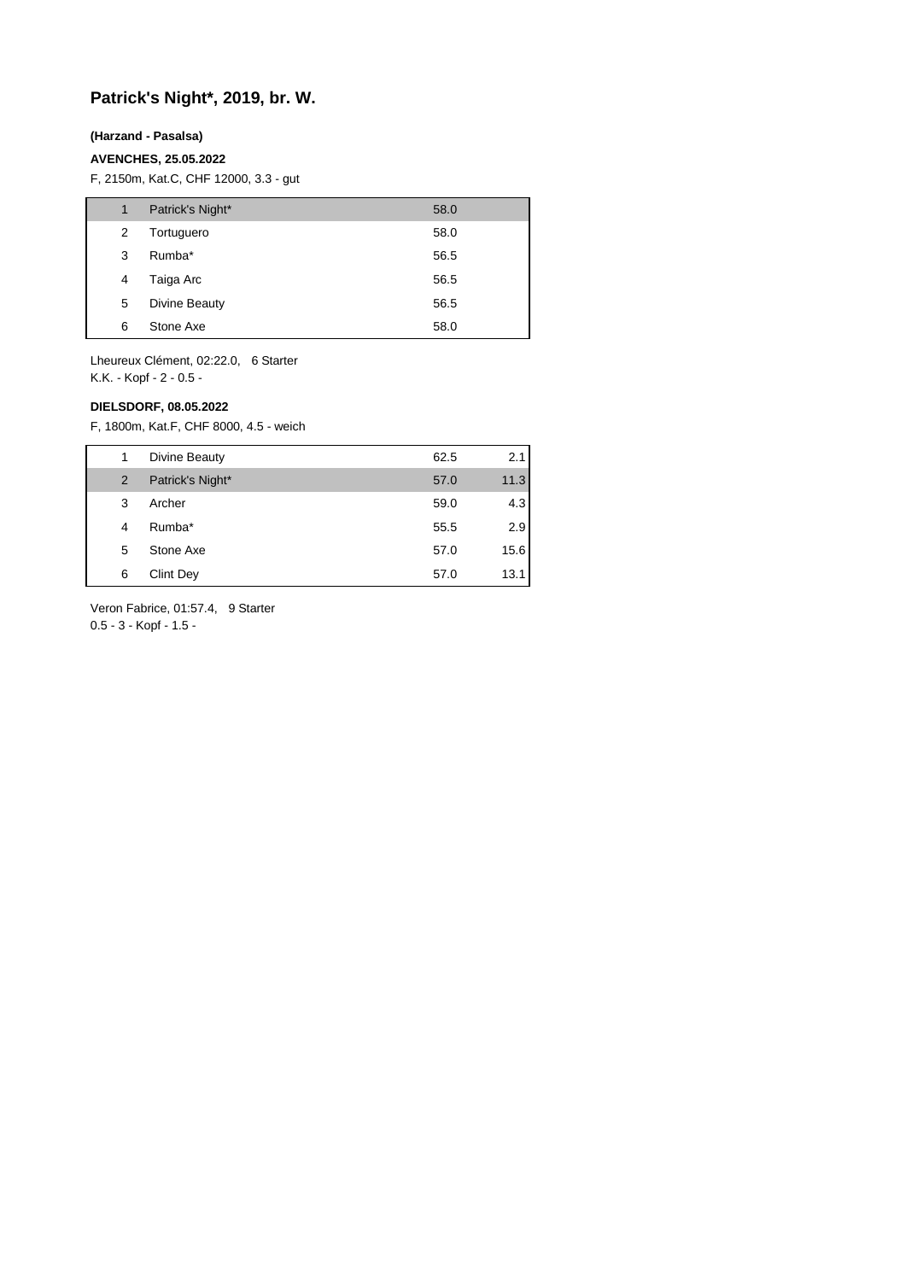## **Patrick's Night\*, 2019, br. W.**

### **(Harzand - Pasalsa)**

#### **AVENCHES, 25.05.2022**

F, 2150m, Kat.C, CHF 12000, 3.3 - gut

| 1 | Patrick's Night* | 58.0 |
|---|------------------|------|
| 2 | Tortuguero       | 58.0 |
| 3 | Rumba*           | 56.5 |
| 4 | Taiga Arc        | 56.5 |
| 5 | Divine Beauty    | 56.5 |
| 6 | Stone Axe        | 58.0 |

Lheureux Clément, 02:22.0, 6 Starter K.K. - Kopf - 2 - 0.5 -

#### **DIELSDORF, 08.05.2022**

F, 1800m, Kat.F, CHF 8000, 4.5 - weich

| 1 | Divine Beauty    | 62.5 | 2.1  |
|---|------------------|------|------|
| 2 | Patrick's Night* | 57.0 | 11.3 |
| 3 | Archer           | 59.0 | 4.3  |
| 4 | Rumba*           | 55.5 | 2.9  |
| 5 | Stone Axe        | 57.0 | 15.6 |
| 6 | Clint Dey        | 57.0 | 13.1 |

Veron Fabrice, 01:57.4, 9 Starter

0.5 - 3 - Kopf - 1.5 -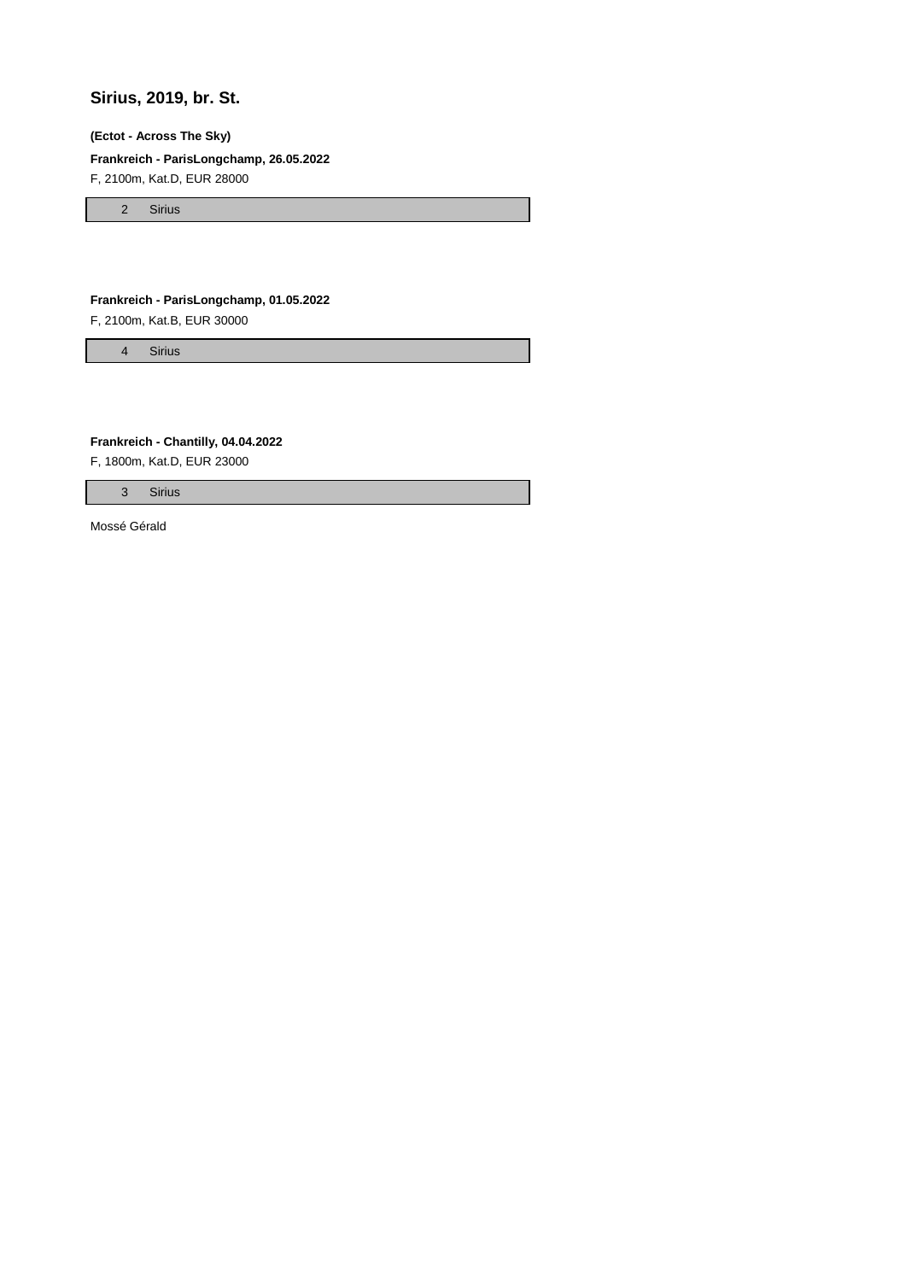## **Sirius, 2019, br. St.**

#### **(Ectot - Across The Sky)**

### **Frankreich - ParisLongchamp, 26.05.2022**

F, 2100m, Kat.D, EUR 28000

2 Sirius

### **Frankreich - ParisLongchamp, 01.05.2022**

F, 2100m, Kat.B, EUR 30000

4 Sirius

**Frankreich - Chantilly, 04.04.2022**

F, 1800m, Kat.D, EUR 23000

3 Sirius

Mossé Gérald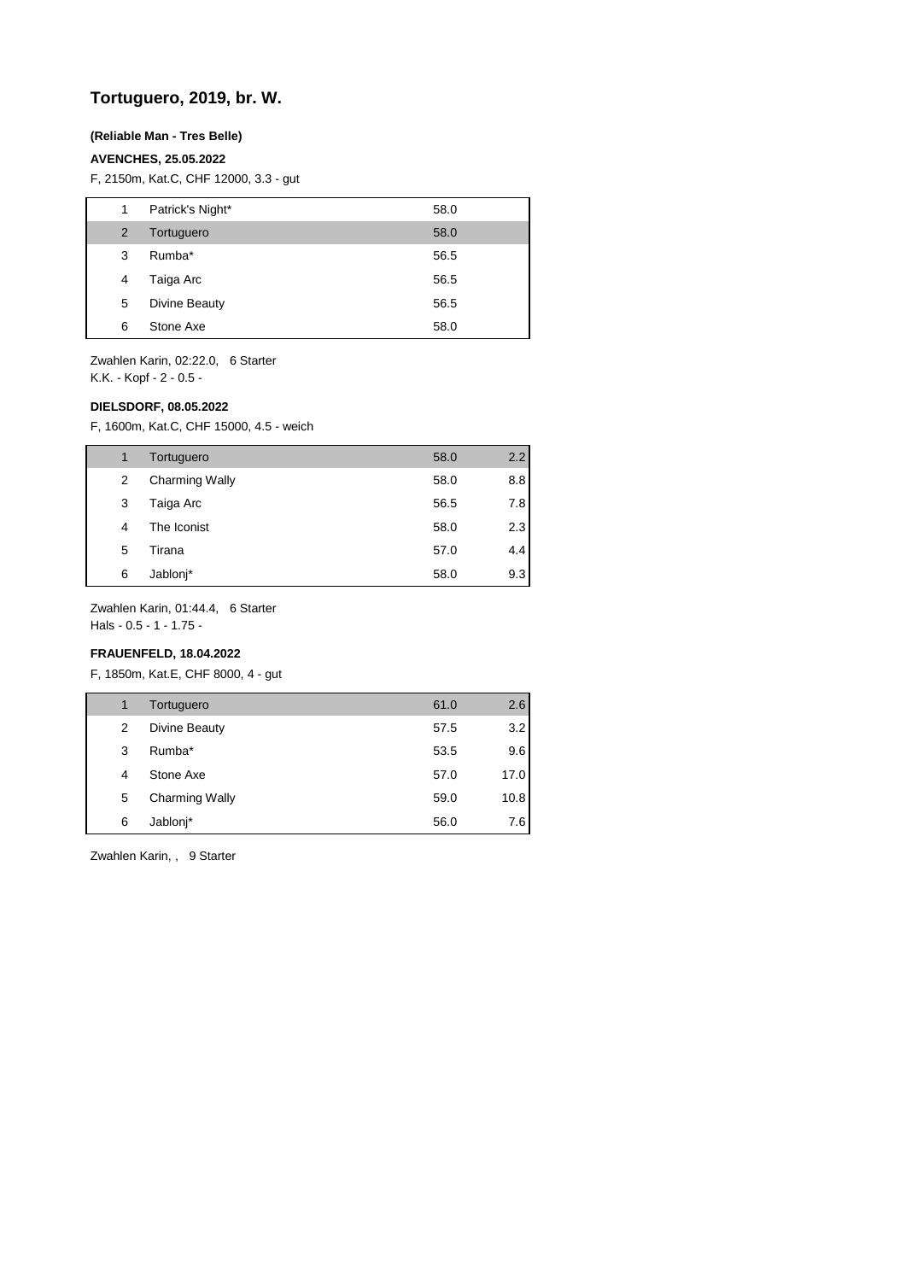## **Tortuguero, 2019, br. W.**

#### **(Reliable Man - Tres Belle)**

#### **AVENCHES, 25.05.2022**

F, 2150m, Kat.C, CHF 12000, 3.3 - gut

| 1 | Patrick's Night* | 58.0 |
|---|------------------|------|
| 2 | Tortuguero       | 58.0 |
| 3 | Rumba*           | 56.5 |
| 4 | Taiga Arc        | 56.5 |
| 5 | Divine Beauty    | 56.5 |
| 6 | Stone Axe        | 58.0 |

Zwahlen Karin, 02:22.0, 6 Starter K.K. - Kopf - 2 - 0.5 -

#### **DIELSDORF, 08.05.2022**

F, 1600m, Kat.C, CHF 15000, 4.5 - weich

| 1 | Tortuguero            | 58.0 | 2.2 |
|---|-----------------------|------|-----|
| 2 | <b>Charming Wally</b> | 58.0 | 8.8 |
| 3 | Taiga Arc             | 56.5 | 7.8 |
| 4 | The Iconist           | 58.0 | 2.3 |
| 5 | Tirana                | 57.0 | 4.4 |
| 6 | Jablonj*              | 58.0 | 9.3 |

Zwahlen Karin, 01:44.4, 6 Starter

Hals - 0.5 - 1 - 1.75 -

## **FRAUENFELD, 18.04.2022**

F, 1850m, Kat.E, CHF 8000, 4 - gut

| 1 | Tortuguero            | 61.0 | 2.6  |
|---|-----------------------|------|------|
| 2 | Divine Beauty         | 57.5 | 3.2  |
| 3 | Rumba*                | 53.5 | 9.6  |
| 4 | Stone Axe             | 57.0 | 17.0 |
| 5 | <b>Charming Wally</b> | 59.0 | 10.8 |
| 6 | Jablonj*              | 56.0 | 7.6  |

Zwahlen Karin, , 9 Starter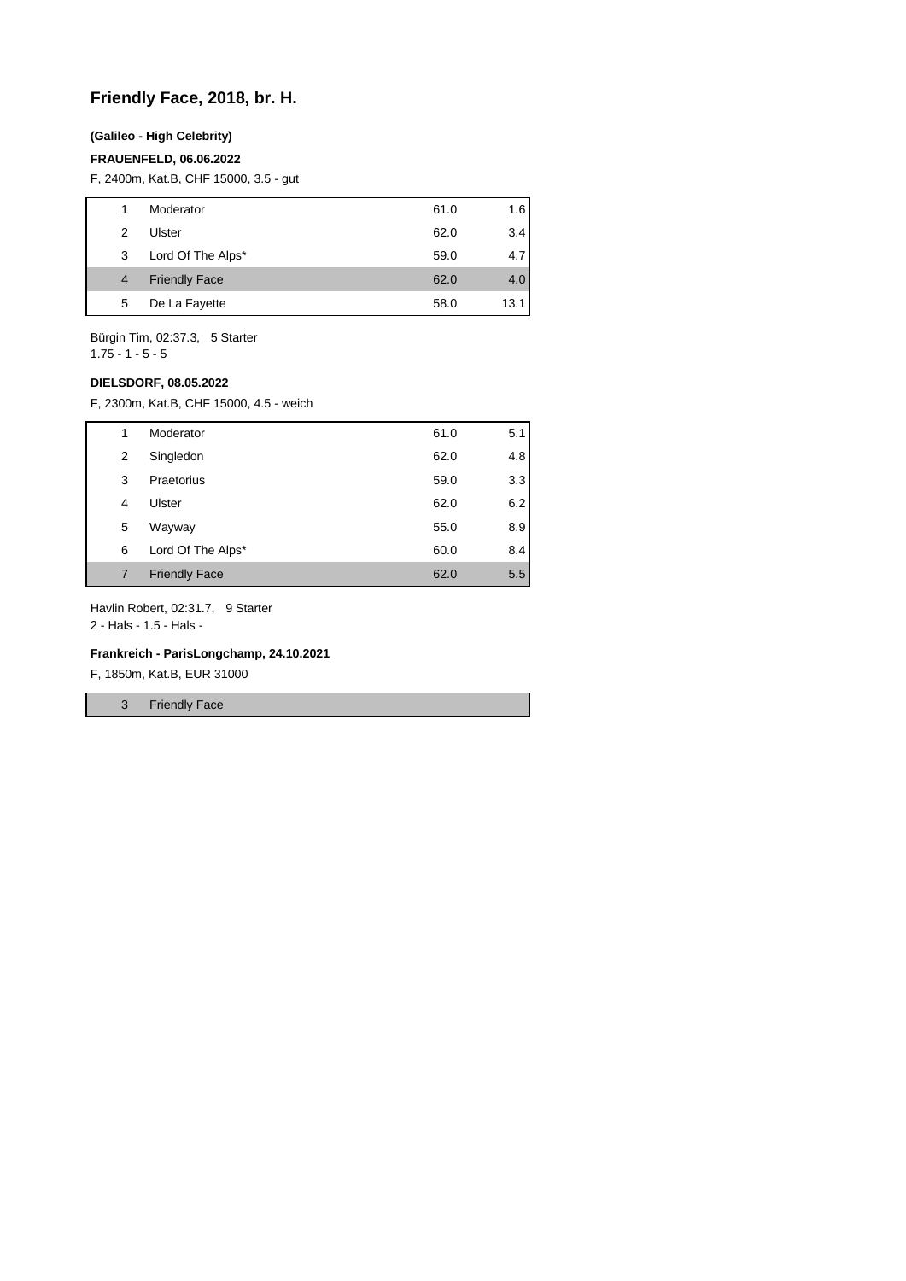## **Friendly Face, 2018, br. H.**

### **(Galileo - High Celebrity)**

#### **FRAUENFELD, 06.06.2022**

F, 2400m, Kat.B, CHF 15000, 3.5 - gut

| 1 | Moderator            | 61.0 | 1.6  |
|---|----------------------|------|------|
| 2 | Ulster               | 62.0 | 3.4  |
| 3 | Lord Of The Alps*    | 59.0 | 4.7  |
| 4 | <b>Friendly Face</b> | 62.0 | 4.0  |
| 5 | De La Fayette        | 58.0 | 13.1 |
|   |                      |      |      |

Bürgin Tim, 02:37.3, 5 Starter 1.75 - 1 - 5 - 5

#### **DIELSDORF, 08.05.2022**

F, 2300m, Kat.B, CHF 15000, 4.5 - weich

| 1 | Moderator            | 61.0 | 5.1 |
|---|----------------------|------|-----|
| 2 | Singledon            | 62.0 | 4.8 |
| 3 | Praetorius           | 59.0 | 3.3 |
| 4 | Ulster               | 62.0 | 6.2 |
| 5 | Wayway               | 55.0 | 8.9 |
| 6 | Lord Of The Alps*    | 60.0 | 8.4 |
| 7 | <b>Friendly Face</b> | 62.0 | 5.5 |

Havlin Robert, 02:31.7, 9 Starter

2 - Hals - 1.5 - Hals -

#### **Frankreich - ParisLongchamp, 24.10.2021**

F, 1850m, Kat.B, EUR 31000

3 Friendly Face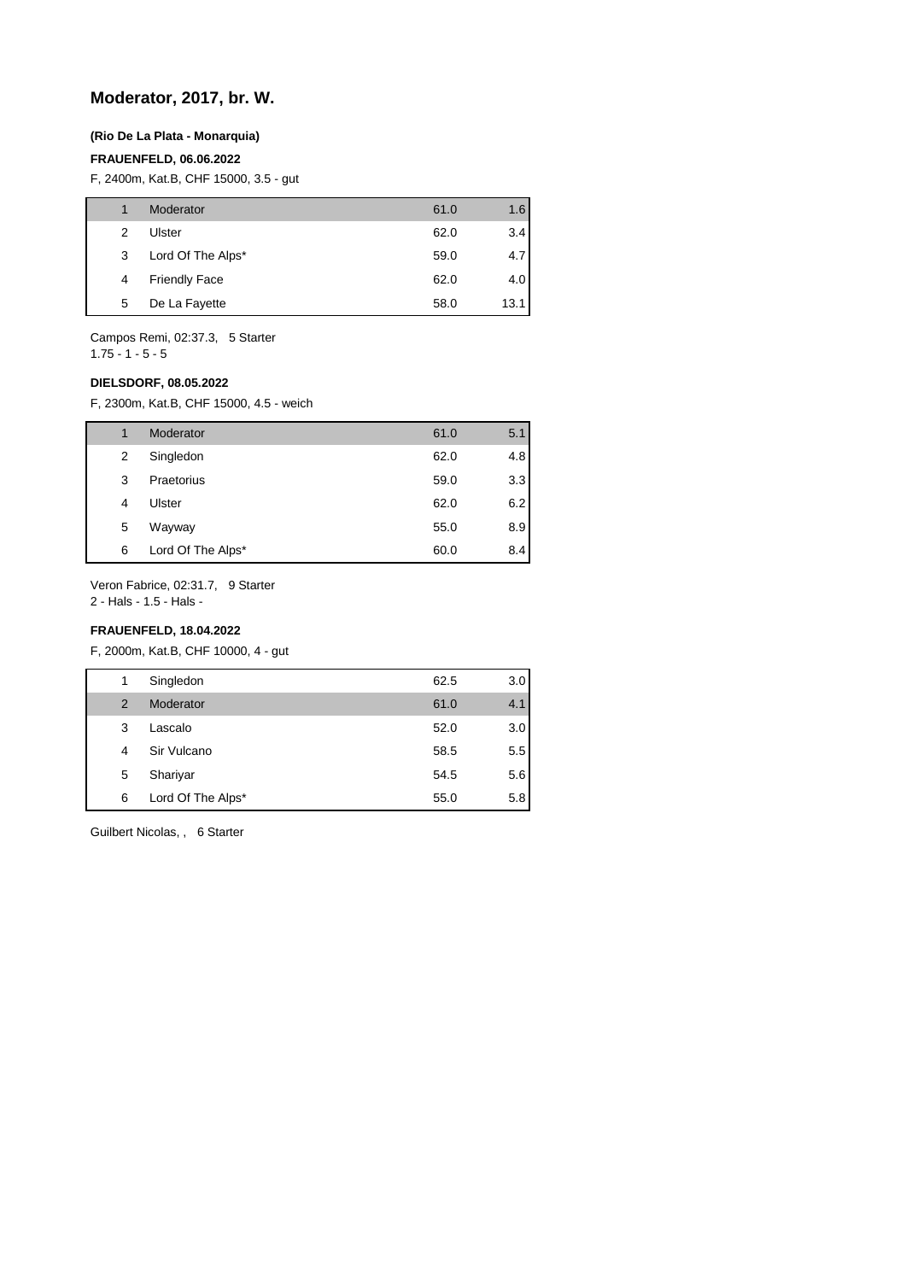## **Moderator, 2017, br. W.**

#### **(Rio De La Plata - Monarquia)**

#### **FRAUENFELD, 06.06.2022**

F, 2400m, Kat.B, CHF 15000, 3.5 - gut

|   | Moderator            | 61.0 | 1.6  |
|---|----------------------|------|------|
| 2 | Ulster               | 62.0 | 3.4  |
| 3 | Lord Of The Alps*    | 59.0 | 4.7  |
| 4 | <b>Friendly Face</b> | 62.0 | 4.0  |
| 5 | De La Fayette        | 58.0 | 13.1 |
|   |                      |      |      |

Campos Remi, 02:37.3, 5 Starter

1.75 - 1 - 5 - 5

### **DIELSDORF, 08.05.2022**

F, 2300m, Kat.B, CHF 15000, 4.5 - weich

| 1 | Moderator         | 61.0 | 5.1 |
|---|-------------------|------|-----|
| 2 | Singledon         | 62.0 | 4.8 |
| 3 | Praetorius        | 59.0 | 3.3 |
| 4 | Ulster            | 62.0 | 6.2 |
| 5 | Wayway            | 55.0 | 8.9 |
| 6 | Lord Of The Alps* | 60.0 | 8.4 |

Veron Fabrice, 02:31.7, 9 Starter

2 - Hals - 1.5 - Hals -

## **FRAUENFELD, 18.04.2022**

F, 2000m, Kat.B, CHF 10000, 4 - gut

| Singledon<br>62.5<br>1<br>61.0<br>2<br>Moderator<br>Lascalo<br>52.0<br>3 |   |             |      |     |
|--------------------------------------------------------------------------|---|-------------|------|-----|
|                                                                          |   |             |      | 3.0 |
|                                                                          |   |             |      | 4.1 |
|                                                                          |   |             |      | 3.0 |
|                                                                          | 4 | Sir Vulcano | 58.5 | 5.5 |
| 5<br>Shariyar<br>54.5                                                    |   |             |      | 5.6 |
| Lord Of The Alps*<br>6<br>55.0                                           |   |             |      | 5.8 |

Guilbert Nicolas, , 6 Starter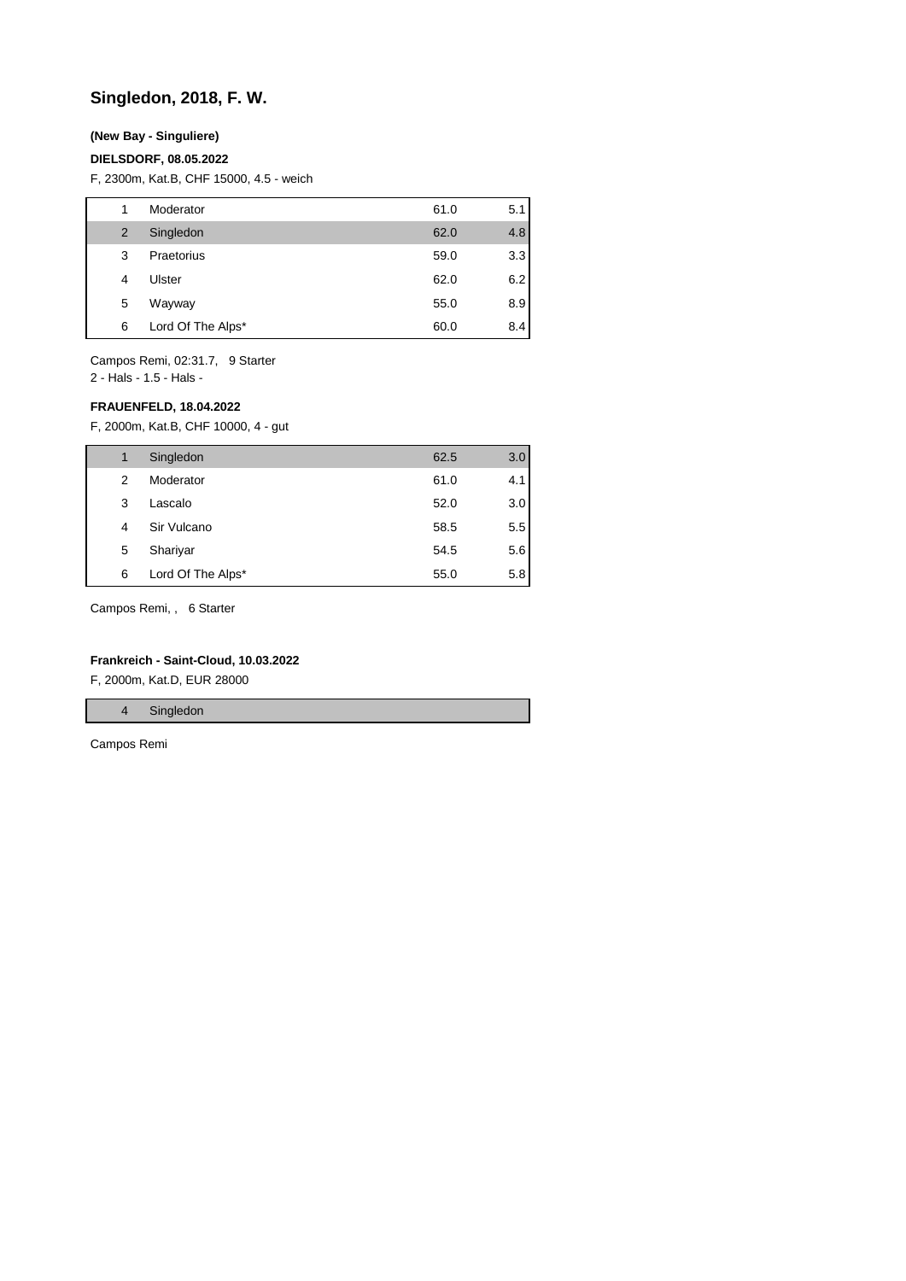## **Singledon, 2018, F. W.**

### **(New Bay - Singuliere)**

#### **DIELSDORF, 08.05.2022**

F, 2300m, Kat.B, CHF 15000, 4.5 - weich

| 1              | Moderator         | 61.0 | 5.1 |
|----------------|-------------------|------|-----|
| $\overline{2}$ | Singledon         | 62.0 | 4.8 |
| 3              | Praetorius        | 59.0 | 3.3 |
| 4              | Ulster            | 62.0 | 6.2 |
| 5              | Wayway            | 55.0 | 8.9 |
| 6              | Lord Of The Alps* | 60.0 | 8.4 |

Campos Remi, 02:31.7, 9 Starter

2 - Hals - 1.5 - Hals -

### **FRAUENFELD, 18.04.2022**

F, 2000m, Kat.B, CHF 10000, 4 - gut

| 1 | Singledon         | 62.5 | 3.0 |
|---|-------------------|------|-----|
| 2 | Moderator         | 61.0 | 4.1 |
| 3 | Lascalo           | 52.0 | 3.0 |
| 4 | Sir Vulcano       | 58.5 | 5.5 |
| 5 | Shariyar          | 54.5 | 5.6 |
| 6 | Lord Of The Alps* | 55.0 | 5.8 |

Campos Remi, , 6 Starter

#### **Frankreich - Saint-Cloud, 10.03.2022**

F, 2000m, Kat.D, EUR 28000

4 Singledon

Campos Remi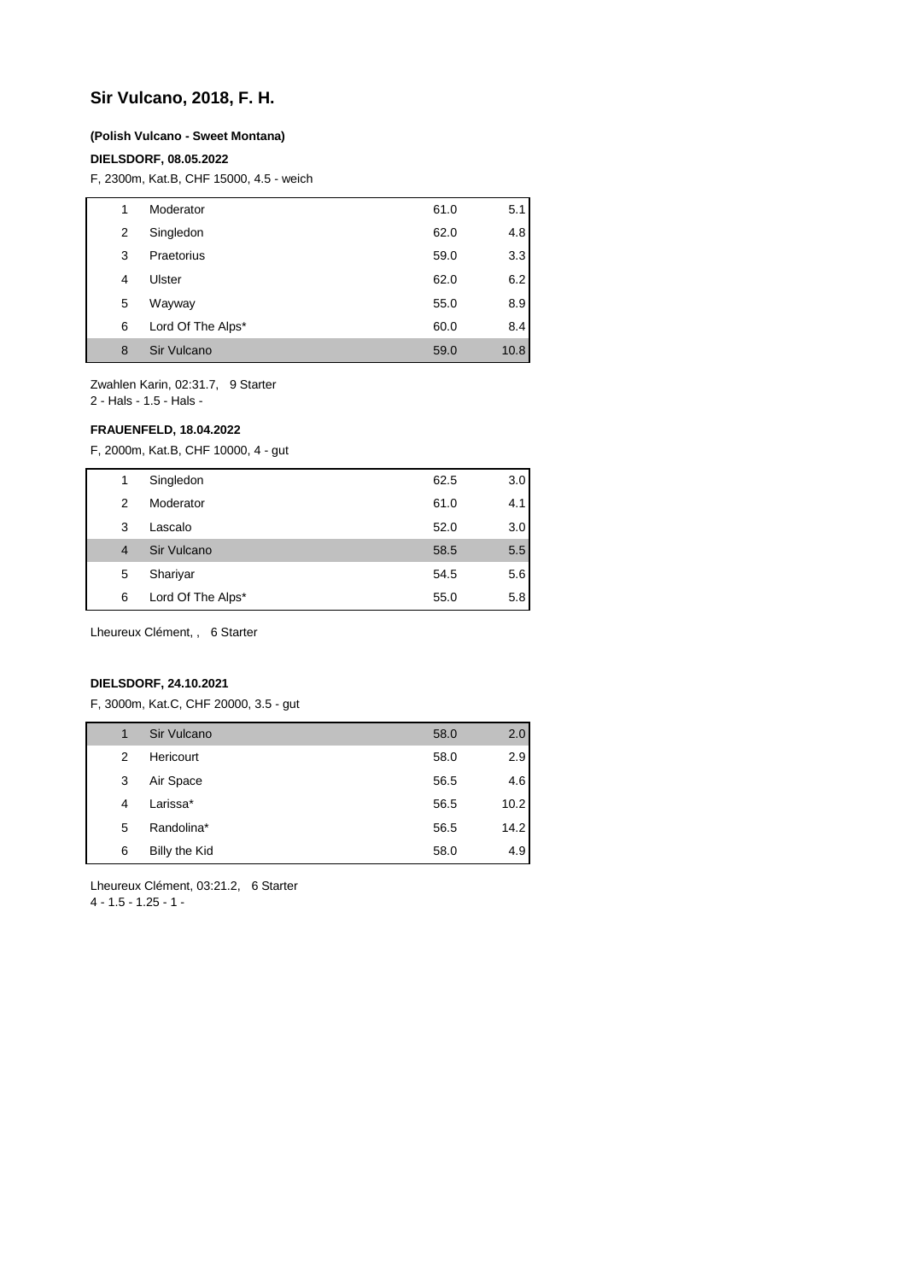## **Sir Vulcano, 2018, F. H.**

#### **(Polish Vulcano - Sweet Montana)**

#### **DIELSDORF, 08.05.2022**

F, 2300m, Kat.B, CHF 15000, 4.5 - weich

| 1 | Moderator         | 61.0 | 5.1  |
|---|-------------------|------|------|
| 2 | Singledon         | 62.0 | 4.8  |
| 3 | Praetorius        | 59.0 | 3.3  |
| 4 | Ulster            | 62.0 | 6.2  |
| 5 | Wayway            | 55.0 | 8.9  |
| 6 | Lord Of The Alps* | 60.0 | 8.4  |
| 8 | Sir Vulcano       | 59.0 | 10.8 |

Zwahlen Karin, 02:31.7, 9 Starter

2 - Hals - 1.5 - Hals -

#### **FRAUENFELD, 18.04.2022**

F, 2000m, Kat.B, CHF 10000, 4 - gut

| 1              | Singledon         | 62.5 | 3.0 |
|----------------|-------------------|------|-----|
| 2              | Moderator         | 61.0 | 4.1 |
| 3              | Lascalo           | 52.0 | 3.0 |
| $\overline{4}$ | Sir Vulcano       | 58.5 | 5.5 |
| 5              | Shariyar          | 54.5 | 5.6 |
| 6              | Lord Of The Alps* | 55.0 | 5.8 |
|                |                   |      |     |

Lheureux Clément, , 6 Starter

#### **DIELSDORF, 24.10.2021**

F, 3000m, Kat.C, CHF 20000, 3.5 - gut

| 1 | Sir Vulcano   | 58.0 | 2.0  |
|---|---------------|------|------|
| 2 | Hericourt     | 58.0 | 2.9  |
| 3 | Air Space     | 56.5 | 4.6  |
| 4 | Larissa*      | 56.5 | 10.2 |
| 5 | Randolina*    | 56.5 | 14.2 |
| 6 | Billy the Kid | 58.0 | 4.9  |
|   |               |      |      |

Lheureux Clément, 03:21.2, 6 Starter

4 - 1.5 - 1.25 - 1 -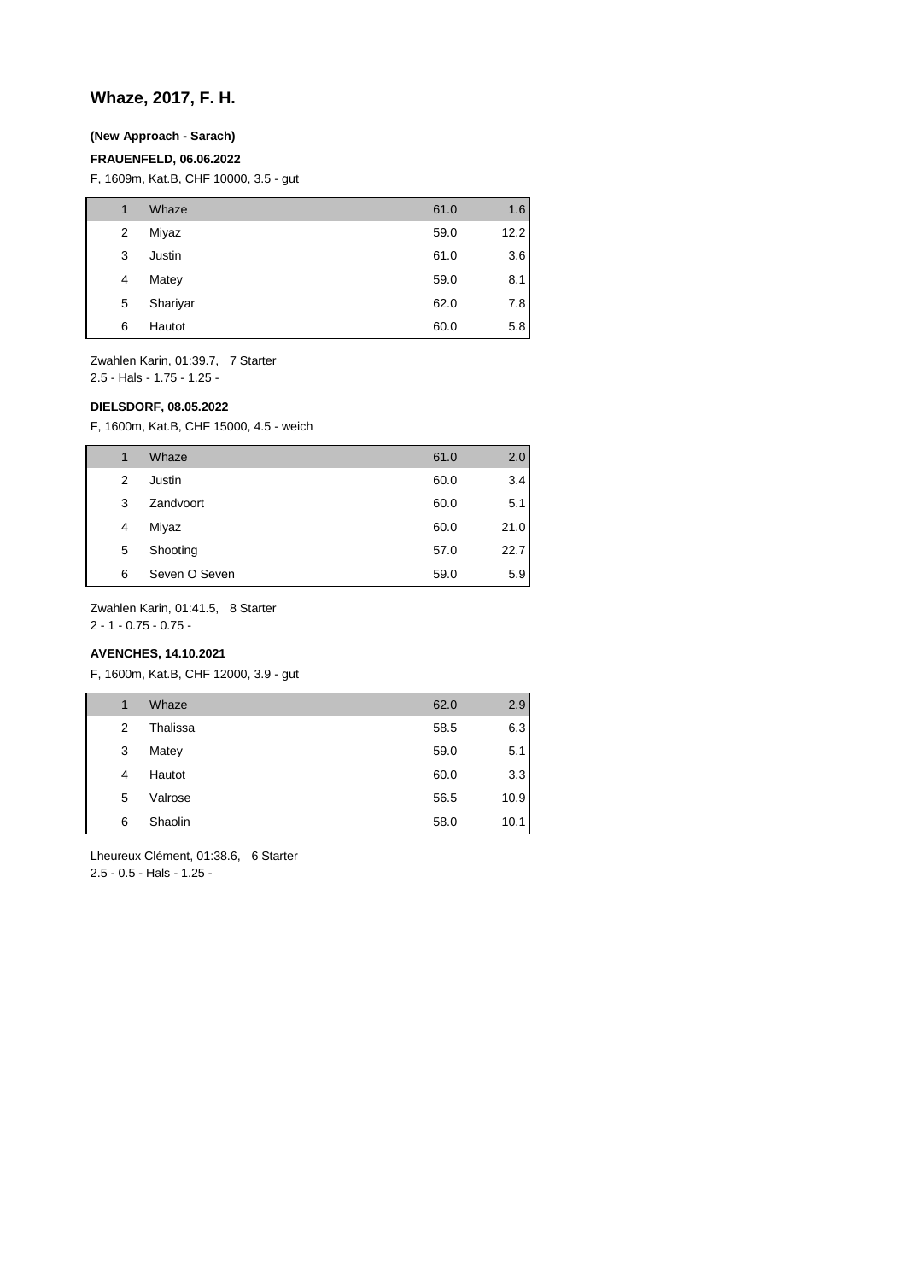## **Whaze, 2017, F. H.**

## **(New Approach - Sarach)**

### **FRAUENFELD, 06.06.2022**

F, 1609m, Kat.B, CHF 10000, 3.5 - gut

| 1              | Whaze    | 61.0 | 1.6  |
|----------------|----------|------|------|
| $\overline{2}$ | Miyaz    | 59.0 | 12.2 |
| 3              | Justin   | 61.0 | 3.6  |
| 4              | Matey    | 59.0 | 8.1  |
| 5              | Shariyar | 62.0 | 7.8  |
| 6              | Hautot   | 60.0 | 5.8  |

Zwahlen Karin, 01:39.7, 7 Starter 2.5 - Hals - 1.75 - 1.25 -

#### **DIELSDORF, 08.05.2022**

F, 1600m, Kat.B, CHF 15000, 4.5 - weich

| 1 | Whaze         | 61.0 | 2.0  |
|---|---------------|------|------|
| 2 | Justin        | 60.0 | 3.4  |
| 3 | Zandvoort     | 60.0 | 5.1  |
| 4 | Miyaz         | 60.0 | 21.0 |
| 5 | Shooting      | 57.0 | 22.7 |
| 6 | Seven O Seven | 59.0 | 5.9  |

Zwahlen Karin, 01:41.5, 8 Starter

2 - 1 - 0.75 - 0.75 -

## **AVENCHES, 14.10.2021**

F, 1600m, Kat.B, CHF 12000, 3.9 - gut

| 1 | Whaze    | 62.0 | 2.9  |
|---|----------|------|------|
| 2 | Thalissa | 58.5 | 6.3  |
| 3 | Matey    | 59.0 | 5.1  |
| 4 | Hautot   | 60.0 | 3.3  |
| 5 | Valrose  | 56.5 | 10.9 |
| 6 | Shaolin  | 58.0 | 10.1 |

Lheureux Clément, 01:38.6, 6 Starter 2.5 - 0.5 - Hals - 1.25 -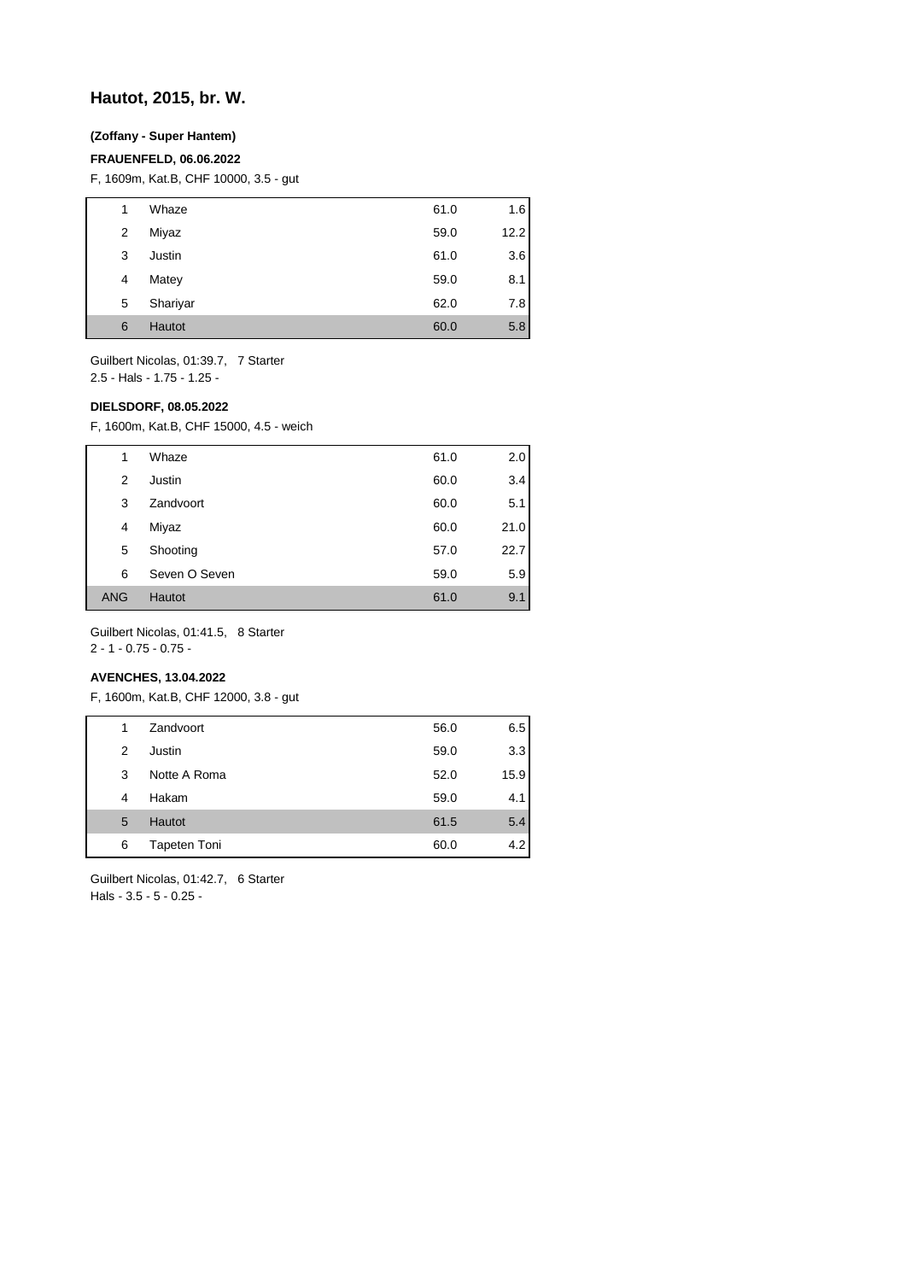## **Hautot, 2015, br. W.**

## **(Zoffany - Super Hantem)**

#### **FRAUENFELD, 06.06.2022**

F, 1609m, Kat.B, CHF 10000, 3.5 - gut

| 1 | Whaze         | 61.0 | 1.6  |
|---|---------------|------|------|
| 2 | Miyaz         | 59.0 | 12.2 |
| 3 | Justin        | 61.0 | 3.6  |
| 4 | Matey         | 59.0 | 8.1  |
| 5 | Shariyar      | 62.0 | 7.8  |
| 6 | <b>Hautot</b> | 60.0 | 5.8  |

Guilbert Nicolas, 01:39.7, 7 Starter 2.5 - Hals - 1.75 - 1.25 -

### **DIELSDORF, 08.05.2022**

F, 1600m, Kat.B, CHF 15000, 4.5 - weich

| 1          | Whaze         | 61.0 | 2.0  |
|------------|---------------|------|------|
| 2          | Justin        | 60.0 | 3.4  |
| 3          | Zandvoort     | 60.0 | 5.1  |
| 4          | Miyaz         | 60.0 | 21.0 |
| 5          | Shooting      | 57.0 | 22.7 |
| 6          | Seven O Seven | 59.0 | 5.9  |
| <b>ANG</b> | Hautot        | 61.0 | 9.1  |

Guilbert Nicolas, 01:41.5, 8 Starter

2 - 1 - 0.75 - 0.75 -

### **AVENCHES, 13.04.2022**

F, 1600m, Kat.B, CHF 12000, 3.8 - gut

| 1 | Zandvoort     | 56.0 | 6.5  |
|---|---------------|------|------|
| 2 | Justin        | 59.0 | 3.3  |
| 3 | Notte A Roma  | 52.0 | 15.9 |
| 4 | Hakam         | 59.0 | 4.1  |
| 5 | <b>Hautot</b> | 61.5 | 5.4  |
| 6 | Tapeten Toni  | 60.0 | 4.2  |
|   |               |      |      |

Guilbert Nicolas, 01:42.7, 6 Starter Hals - 3.5 - 5 - 0.25 -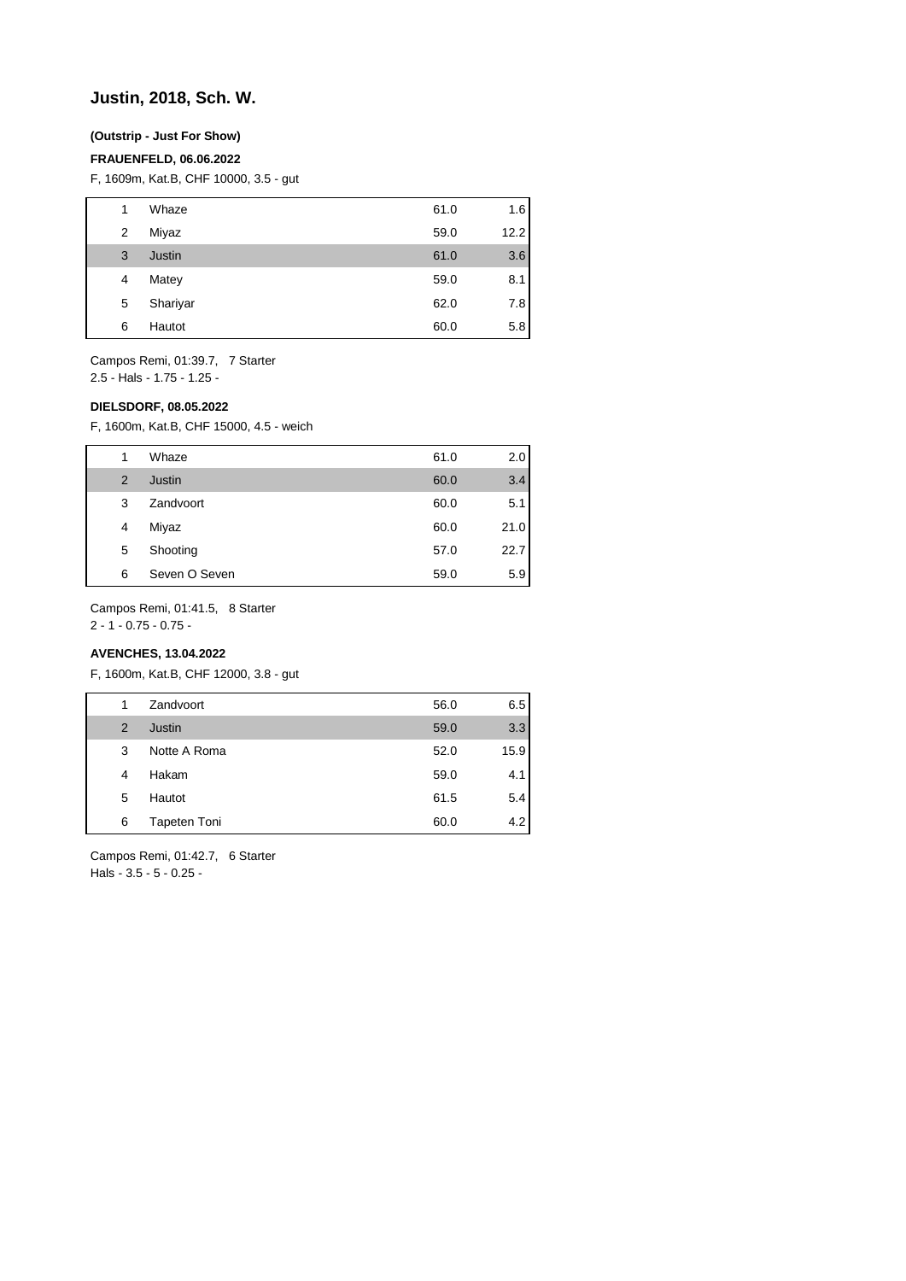## **Justin, 2018, Sch. W.**

### **(Outstrip - Just For Show)**

#### **FRAUENFELD, 06.06.2022**

F, 1609m, Kat.B, CHF 10000, 3.5 - gut

| 1              | Whaze    | 61.0 | 1.6  |
|----------------|----------|------|------|
| $\overline{2}$ | Miyaz    | 59.0 | 12.2 |
| 3              | Justin   | 61.0 | 3.6  |
| 4              | Matey    | 59.0 | 8.1  |
| 5              | Shariyar | 62.0 | 7.8  |
| 6              | Hautot   | 60.0 | 5.8  |
|                |          |      |      |

Campos Remi, 01:39.7, 7 Starter 2.5 - Hals - 1.75 - 1.25 -

#### **DIELSDORF, 08.05.2022**

F, 1600m, Kat.B, CHF 15000, 4.5 - weich

| 1 | Whaze         | 61.0 | 2.01 |
|---|---------------|------|------|
| 2 | Justin        | 60.0 | 3.4  |
| 3 | Zandvoort     | 60.0 | 5.1  |
| 4 | Miyaz         | 60.0 | 21.0 |
| 5 | Shooting      | 57.0 | 22.7 |
| 6 | Seven O Seven | 59.0 | 5.9  |

Campos Remi, 01:41.5, 8 Starter

2 - 1 - 0.75 - 0.75 -

### **AVENCHES, 13.04.2022**

F, 1600m, Kat.B, CHF 12000, 3.8 - gut

| 1 | Zandvoort    | 56.0 | 6.5  |
|---|--------------|------|------|
| 2 | Justin       | 59.0 | 3.3  |
| 3 | Notte A Roma | 52.0 | 15.9 |
| 4 | Hakam        | 59.0 | 4.1  |
| 5 | Hautot       | 61.5 | 5.4  |
| 6 | Tapeten Toni | 60.0 | 4.2  |

Campos Remi, 01:42.7, 6 Starter Hals - 3.5 - 5 - 0.25 -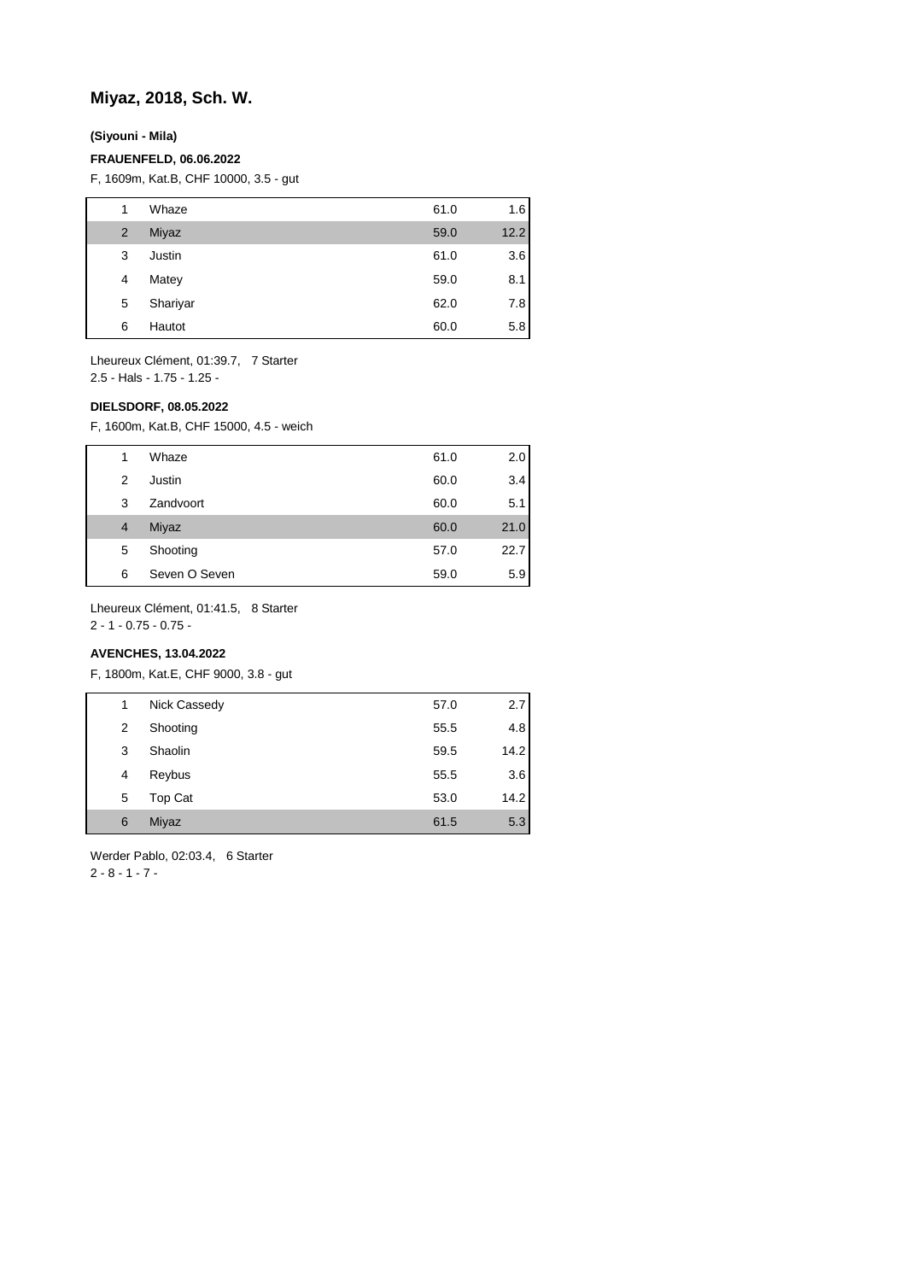## **Miyaz, 2018, Sch. W.**

**(Siyouni - Mila)**

#### **FRAUENFELD, 06.06.2022**

F, 1609m, Kat.B, CHF 10000, 3.5 - gut

| 1 | Whaze    | 61.0 | 1.6  |
|---|----------|------|------|
| 2 | Miyaz    | 59.0 | 12.2 |
| 3 | Justin   | 61.0 | 3.6  |
| 4 | Matey    | 59.0 | 8.1  |
| 5 | Shariyar | 62.0 | 7.8  |
| 6 | Hautot   | 60.0 | 5.8  |

Lheureux Clément, 01:39.7, 7 Starter 2.5 - Hals - 1.75 - 1.25 -

#### **DIELSDORF, 08.05.2022**

F, 1600m, Kat.B, CHF 15000, 4.5 - weich

| 1 | Whaze         | 61.0 | 2.0  |
|---|---------------|------|------|
| 2 | Justin        | 60.0 | 3.4  |
| 3 | Zandvoort     | 60.0 | 5.1  |
| 4 | Miyaz         | 60.0 | 21.0 |
| 5 | Shooting      | 57.0 | 22.7 |
| 6 | Seven O Seven | 59.0 | 5.9  |

Lheureux Clément, 01:41.5, 8 Starter

2 - 1 - 0.75 - 0.75 -

## **AVENCHES, 13.04.2022**

F, 1800m, Kat.E, CHF 9000, 3.8 - gut

| 1 | Nick Cassedy | 57.0 | 2.7  |
|---|--------------|------|------|
| 2 | Shooting     | 55.5 | 4.8  |
| 3 | Shaolin      | 59.5 | 14.2 |
| 4 | Reybus       | 55.5 | 3.6  |
| 5 | Top Cat      | 53.0 | 14.2 |
| 6 | Miyaz        | 61.5 | 5.3  |

Werder Pablo, 02:03.4, 6 Starter 2 - 8 - 1 - 7 -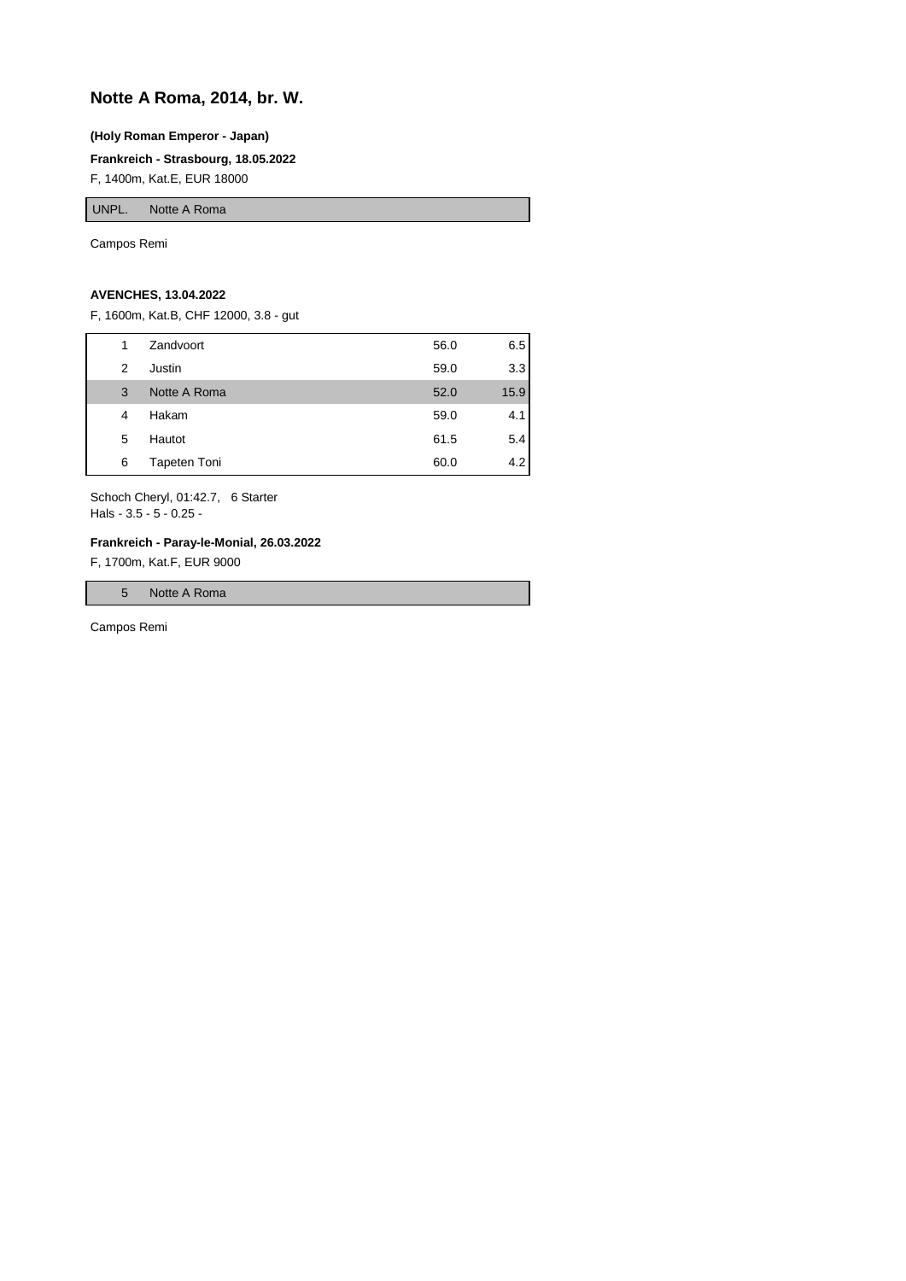# **Notte A Roma, 2014, br. W.**

#### **(Holy Roman Emperor - Japan)**

**Frankreich - Strasbourg, 18.05.2022**

F, 1400m, Kat.E, EUR 18000

UNPL. Notte A Roma

Campos Remi

## **AVENCHES, 13.04.2022**

F, 1600m, Kat.B, CHF 12000, 3.8 - gut

| 1 | Zandvoort    | 56.0 | 6.5  |
|---|--------------|------|------|
| 2 | Justin       | 59.0 | 3.3  |
| 3 | Notte A Roma | 52.0 | 15.9 |
| 4 | Hakam        | 59.0 | 4.1  |
| 5 | Hautot       | 61.5 | 5.4  |
| 6 | Tapeten Toni | 60.0 | 4.2  |

Schoch Cheryl, 01:42.7, 6 Starter Hals - 3.5 - 5 - 0.25 -

#### **Frankreich - Paray-le-Monial, 26.03.2022**

F, 1700m, Kat.F, EUR 9000

5 Notte A Roma

Campos Remi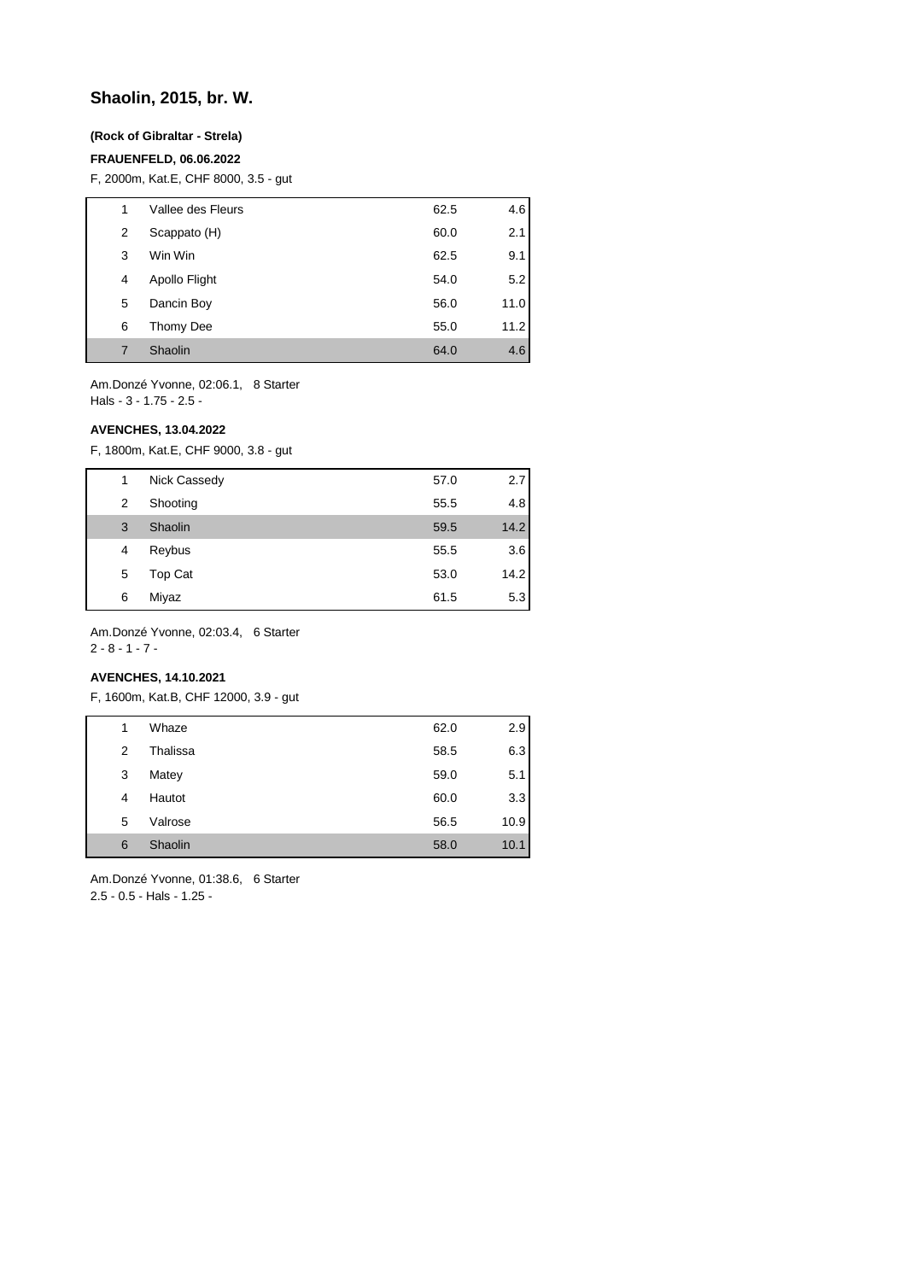## **Shaolin, 2015, br. W.**

### **(Rock of Gibraltar - Strela)**

### **FRAUENFELD, 06.06.2022**

F, 2000m, Kat.E, CHF 8000, 3.5 - gut

| 1 | Vallee des Fleurs | 62.5 | 4.6  |
|---|-------------------|------|------|
| 2 | Scappato (H)      | 60.0 | 2.1  |
| 3 | Win Win           | 62.5 | 9.1  |
| 4 | Apollo Flight     | 54.0 | 5.2  |
| 5 | Dancin Boy        | 56.0 | 11.0 |
| 6 | Thomy Dee         | 55.0 | 11.2 |
| 7 | Shaolin           | 64.0 | 4.6  |

Am.Donzé Yvonne, 02:06.1, 8 Starter Hals - 3 - 1.75 - 2.5 -

#### **AVENCHES, 13.04.2022**

F, 1800m, Kat.E, CHF 9000, 3.8 - gut

| 1 | Nick Cassedy | 57.0 | 2.7  |
|---|--------------|------|------|
| 2 | Shooting     | 55.5 | 4.8  |
| 3 | Shaolin      | 59.5 | 14.2 |
| 4 | Reybus       | 55.5 | 3.6  |
| 5 | Top Cat      | 53.0 | 14.2 |
| 6 | Miyaz        | 61.5 | 5.3  |

Am.Donzé Yvonne, 02:03.4, 6 Starter 2 - 8 - 1 - 7 -

### **AVENCHES, 14.10.2021**

F, 1600m, Kat.B, CHF 12000, 3.9 - gut

| 1 | Whaze    | 62.0 | 2.9  |
|---|----------|------|------|
| 2 | Thalissa | 58.5 | 6.3  |
| 3 | Matey    | 59.0 | 5.1  |
| 4 | Hautot   | 60.0 | 3.3  |
| 5 | Valrose  | 56.5 | 10.9 |
| 6 | Shaolin  | 58.0 | 10.1 |
|   |          |      |      |

Am.Donzé Yvonne, 01:38.6, 6 Starter 2.5 - 0.5 - Hals - 1.25 -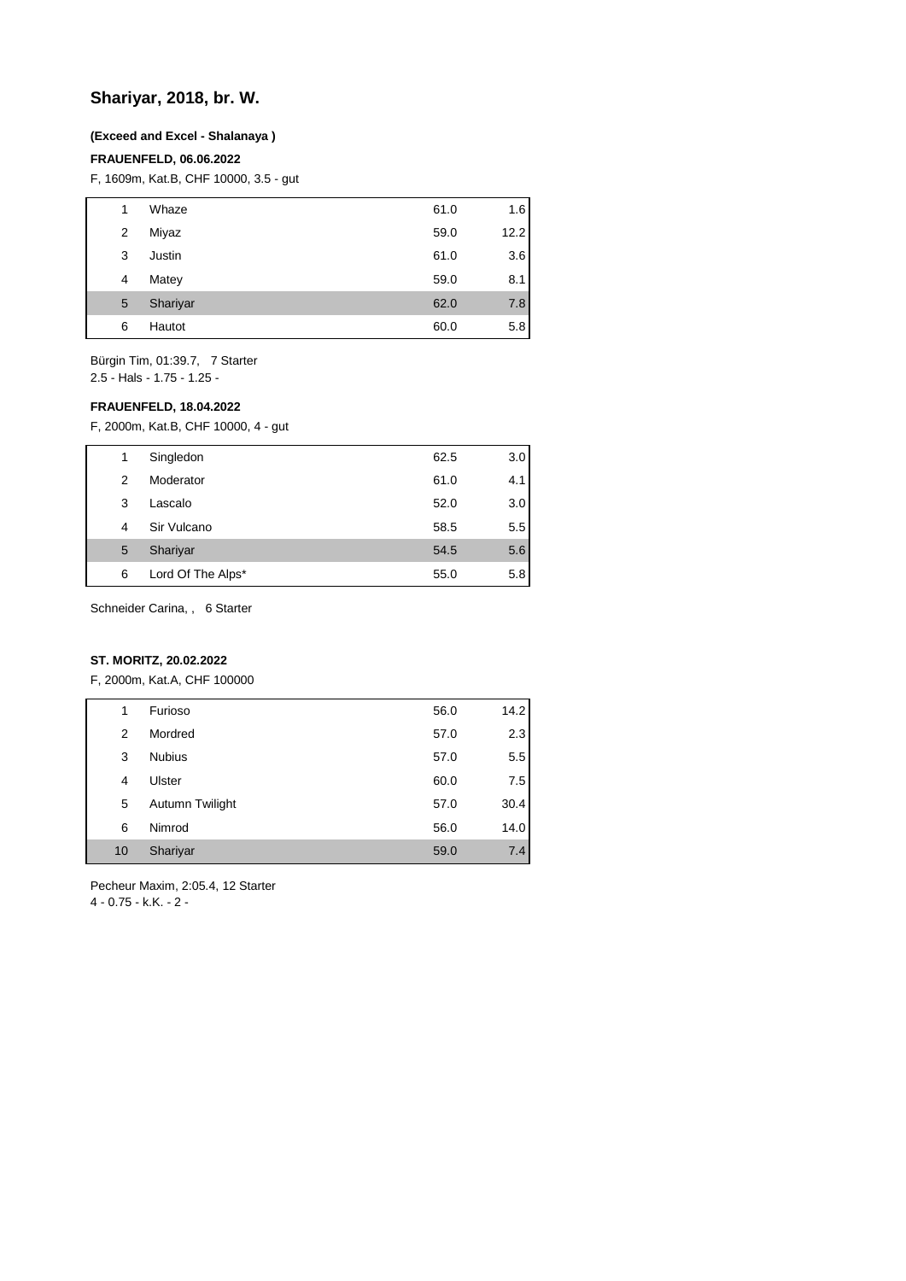## **Shariyar, 2018, br. W.**

#### **(Exceed and Excel - Shalanaya )**

#### **FRAUENFELD, 06.06.2022**

F, 1609m, Kat.B, CHF 10000, 3.5 - gut

| 1 | Whaze    | 61.0 | 1.6  |
|---|----------|------|------|
| 2 | Miyaz    | 59.0 | 12.2 |
| 3 | Justin   | 61.0 | 3.6  |
| 4 | Matey    | 59.0 | 8.1  |
| 5 | Shariyar | 62.0 | 7.8  |
| 6 | Hautot   | 60.0 | 5.8  |

Bürgin Tim, 01:39.7, 7 Starter 2.5 - Hals - 1.75 - 1.25 -

#### **FRAUENFELD, 18.04.2022**

F, 2000m, Kat.B, CHF 10000, 4 - gut

| 1 | Singledon         | 62.5 | 3.0 |
|---|-------------------|------|-----|
| 2 | Moderator         | 61.0 | 4.1 |
| 3 | Lascalo           | 52.0 | 3.0 |
| 4 | Sir Vulcano       | 58.5 | 5.5 |
| 5 | Shariyar          | 54.5 | 5.6 |
| 6 | Lord Of The Alps* | 55.0 | 5.8 |

Schneider Carina, , 6 Starter

## **ST. MORITZ, 20.02.2022**

F, 2000m, Kat.A, CHF 100000

| 1  | Furioso         | 56.0 | 14.2 |
|----|-----------------|------|------|
| 2  | Mordred         | 57.0 | 2.3  |
| 3  | <b>Nubius</b>   | 57.0 | 5.5  |
| 4  | Ulster          | 60.0 | 7.5  |
| 5  | Autumn Twilight | 57.0 | 30.4 |
| 6  | Nimrod          | 56.0 | 14.0 |
| 10 | Shariyar        | 59.0 | 7.4  |

Pecheur Maxim, 2:05.4, 12 Starter

4 - 0.75 - k.K. - 2 -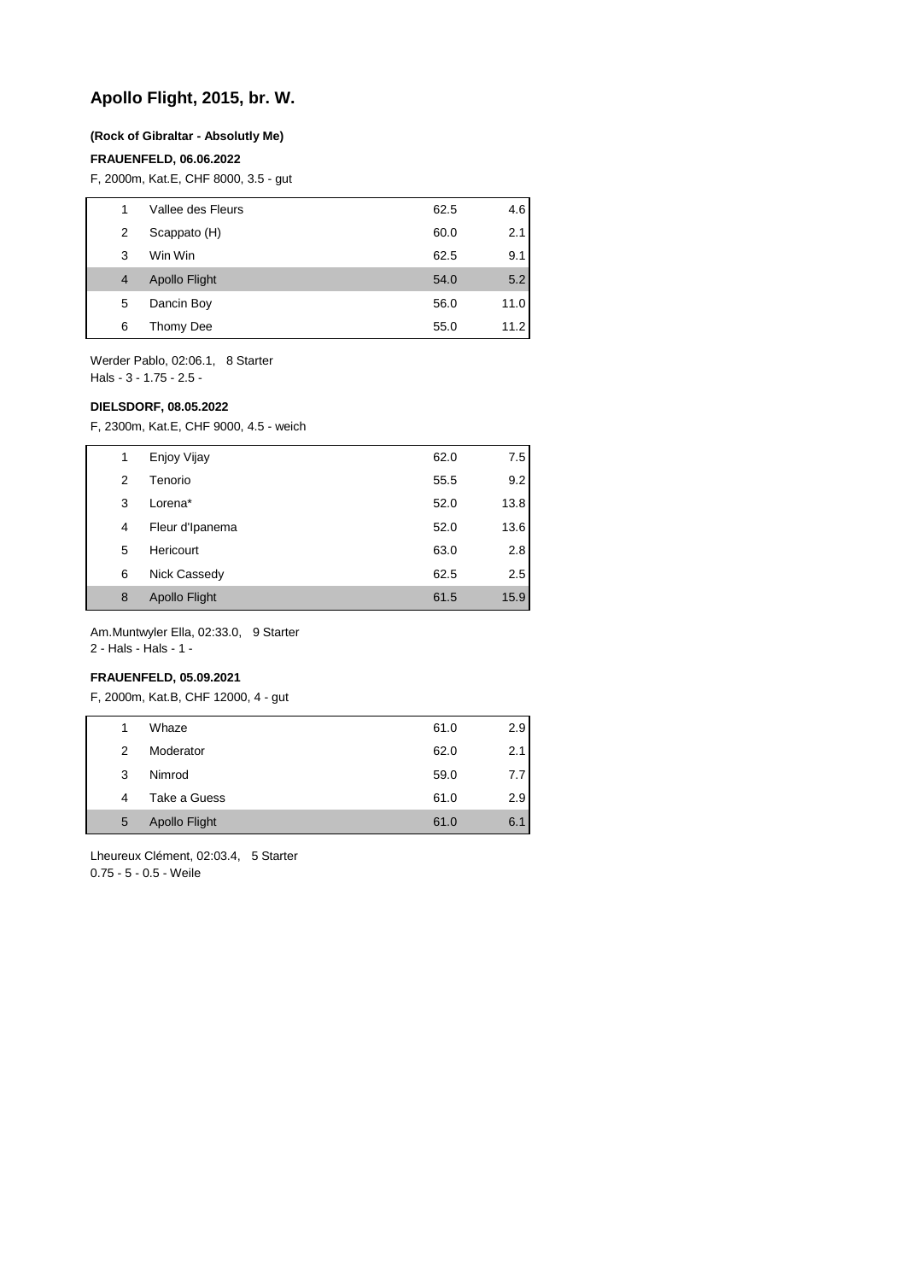## **Apollo Flight, 2015, br. W.**

#### **(Rock of Gibraltar - Absolutly Me)**

#### **FRAUENFELD, 06.06.2022**

F, 2000m, Kat.E, CHF 8000, 3.5 - gut

|   | Vallee des Fleurs    | 62.5 | 4.6  |
|---|----------------------|------|------|
| 2 | Scappato (H)         | 60.0 | 2.1  |
| 3 | Win Win              | 62.5 | 9.1  |
| 4 | <b>Apollo Flight</b> | 54.0 | 5.2  |
| 5 | Dancin Boy           | 56.0 | 11.0 |
| 6 | Thomy Dee            | 55.0 | 11.2 |
|   |                      |      |      |

Werder Pablo, 02:06.1, 8 Starter Hals - 3 - 1.75 - 2.5 -

#### **DIELSDORF, 08.05.2022**

F, 2300m, Kat.E, CHF 9000, 4.5 - weich

| 1 | Enjoy Vijay          | 62.0 | 7.5  |
|---|----------------------|------|------|
| 2 | Tenorio              | 55.5 | 9.2  |
| 3 | Lorena*              | 52.0 | 13.8 |
| 4 | Fleur d'Ipanema      | 52.0 | 13.6 |
| 5 | Hericourt            | 63.0 | 2.8  |
| 6 | Nick Cassedy         | 62.5 | 2.5  |
| 8 | <b>Apollo Flight</b> | 61.5 | 15.9 |

Am.Muntwyler Ella, 02:33.0, 9 Starter

2 - Hals - Hals - 1 -

## **FRAUENFELD, 05.09.2021**

F, 2000m, Kat.B, CHF 12000, 4 - gut

| Whaze<br>61.0<br>2.9<br>1<br>Moderator<br>62.0<br>2<br>2.1<br>Nimrod<br>59.0<br>3<br>Take a Guess<br>61.0<br>2.9<br>4<br><b>Apollo Flight</b><br>61.0<br>5<br>6.1 |  |  |     |
|-------------------------------------------------------------------------------------------------------------------------------------------------------------------|--|--|-----|
|                                                                                                                                                                   |  |  |     |
|                                                                                                                                                                   |  |  |     |
|                                                                                                                                                                   |  |  | 7.7 |
|                                                                                                                                                                   |  |  |     |
|                                                                                                                                                                   |  |  |     |

Lheureux Clément, 02:03.4, 5 Starter 0.75 - 5 - 0.5 - Weile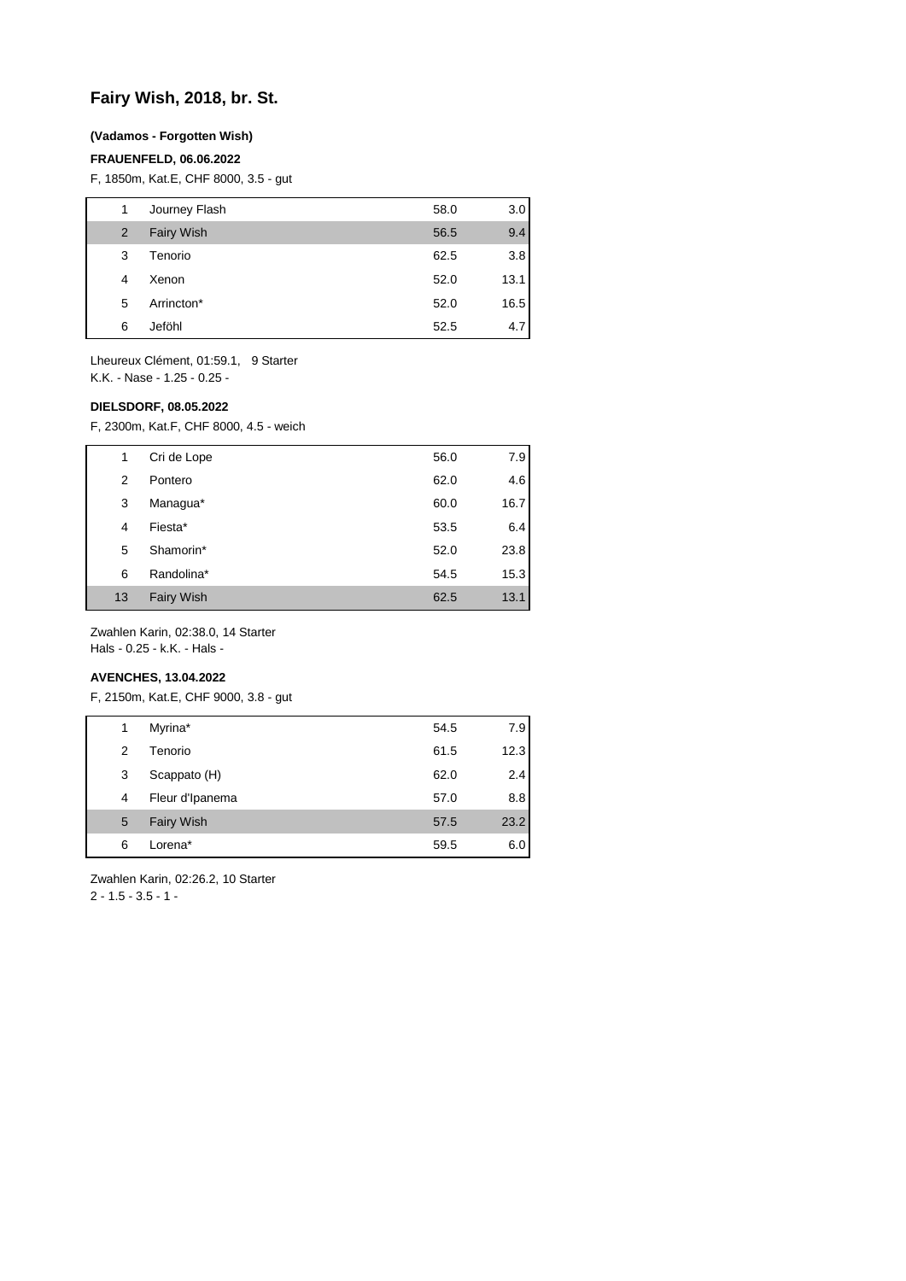## **Fairy Wish, 2018, br. St.**

### **(Vadamos - Forgotten Wish)**

#### **FRAUENFELD, 06.06.2022**

F, 1850m, Kat.E, CHF 8000, 3.5 - gut

| 1 | Journey Flash     | 58.0 | 3.0  |
|---|-------------------|------|------|
| 2 | <b>Fairy Wish</b> | 56.5 | 9.4  |
| 3 | Tenorio           | 62.5 | 3.8  |
| 4 | Xenon             | 52.0 | 13.1 |
| 5 | Arrincton*        | 52.0 | 16.5 |
| 6 | Jeföhl            | 52.5 | 4.7  |

Lheureux Clément, 01:59.1, 9 Starter K.K. - Nase - 1.25 - 0.25 -

**DIELSDORF, 08.05.2022**

F, 2300m, Kat.F, CHF 8000, 4.5 - weich

| 1  | Cri de Lope       | 56.0 | 7.9  |
|----|-------------------|------|------|
| 2  | Pontero           | 62.0 | 4.6  |
| 3  | Managua*          | 60.0 | 16.7 |
| 4  | Fiesta*           | 53.5 | 6.4  |
| 5  | Shamorin*         | 52.0 | 23.8 |
| 6  | Randolina*        | 54.5 | 15.3 |
| 13 | <b>Fairy Wish</b> | 62.5 | 13.1 |

Zwahlen Karin, 02:38.0, 14 Starter

Hals - 0.25 - k.K. - Hals -

## **AVENCHES, 13.04.2022**

F, 2150m, Kat.E, CHF 9000, 3.8 - gut

| 1 | Myrina*           | 54.5 | 7.9  |
|---|-------------------|------|------|
| 2 | Tenorio           | 61.5 | 12.3 |
| 3 | Scappato (H)      | 62.0 | 2.4  |
| 4 | Fleur d'Ipanema   | 57.0 | 8.8  |
| 5 | <b>Fairy Wish</b> | 57.5 | 23.2 |
| 6 | Lorena*           | 59.5 | 6.0  |

Zwahlen Karin, 02:26.2, 10 Starter

 $2 - 1.5 - 3.5 - 1$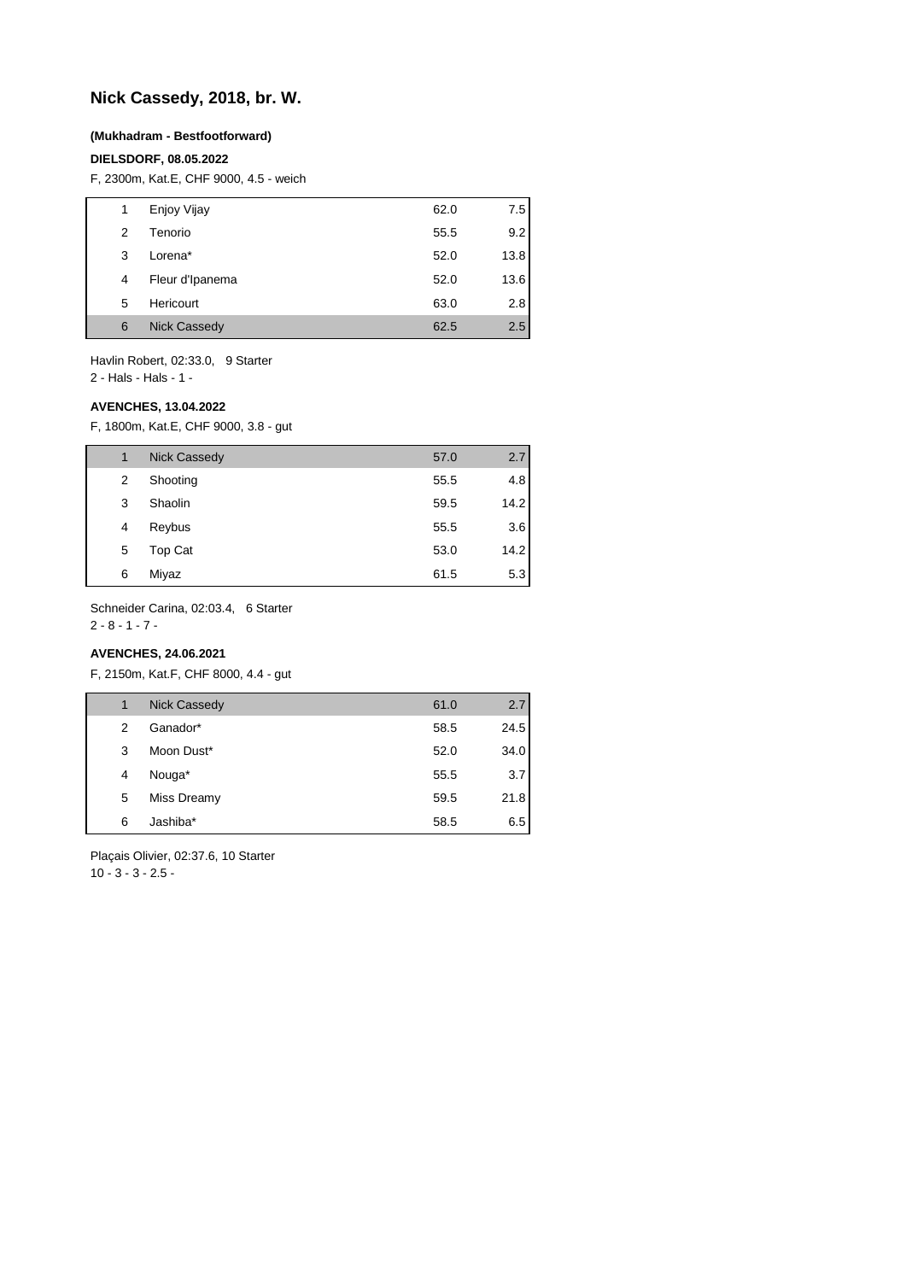## **Nick Cassedy, 2018, br. W.**

#### **(Mukhadram - Bestfootforward)**

#### **DIELSDORF, 08.05.2022**

F, 2300m, Kat.E, CHF 9000, 4.5 - weich

| Enjoy Vijay<br>62.0<br>1<br>Tenorio<br>$\mathcal{P}$<br>55.5<br>3<br>Lorena*<br>52.0<br>Fleur d'Ipanema<br>52.0<br>4<br>Hericourt<br>2.8<br>5<br>63.0<br><b>Nick Cassedy</b><br>6<br>2.5<br>62.5 |  |  |      |
|--------------------------------------------------------------------------------------------------------------------------------------------------------------------------------------------------|--|--|------|
|                                                                                                                                                                                                  |  |  | 7.5  |
|                                                                                                                                                                                                  |  |  | 9.2  |
|                                                                                                                                                                                                  |  |  | 13.8 |
|                                                                                                                                                                                                  |  |  | 13.6 |
|                                                                                                                                                                                                  |  |  |      |
|                                                                                                                                                                                                  |  |  |      |

Havlin Robert, 02:33.0, 9 Starter 2 - Hals - Hals - 1 -

#### **AVENCHES, 13.04.2022**

F, 1800m, Kat.E, CHF 9000, 3.8 - gut

| 1 | <b>Nick Cassedy</b> | 57.0 | 2.7  |
|---|---------------------|------|------|
| 2 | Shooting            | 55.5 | 4.8  |
| 3 | Shaolin             | 59.5 | 14.2 |
| 4 | Reybus              | 55.5 | 3.6  |
| 5 | Top Cat             | 53.0 | 14.2 |
| 6 | Miyaz               | 61.5 | 5.3  |

Schneider Carina, 02:03.4, 6 Starter

2 - 8 - 1 - 7 -

## **AVENCHES, 24.06.2021**

F, 2150m, Kat.F, CHF 8000, 4.4 - gut

| 1 | <b>Nick Cassedy</b> | 61.0 | 2.7  |
|---|---------------------|------|------|
| 2 | Ganador*            | 58.5 | 24.5 |
| 3 | Moon Dust*          | 52.0 | 34.0 |
| 4 | Nouga*              | 55.5 | 3.7  |
| 5 | Miss Dreamy         | 59.5 | 21.8 |
| 6 | Jashiba*            | 58.5 | 6.5  |

Plaçais Olivier, 02:37.6, 10 Starter 10 - 3 - 3 - 2.5 -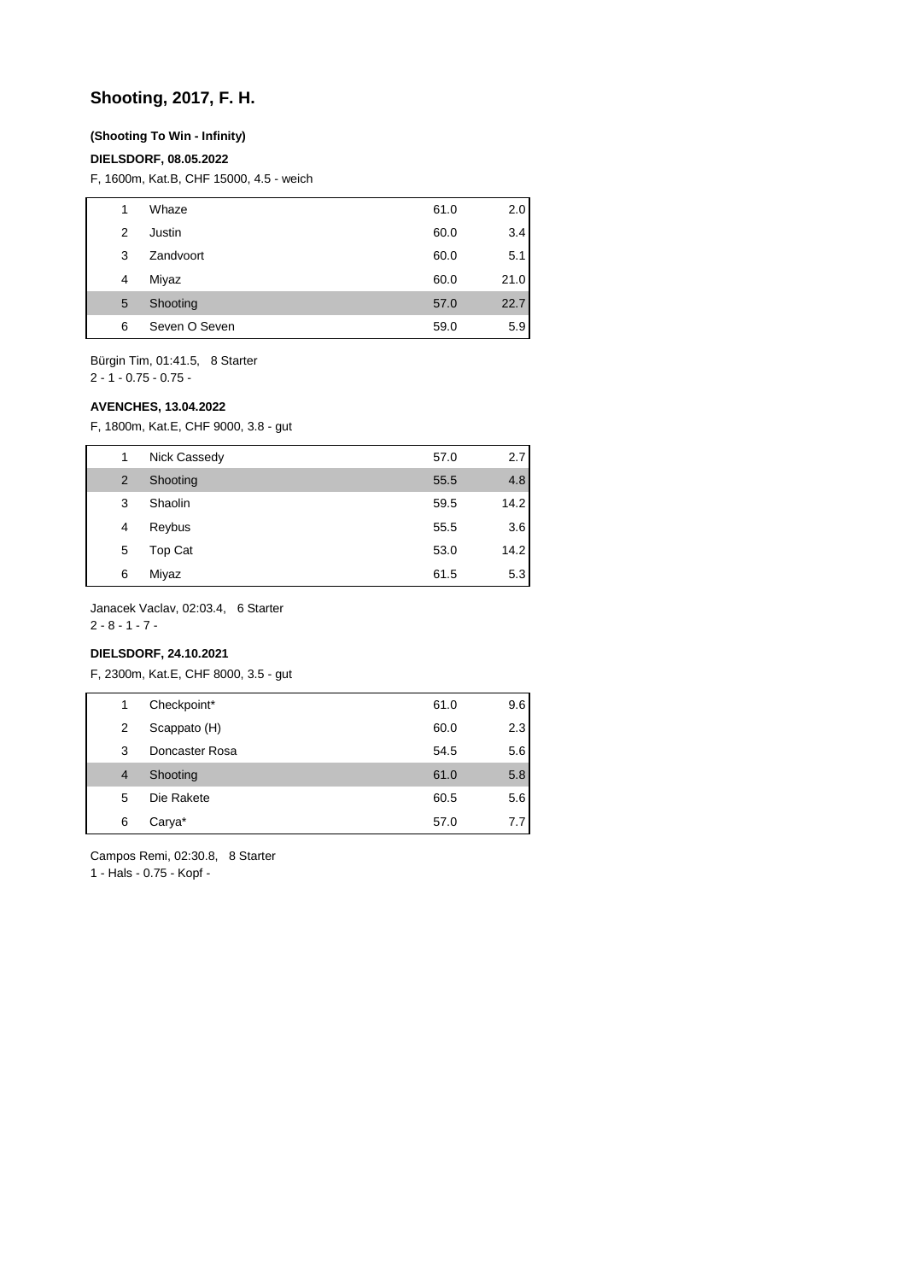## **Shooting, 2017, F. H.**

### **(Shooting To Win - Infinity)**

#### **DIELSDORF, 08.05.2022**

F, 1600m, Kat.B, CHF 15000, 4.5 - weich

| 1 | Whaze         | 61.0 | 2.0  |
|---|---------------|------|------|
| 2 | Justin        | 60.0 | 3.4  |
| 3 | Zandvoort     | 60.0 | 5.1  |
| 4 | Miyaz         | 60.0 | 21.0 |
| 5 | Shooting      | 57.0 | 22.7 |
| 6 | Seven O Seven | 59.0 | 5.9  |

Bürgin Tim, 01:41.5, 8 Starter

 $2 - 1 - 0.75 - 0.75 -$ 

#### **AVENCHES, 13.04.2022**

F, 1800m, Kat.E, CHF 9000, 3.8 - gut

| 1 | Nick Cassedy | 57.0 | 2.7  |
|---|--------------|------|------|
| 2 | Shooting     | 55.5 | 4.8  |
| 3 | Shaolin      | 59.5 | 14.2 |
| 4 | Reybus       | 55.5 | 3.6  |
| 5 | Top Cat      | 53.0 | 14.2 |
| 6 | Miyaz        | 61.5 | 5.3  |

Janacek Vaclav, 02:03.4, 6 Starter

2 - 8 - 1 - 7 -

## **DIELSDORF, 24.10.2021**

F, 2300m, Kat.E, CHF 8000, 3.5 - gut

| 1              | Checkpoint*    | 61.0 | 9.6 |
|----------------|----------------|------|-----|
| 2              | Scappato (H)   | 60.0 | 2.3 |
| 3              | Doncaster Rosa | 54.5 | 5.6 |
| $\overline{4}$ | Shooting       | 61.0 | 5.8 |
| 5              | Die Rakete     | 60.5 | 5.6 |
| 6              | Carya*         | 57.0 | 7.7 |
|                |                |      |     |

Campos Remi, 02:30.8, 8 Starter

1 - Hals - 0.75 - Kopf -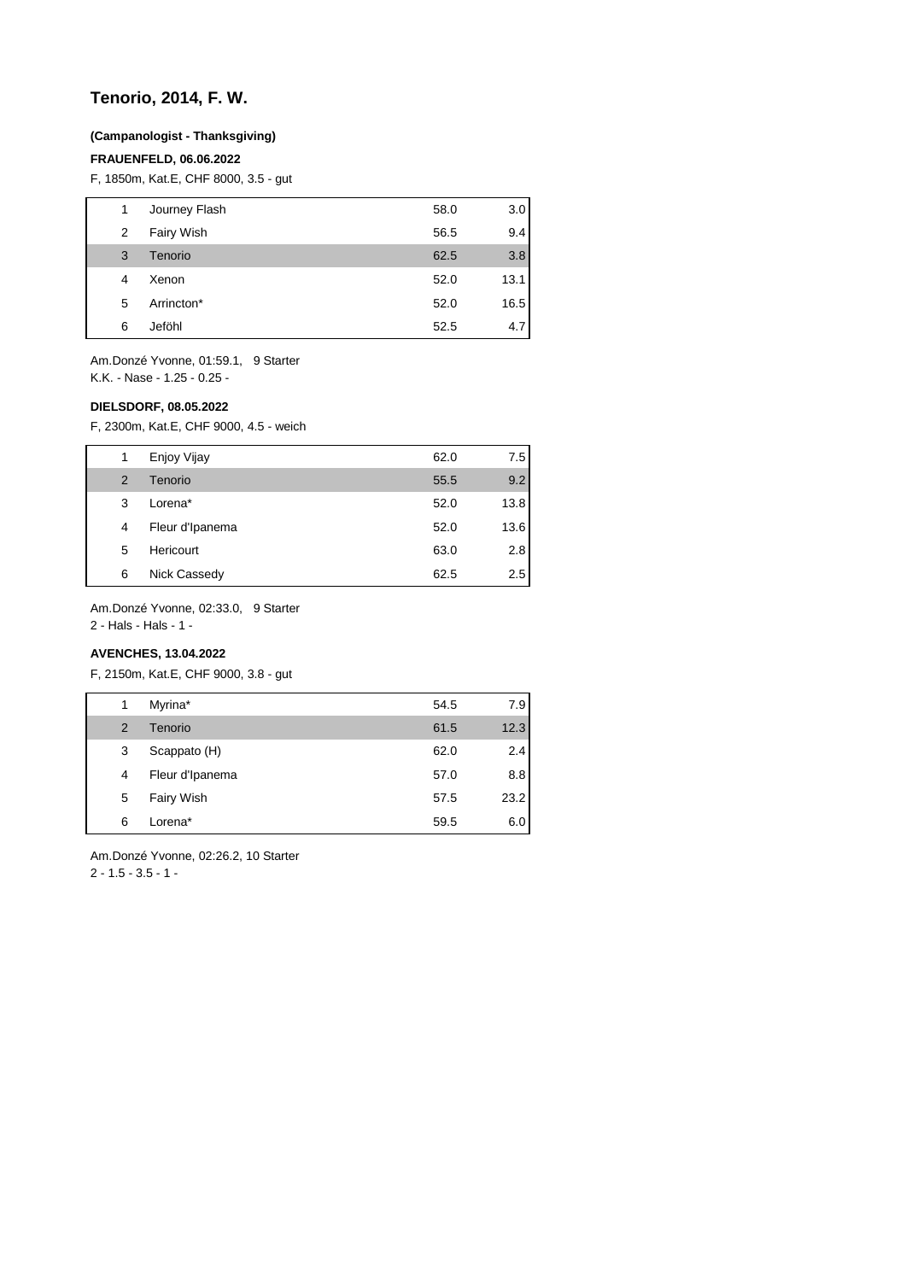## **Tenorio, 2014, F. W.**

#### **(Campanologist - Thanksgiving)**

#### **FRAUENFELD, 06.06.2022**

F, 1850m, Kat.E, CHF 8000, 3.5 - gut

| 1 | Journey Flash | 58.0 | 3.0  |
|---|---------------|------|------|
| 2 | Fairy Wish    | 56.5 | 9.4  |
| 3 | Tenorio       | 62.5 | 3.8  |
| 4 | Xenon         | 52.0 | 13.1 |
| 5 | Arrincton*    | 52.0 | 16.5 |
| 6 | Jeföhl        | 52.5 | 4.7  |

Am.Donzé Yvonne, 01:59.1, 9 Starter K.K. - Nase - 1.25 - 0.25 -

### **DIELSDORF, 08.05.2022**

F, 2300m, Kat.E, CHF 9000, 4.5 - weich

| 1 | Enjoy Vijay     | 62.0 | 7.5  |
|---|-----------------|------|------|
| 2 | Tenorio         | 55.5 | 9.2  |
| 3 | Lorena*         | 52.0 | 13.8 |
| 4 | Fleur d'Ipanema | 52.0 | 13.6 |
| 5 | Hericourt       | 63.0 | 2.8  |
| 6 | Nick Cassedy    | 62.5 | 2.5  |

Am.Donzé Yvonne, 02:33.0, 9 Starter

2 - Hals - Hals - 1 -

## **AVENCHES, 13.04.2022**

F, 2150m, Kat.E, CHF 9000, 3.8 - gut

| 1              | Myrina*         | 54.5 | 7.9  |
|----------------|-----------------|------|------|
| $\overline{2}$ | Tenorio         | 61.5 | 12.3 |
| 3              | Scappato (H)    | 62.0 | 2.4  |
| 4              | Fleur d'Ipanema | 57.0 | 8.8  |
| 5              | Fairy Wish      | 57.5 | 23.2 |
| 6              | Lorena*         | 59.5 | 6.0  |

Am.Donzé Yvonne, 02:26.2, 10 Starter 2 - 1.5 - 3.5 - 1 -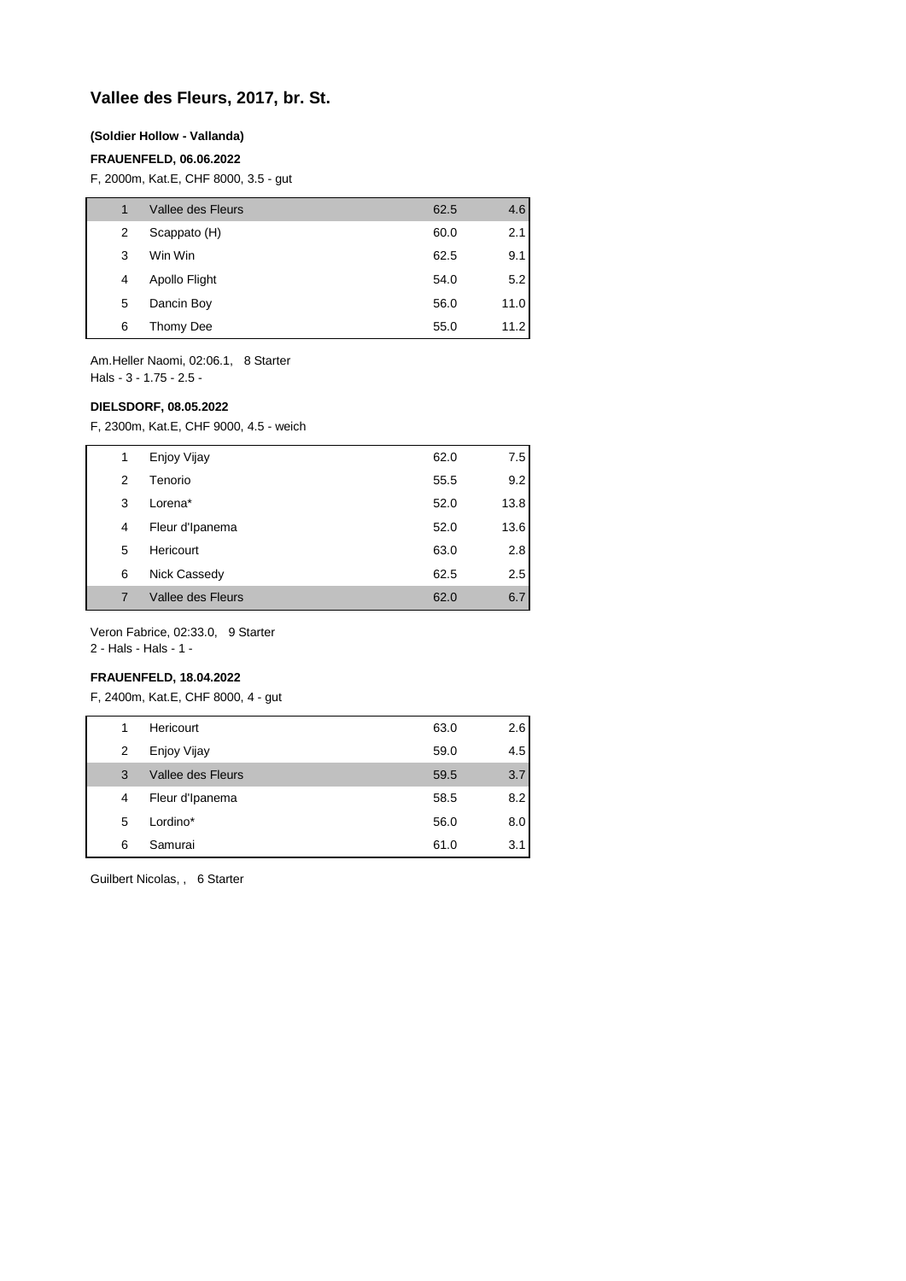## **Vallee des Fleurs, 2017, br. St.**

#### **(Soldier Hollow - Vallanda)**

#### **FRAUENFELD, 06.06.2022**

F, 2000m, Kat.E, CHF 8000, 3.5 - gut

|   | Vallee des Fleurs | 62.5 | 4.6  |
|---|-------------------|------|------|
| 2 | Scappato (H)      | 60.0 | 2.1  |
| 3 | Win Win           | 62.5 | 9.1  |
| 4 | Apollo Flight     | 54.0 | 5.2  |
| 5 | Dancin Boy        | 56.0 | 11.0 |
| 6 | Thomy Dee         | 55.0 | 11.2 |

Am.Heller Naomi, 02:06.1, 8 Starter Hals - 3 - 1.75 - 2.5 -

#### **DIELSDORF, 08.05.2022**

F, 2300m, Kat.E, CHF 9000, 4.5 - weich

| 1 | Enjoy Vijay       | 62.0 | 7.5  |
|---|-------------------|------|------|
| 2 | Tenorio           | 55.5 | 9.2  |
| 3 | Lorena*           | 52.0 | 13.8 |
| 4 | Fleur d'Ipanema   | 52.0 | 13.6 |
| 5 | Hericourt         | 63.0 | 2.8  |
| 6 | Nick Cassedy      | 62.5 | 2.5  |
| 7 | Vallee des Fleurs | 62.0 | 6.7  |

Veron Fabrice, 02:33.0, 9 Starter

2 - Hals - Hals - 1 -

## **FRAUENFELD, 18.04.2022**

F, 2400m, Kat.E, CHF 8000, 4 - gut

| 1 | Hericourt         | 63.0 | 2.6 |
|---|-------------------|------|-----|
| 2 | Enjoy Vijay       | 59.0 | 4.5 |
| 3 | Vallee des Fleurs | 59.5 | 3.7 |
| 4 | Fleur d'Ipanema   | 58.5 | 8.2 |
| 5 | Lordino*          | 56.0 | 8.0 |
| 6 | Samurai           | 61.0 | 3.1 |

Guilbert Nicolas, , 6 Starter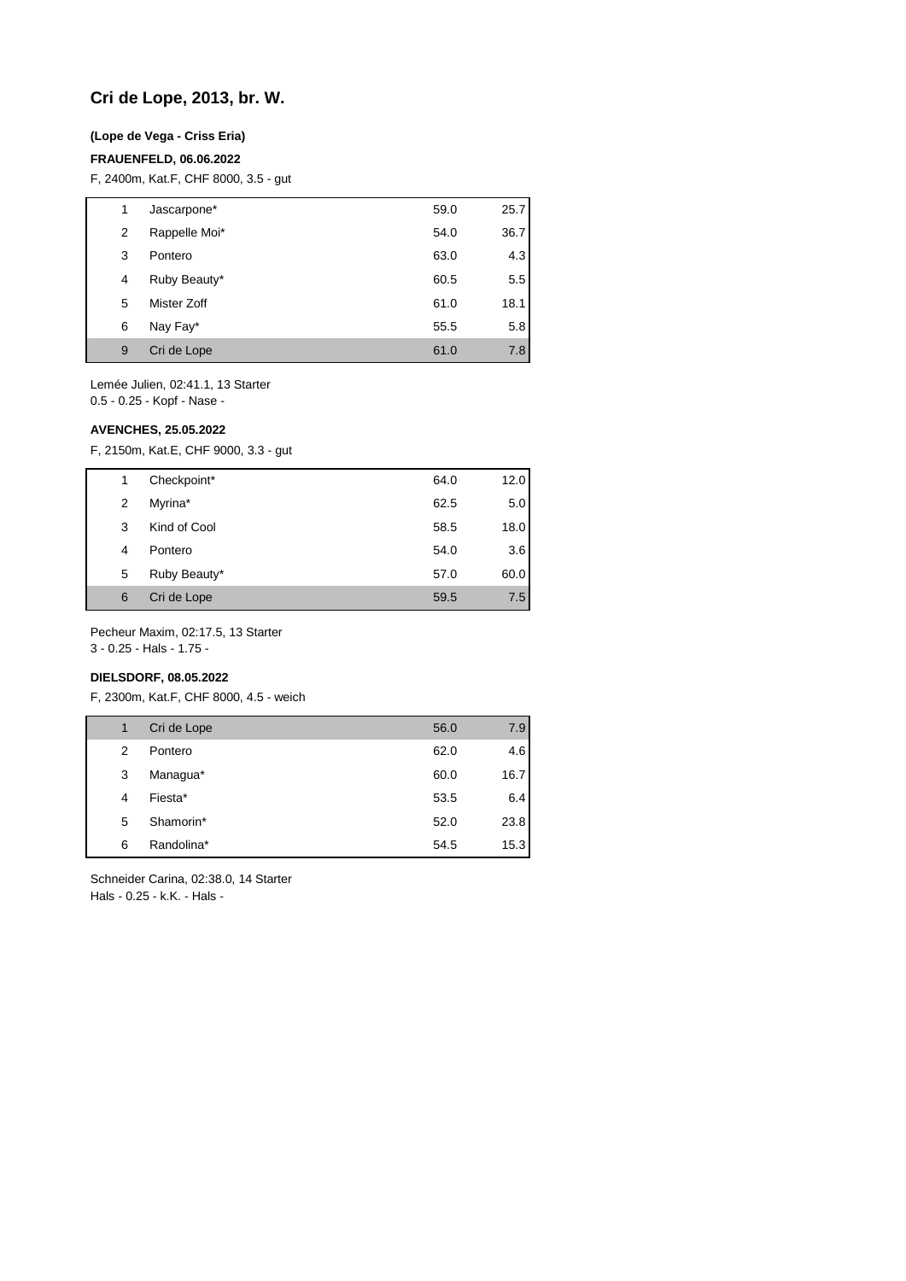## **Cri de Lope, 2013, br. W.**

### **(Lope de Vega - Criss Eria)**

#### **FRAUENFELD, 06.06.2022**

F, 2400m, Kat.F, CHF 8000, 3.5 - gut

| 1 | Jascarpone*   | 59.0 | 25.7 |
|---|---------------|------|------|
| 2 | Rappelle Moi* | 54.0 | 36.7 |
| 3 | Pontero       | 63.0 | 4.3  |
| 4 | Ruby Beauty*  | 60.5 | 5.5  |
| 5 | Mister Zoff   | 61.0 | 18.1 |
| 6 | Nay Fay*      | 55.5 | 5.8  |
| 9 | Cri de Lope   | 61.0 | 7.8  |

Lemée Julien, 02:41.1, 13 Starter 0.5 - 0.25 - Kopf - Nase -

**AVENCHES, 25.05.2022**

F, 2150m, Kat.E, CHF 9000, 3.3 - gut

| 1 | Checkpoint*  | 64.0 | 12.0 |
|---|--------------|------|------|
| 2 | Myrina*      | 62.5 | 5.0  |
| 3 | Kind of Cool | 58.5 | 18.0 |
| 4 | Pontero      | 54.0 | 3.6  |
| 5 | Ruby Beauty* | 57.0 | 60.0 |
| 6 | Cri de Lope  | 59.5 | 7.5  |

Pecheur Maxim, 02:17.5, 13 Starter

3 - 0.25 - Hals - 1.75 -

## **DIELSDORF, 08.05.2022**

F, 2300m, Kat.F, CHF 8000, 4.5 - weich

| 1 | Cri de Lope | 56.0 | 7.9  |
|---|-------------|------|------|
| 2 | Pontero     | 62.0 | 4.6  |
| 3 | Managua*    | 60.0 | 16.7 |
| 4 | Fiesta*     | 53.5 | 6.4  |
| 5 | Shamorin*   | 52.0 | 23.8 |
| 6 | Randolina*  | 54.5 | 15.3 |

Schneider Carina, 02:38.0, 14 Starter Hals - 0.25 - k.K. - Hals -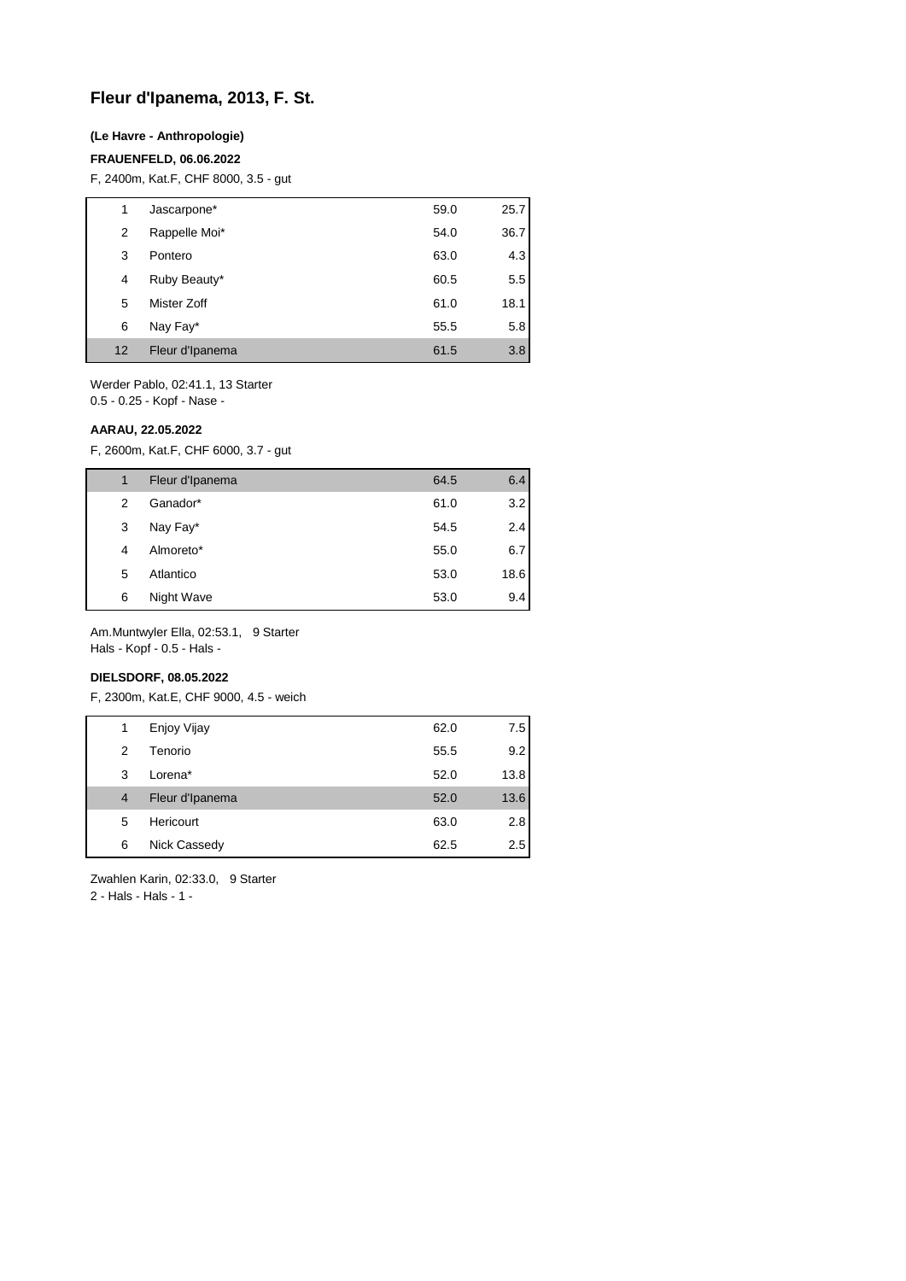## **Fleur d'Ipanema, 2013, F. St.**

### **(Le Havre - Anthropologie)**

#### **FRAUENFELD, 06.06.2022**

F, 2400m, Kat.F, CHF 8000, 3.5 - gut

| 1  | Jascarpone*     | 59.0 | 25.7 |
|----|-----------------|------|------|
| 2  | Rappelle Moi*   | 54.0 | 36.7 |
| 3  | Pontero         | 63.0 | 4.3  |
| 4  | Ruby Beauty*    | 60.5 | 5.5  |
| 5  | Mister Zoff     | 61.0 | 18.1 |
| 6  | Nay Fay*        | 55.5 | 5.8  |
| 12 | Fleur d'Ipanema | 61.5 | 3.8  |

Werder Pablo, 02:41.1, 13 Starter 0.5 - 0.25 - Kopf - Nase -

**AARAU, 22.05.2022**

F, 2600m, Kat.F, CHF 6000, 3.7 - gut

| 1 | Fleur d'Ipanema | 64.5 | 6.4  |
|---|-----------------|------|------|
| 2 | Ganador*        | 61.0 | 3.2  |
| 3 | Nay Fay*        | 54.5 | 2.4  |
| 4 | Almoreto*       | 55.0 | 6.7  |
| 5 | Atlantico       | 53.0 | 18.6 |
| 6 | Night Wave      | 53.0 | 9.4  |

Am.Muntwyler Ella, 02:53.1, 9 Starter

Hals - Kopf - 0.5 - Hals -

## **DIELSDORF, 08.05.2022**

F, 2300m, Kat.E, CHF 9000, 4.5 - weich

| 1              | Enjoy Vijay     | 62.0 | 7.5     |
|----------------|-----------------|------|---------|
| 2              | Tenorio         | 55.5 | 9.2     |
| 3              | Lorena*         | 52.0 | 13.8    |
| $\overline{4}$ | Fleur d'Ipanema | 52.0 | 13.6    |
| 5              | Hericourt       | 63.0 | 2.8     |
| 6              | Nick Cassedy    | 62.5 | $2.5\,$ |

Zwahlen Karin, 02:33.0, 9 Starter

2 - Hals - Hals - 1 -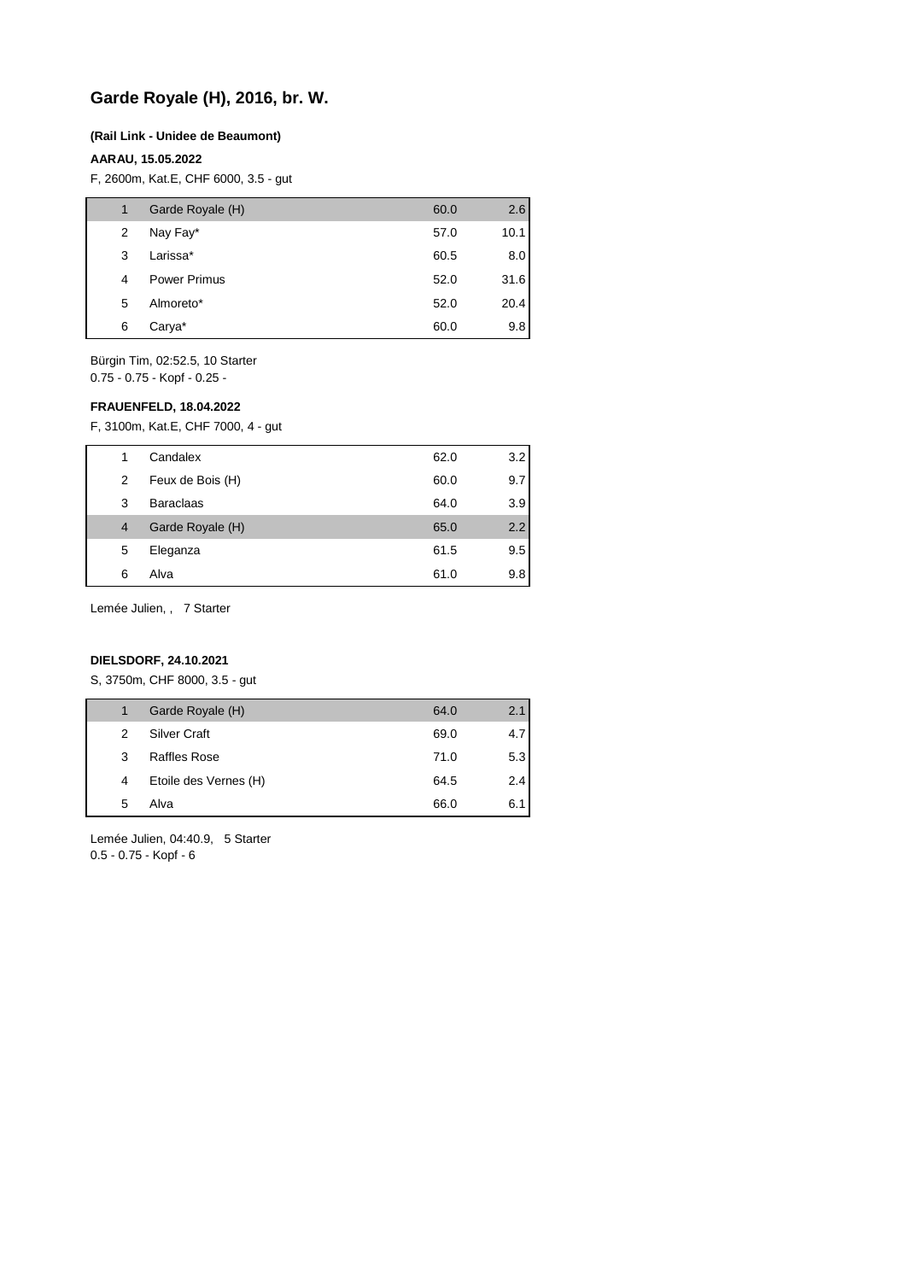## **Garde Royale (H), 2016, br. W.**

#### **(Rail Link - Unidee de Beaumont)**

### **AARAU, 15.05.2022**

F, 2600m, Kat.E, CHF 6000, 3.5 - gut

| 1 | Garde Royale (H)    | 60.0 | 2.6  |
|---|---------------------|------|------|
| 2 | Nay Fay*            | 57.0 | 10.1 |
| 3 | Larissa*            | 60.5 | 8.0  |
| 4 | <b>Power Primus</b> | 52.0 | 31.6 |
| 5 | Almoreto*           | 52.0 | 20.4 |
| 6 | Carya*              | 60.0 | 9.8  |

Bürgin Tim, 02:52.5, 10 Starter 0.75 - 0.75 - Kopf - 0.25 -

#### **FRAUENFELD, 18.04.2022**

F, 3100m, Kat.E, CHF 7000, 4 - gut

| 1 | Candalex         | 62.0 | 3.2 |
|---|------------------|------|-----|
| 2 | Feux de Bois (H) | 60.0 | 9.7 |
| 3 | <b>Baraclaas</b> | 64.0 | 3.9 |
| 4 | Garde Royale (H) | 65.0 | 2.2 |
| 5 | Eleganza         | 61.5 | 9.5 |
| 6 | Alva             | 61.0 | 9.8 |

Lemée Julien, , 7 Starter

## **DIELSDORF, 24.10.2021**

S, 3750m, CHF 8000, 3.5 - gut

| 1 | Garde Royale (H)      | 64.0 | 2.1              |
|---|-----------------------|------|------------------|
| 2 | <b>Silver Craft</b>   | 69.0 | 4.7 <sub>l</sub> |
| 3 | Raffles Rose          | 71.0 | 5.3              |
| 4 | Etoile des Vernes (H) | 64.5 | 2.4              |
| 5 | Alva                  | 66.0 | 6.1              |
|   |                       |      |                  |

Lemée Julien, 04:40.9, 5 Starter 0.5 - 0.75 - Kopf - 6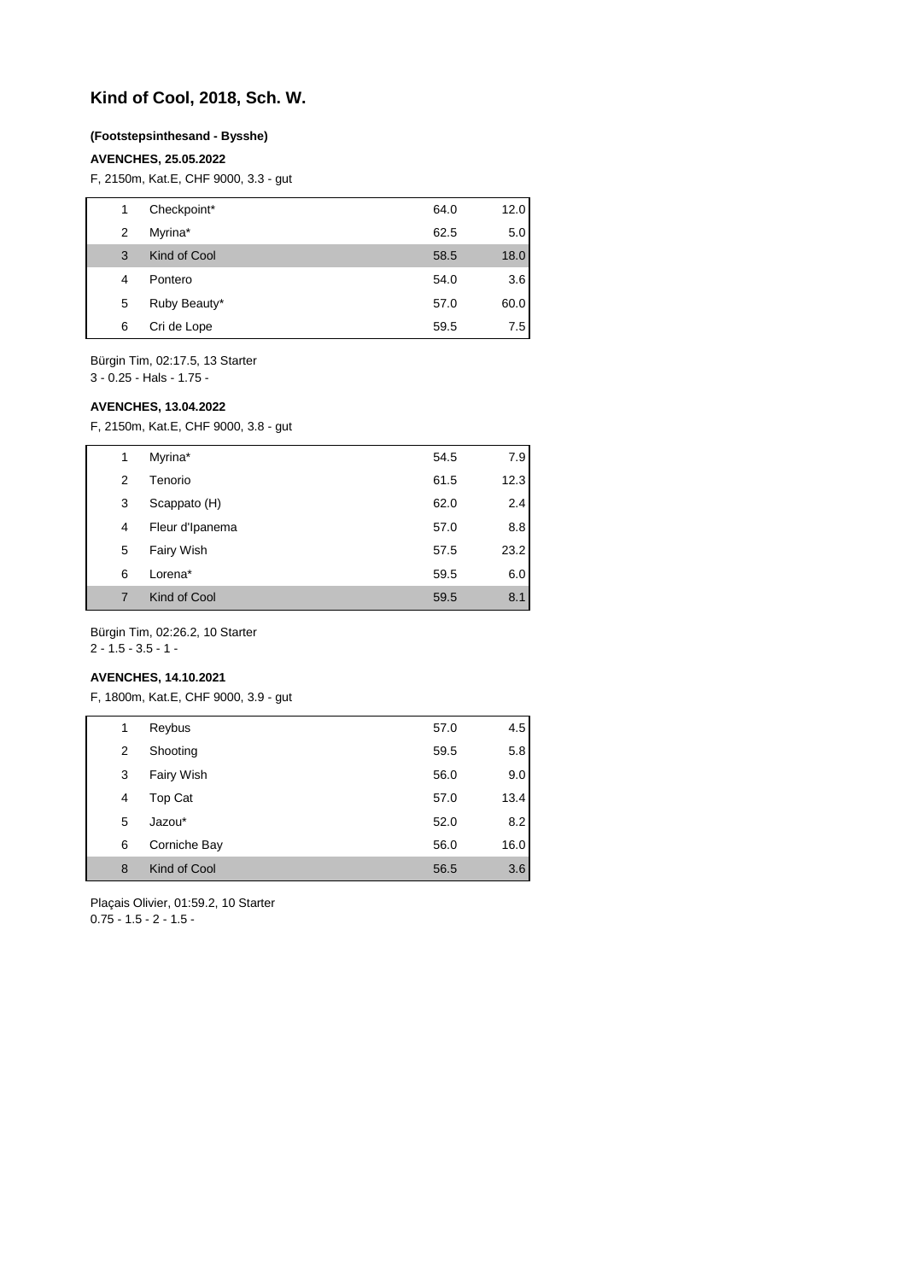## **Kind of Cool, 2018, Sch. W.**

#### **(Footstepsinthesand - Bysshe)**

#### **AVENCHES, 25.05.2022**

F, 2150m, Kat.E, CHF 9000, 3.3 - gut

| 1 | Checkpoint*  | 64.0 | 12.0 |
|---|--------------|------|------|
| 2 | Myrina*      | 62.5 | 5.0  |
| 3 | Kind of Cool | 58.5 | 18.0 |
| 4 | Pontero      | 54.0 | 3.6  |
| 5 | Ruby Beauty* | 57.0 | 60.0 |
| 6 | Cri de Lope  | 59.5 | 7.5  |
|   |              |      |      |

Bürgin Tim, 02:17.5, 13 Starter 3 - 0.25 - Hals - 1.75 -

#### **AVENCHES, 13.04.2022**

F, 2150m, Kat.E, CHF 9000, 3.8 - gut

| 1 | Myrina*         | 54.5 | 7.9  |
|---|-----------------|------|------|
| 2 | Tenorio         | 61.5 | 12.3 |
| 3 | Scappato (H)    | 62.0 | 2.4  |
| 4 | Fleur d'Ipanema | 57.0 | 8.8  |
| 5 | Fairy Wish      | 57.5 | 23.2 |
| 6 | Lorena*         | 59.5 | 6.0  |
| 7 | Kind of Cool    | 59.5 | 8.1  |

Bürgin Tim, 02:26.2, 10 Starter

2 - 1.5 - 3.5 - 1 -

## **AVENCHES, 14.10.2021**

F, 1800m, Kat.E, CHF 9000, 3.9 - gut

| 1 | Reybus       | 57.0 | 4.5  |
|---|--------------|------|------|
| 2 | Shooting     | 59.5 | 5.8  |
| 3 | Fairy Wish   | 56.0 | 9.0  |
| 4 | Top Cat      | 57.0 | 13.4 |
| 5 | Jazou*       | 52.0 | 8.2  |
| 6 | Corniche Bay | 56.0 | 16.0 |
| 8 | Kind of Cool | 56.5 | 3.6  |
|   |              |      |      |

Plaçais Olivier, 01:59.2, 10 Starter  $0.75 - 1.5 - 2 - 1.5 -$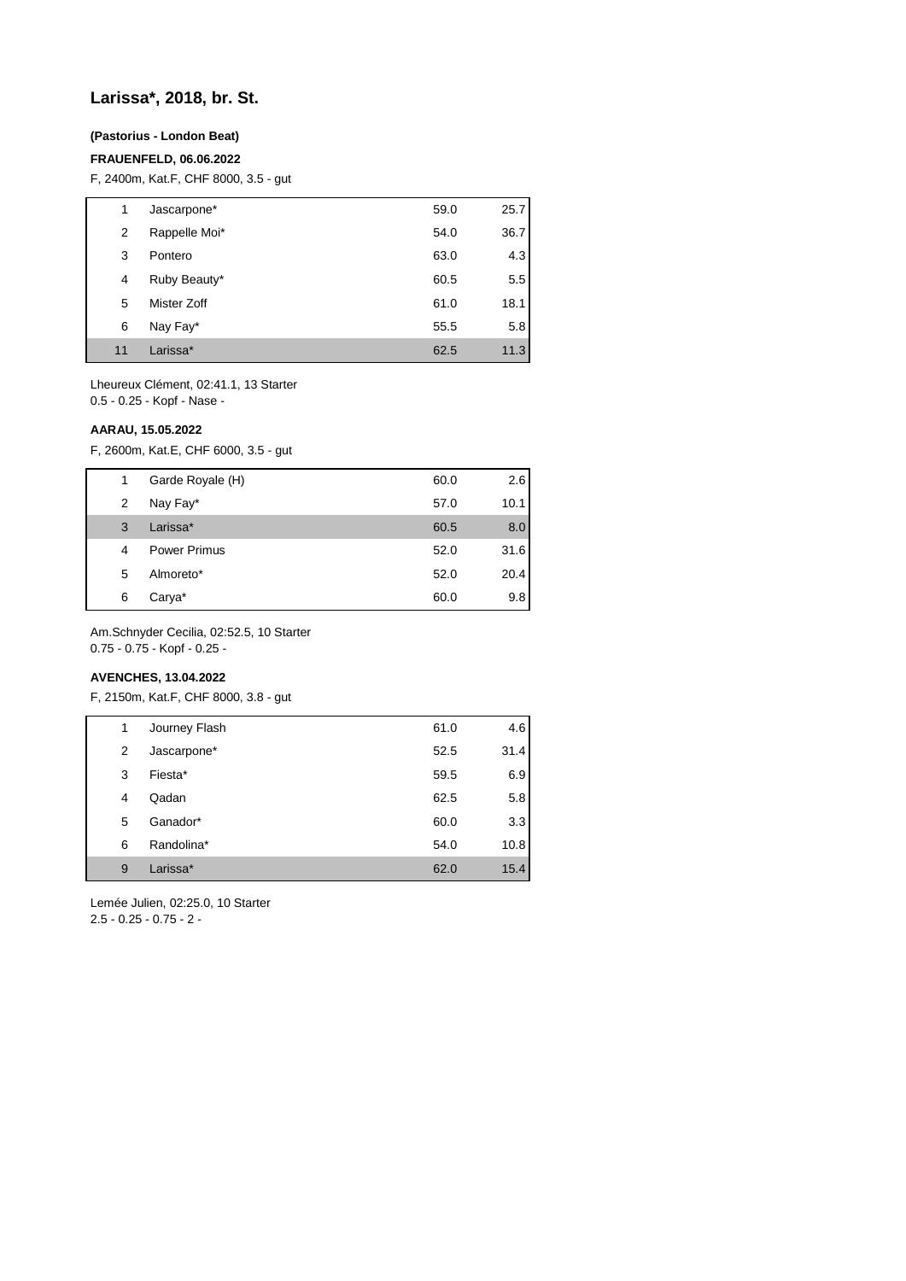## **Larissa\*, 2018, br. St.**

## **(Pastorius - London Beat)**

#### **FRAUENFELD, 06.06.2022**

F, 2400m, Kat.F, CHF 8000, 3.5 - gut

| 1  | Jascarpone*   | 59.0 | 25.7 |
|----|---------------|------|------|
| 2  | Rappelle Moi* | 54.0 | 36.7 |
| 3  | Pontero       | 63.0 | 4.3  |
| 4  | Ruby Beauty*  | 60.5 | 5.5  |
| 5  | Mister Zoff   | 61.0 | 18.1 |
| 6  | Nay Fay*      | 55.5 | 5.8  |
| 11 | Larissa*      | 62.5 | 11.3 |

Lheureux Clément, 02:41.1, 13 Starter 0.5 - 0.25 - Kopf - Nase -

#### **AARAU, 15.05.2022**

F, 2600m, Kat.E, CHF 6000, 3.5 - gut

| 1 | Garde Royale (H)    | 60.0 | 2.6  |
|---|---------------------|------|------|
| 2 | Nay Fay*            | 57.0 | 10.1 |
| 3 | Larissa*            | 60.5 | 8.0  |
| 4 | <b>Power Primus</b> | 52.0 | 31.6 |
| 5 | Almoreto*           | 52.0 | 20.4 |
| 6 | Carya*              | 60.0 | 9.8  |

Am.Schnyder Cecilia, 02:52.5, 10 Starter 0.75 - 0.75 - Kopf - 0.25 -

#### **AVENCHES, 13.04.2022**

F, 2150m, Kat.F, CHF 8000, 3.8 - gut

| 1 | Journey Flash | 61.0 | 4.6  |
|---|---------------|------|------|
| 2 | Jascarpone*   | 52.5 | 31.4 |
| 3 | Fiesta*       | 59.5 | 6.9  |
| 4 | Qadan         | 62.5 | 5.8  |
| 5 | Ganador*      | 60.0 | 3.3  |
| 6 | Randolina*    | 54.0 | 10.8 |
| 9 | Larissa*      | 62.0 | 15.4 |

Lemée Julien, 02:25.0, 10 Starter 2.5 - 0.25 - 0.75 - 2 -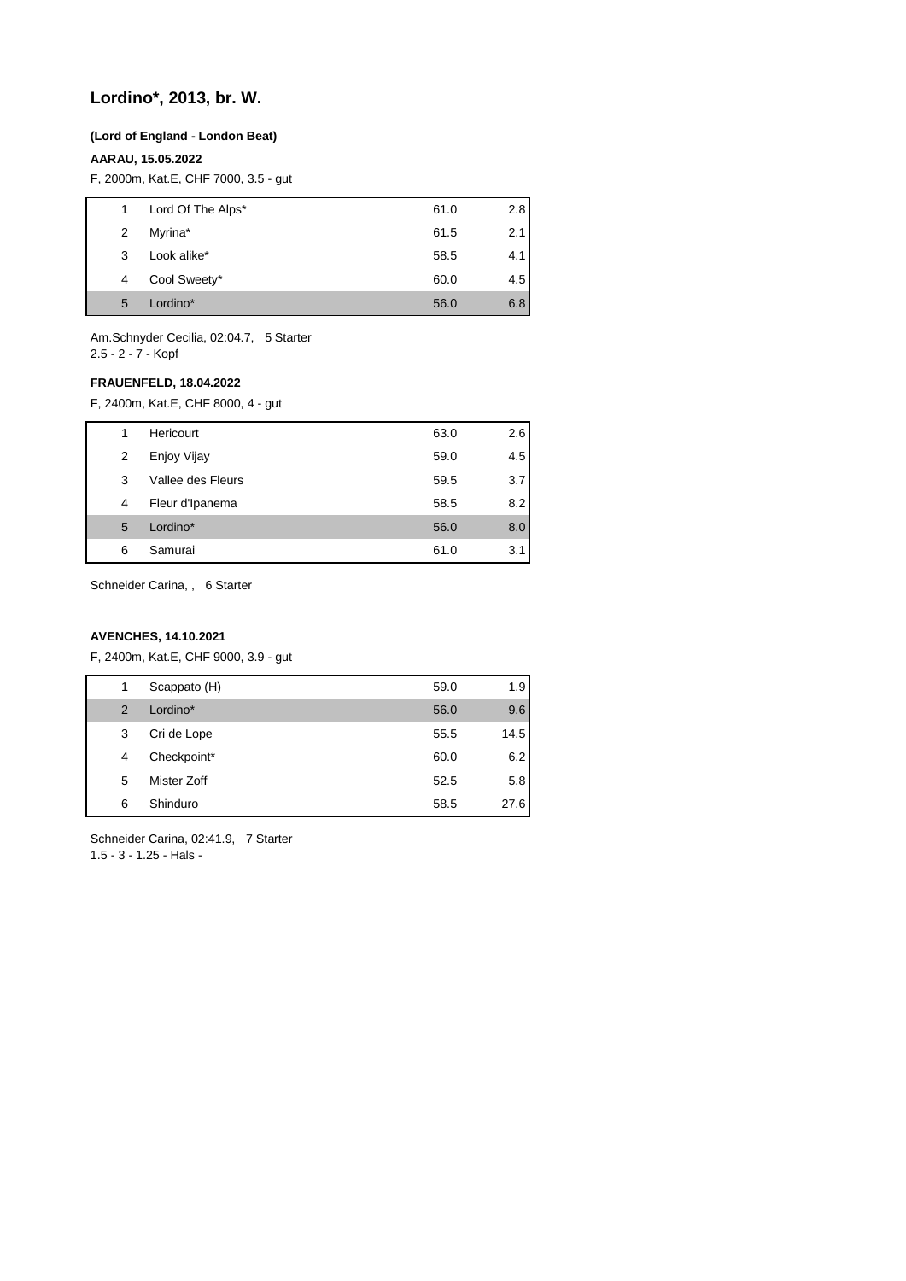## **Lordino\*, 2013, br. W.**

#### **(Lord of England - London Beat)**

### **AARAU, 15.05.2022**

F, 2000m, Kat.E, CHF 7000, 3.5 - gut

| 1 | Lord Of The Alps* | 61.0 | 2.8  |
|---|-------------------|------|------|
| 2 | Myrina*           | 61.5 | 2.11 |
| 3 | Look alike*       | 58.5 | 4.1  |
| 4 | Cool Sweety*      | 60.0 | 4.5  |
| 5 | Lordino*          | 56.0 | 6.8  |
|   |                   |      |      |

Am.Schnyder Cecilia, 02:04.7, 5 Starter 2.5 - 2 - 7 - Kopf

### **FRAUENFELD, 18.04.2022**

F, 2400m, Kat.E, CHF 8000, 4 - gut

| Hericourt<br>63.0<br>1         | 2.6 |
|--------------------------------|-----|
|                                |     |
| Enjoy Vijay<br>59.0<br>2       | 4.5 |
| Vallee des Fleurs<br>59.5<br>3 | 3.7 |
| Fleur d'Ipanema<br>58.5<br>4   | 8.2 |
| Lordino*<br>56.0<br>5          | 8.0 |
| Samurai<br>61.0<br>6           | 3.1 |

Schneider Carina, , 6 Starter

### **AVENCHES, 14.10.2021**

F, 2400m, Kat.E, CHF 9000, 3.9 - gut

| 1              | Scappato (H) | 59.0 | 1.9  |
|----------------|--------------|------|------|
| $\overline{2}$ | Lordino*     | 56.0 | 9.6  |
| 3              | Cri de Lope  | 55.5 | 14.5 |
| 4              | Checkpoint*  | 60.0 | 6.2  |
| 5              | Mister Zoff  | 52.5 | 5.8  |
| 6              | Shinduro     | 58.5 | 27.6 |

Schneider Carina, 02:41.9, 7 Starter 1.5 - 3 - 1.25 - Hals -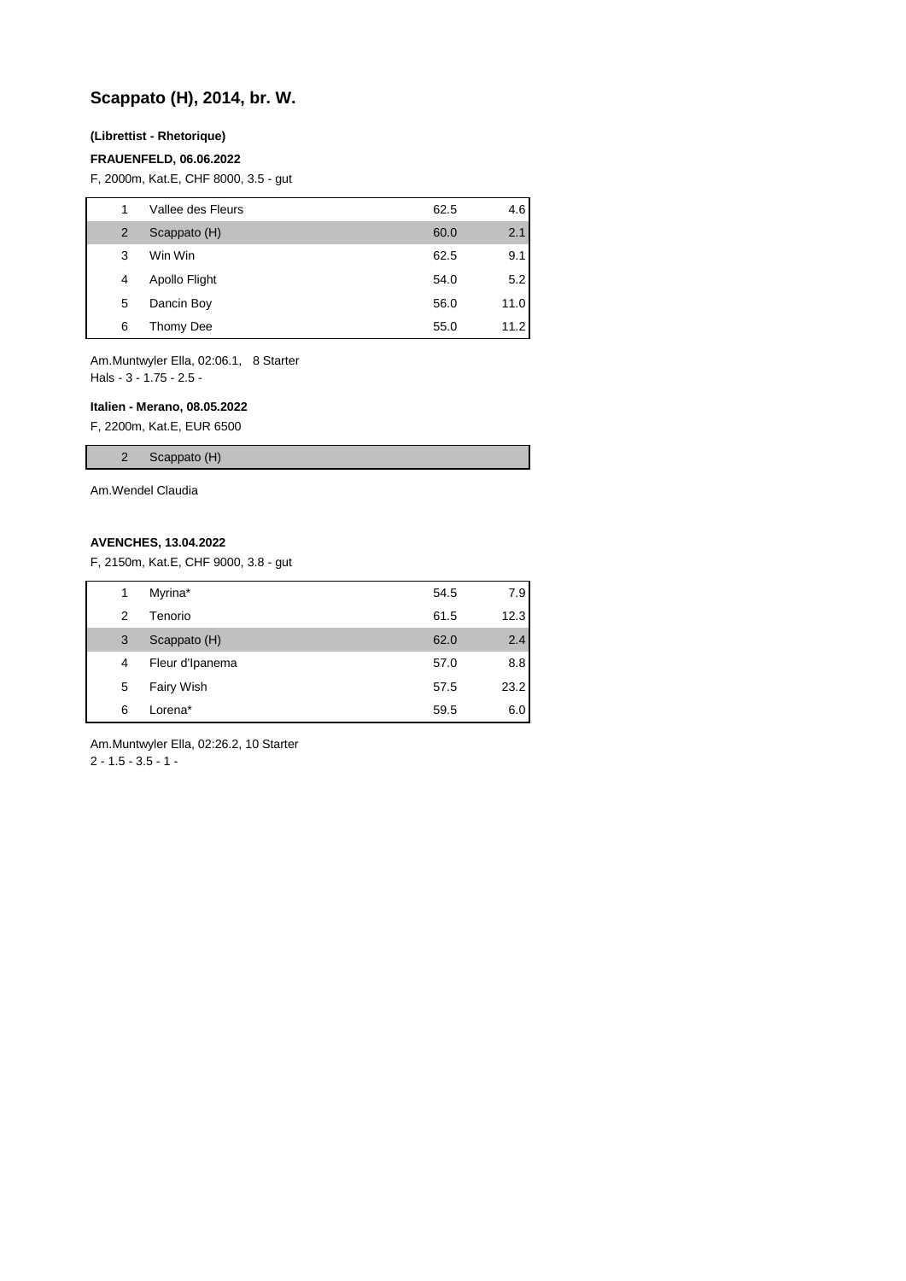## **Scappato (H), 2014, br. W.**

#### **(Librettist - Rhetorique)**

#### **FRAUENFELD, 06.06.2022**

F, 2000m, Kat.E, CHF 8000, 3.5 - gut

| 1 | Vallee des Fleurs | 62.5 | 4.6  |
|---|-------------------|------|------|
| 2 | Scappato (H)      | 60.0 | 2.1  |
| 3 | Win Win           | 62.5 | 9.1  |
| 4 | Apollo Flight     | 54.0 | 5.2  |
| 5 | Dancin Boy        | 56.0 | 11.0 |
| 6 | Thomy Dee         | 55.0 | 11.2 |

Am.Muntwyler Ella, 02:06.1, 8 Starter Hals - 3 - 1.75 - 2.5 -

#### **Italien - Merano, 08.05.2022**

F, 2200m, Kat.E, EUR 6500

2 Scappato (H)

Am.Wendel Claudia

#### **AVENCHES, 13.04.2022**

F, 2150m, Kat.E, CHF 9000, 3.8 - gut

| 1 | Myrina*         | 54.5 | 7.9  |
|---|-----------------|------|------|
| 2 | Tenorio         | 61.5 | 12.3 |
| 3 | Scappato (H)    | 62.0 | 2.4  |
| 4 | Fleur d'Ipanema | 57.0 | 8.8  |
| 5 | Fairy Wish      | 57.5 | 23.2 |
| 6 | Lorena*         | 59.5 | 6.01 |
|   |                 |      |      |

Am.Muntwyler Ella, 02:26.2, 10 Starter  $2 - 1.5 - 3.5 - 1 -$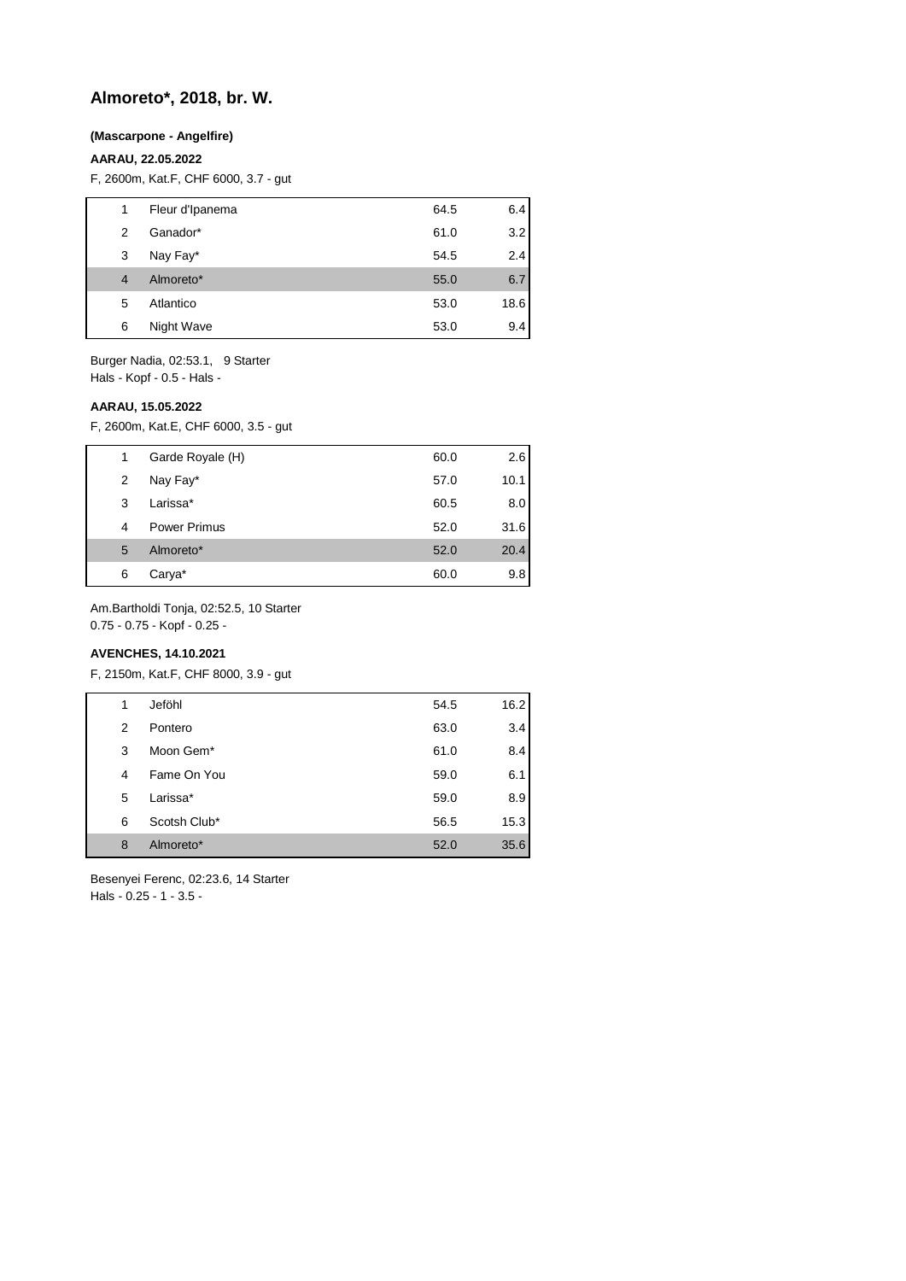## **Almoreto\*, 2018, br. W.**

#### **(Mascarpone - Angelfire)**

### **AARAU, 22.05.2022**

F, 2600m, Kat.F, CHF 6000, 3.7 - gut

| 1              | Fleur d'Ipanema | 64.5 | 6.4  |
|----------------|-----------------|------|------|
| 2              | Ganador*        | 61.0 | 3.2  |
| 3              | Nay Fay*        | 54.5 | 2.4  |
| $\overline{4}$ | Almoreto*       | 55.0 | 6.7  |
| 5              | Atlantico       | 53.0 | 18.6 |
| 6              | Night Wave      | 53.0 | 9.4  |
|                |                 |      |      |

Burger Nadia, 02:53.1, 9 Starter Hals - Kopf - 0.5 - Hals -

#### **AARAU, 15.05.2022**

F, 2600m, Kat.E, CHF 6000, 3.5 - gut

| 1 | Garde Royale (H) | 60.0 | 2.6  |
|---|------------------|------|------|
| 2 | Nay Fay*         | 57.0 | 10.1 |
| 3 | Larissa*         | 60.5 | 8.0  |
| 4 | Power Primus     | 52.0 | 31.6 |
| 5 | Almoreto*        | 52.0 | 20.4 |
| 6 | Carya*           | 60.0 | 9.8  |

Am.Bartholdi Tonja, 02:52.5, 10 Starter

0.75 - 0.75 - Kopf - 0.25 -

## **AVENCHES, 14.10.2021**

F, 2150m, Kat.F, CHF 8000, 3.9 - gut

| 1 | Jeföhl       | 54.5 | 16.2 |
|---|--------------|------|------|
| 2 | Pontero      | 63.0 | 3.4  |
| 3 | Moon Gem*    | 61.0 | 8.4  |
| 4 | Fame On You  | 59.0 | 6.1  |
| 5 | Larissa*     | 59.0 | 8.9  |
| 6 | Scotsh Club* | 56.5 | 15.3 |
| 8 | Almoreto*    | 52.0 | 35.6 |
|   |              |      |      |

Besenyei Ferenc, 02:23.6, 14 Starter Hals - 0.25 - 1 - 3.5 -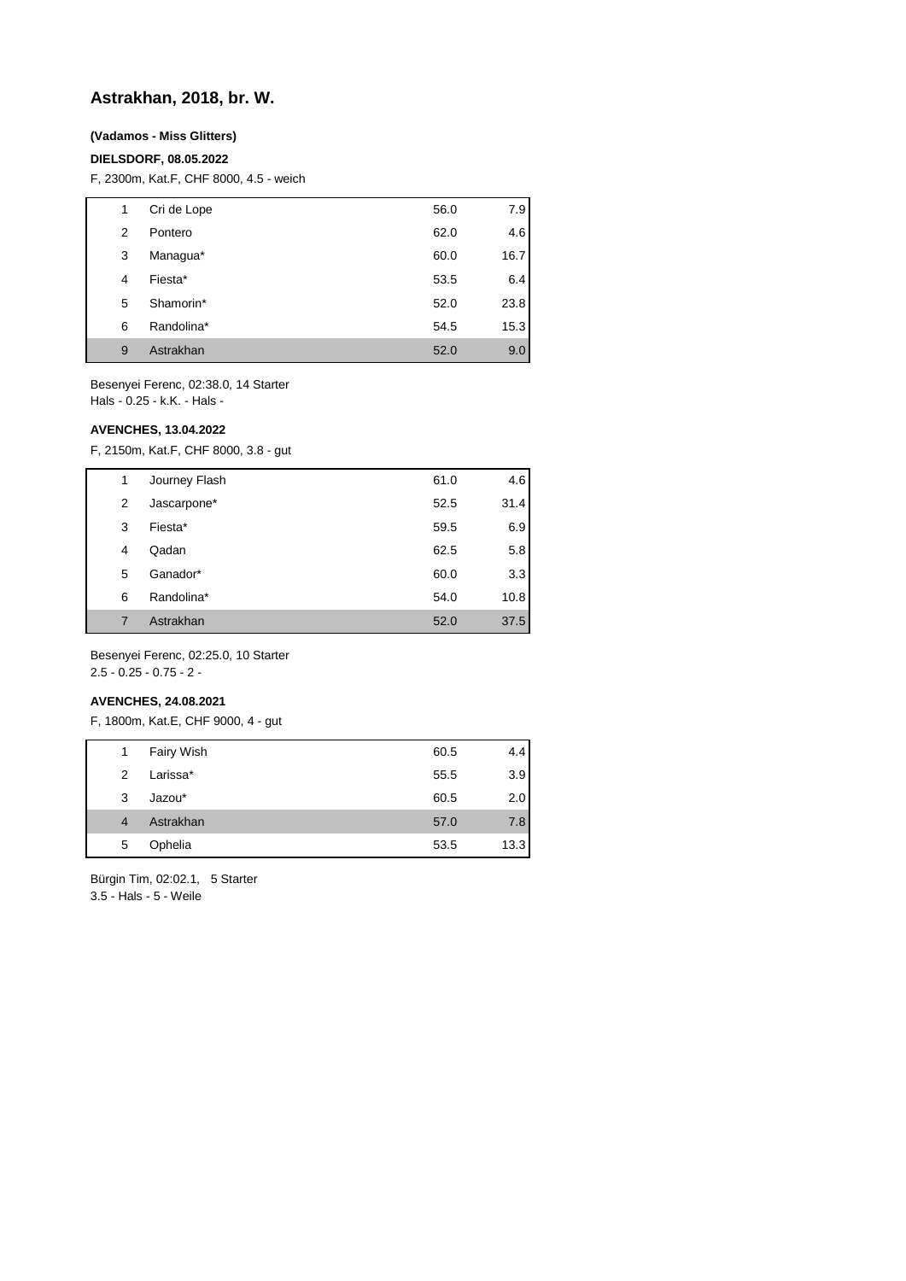## **Astrakhan, 2018, br. W.**

### **(Vadamos - Miss Glitters)**

#### **DIELSDORF, 08.05.2022**

F, 2300m, Kat.F, CHF 8000, 4.5 - weich

| 1 | Cri de Lope | 56.0 | 7.9  |
|---|-------------|------|------|
| 2 | Pontero     | 62.0 | 4.6  |
| 3 | Managua*    | 60.0 | 16.7 |
| 4 | Fiesta*     | 53.5 | 6.4  |
| 5 | Shamorin*   | 52.0 | 23.8 |
| 6 | Randolina*  | 54.5 | 15.3 |
| 9 | Astrakhan   | 52.0 | 9.0  |

Besenyei Ferenc, 02:38.0, 14 Starter Hals - 0.25 - k.K. - Hals -

#### **AVENCHES, 13.04.2022**

F, 2150m, Kat.F, CHF 8000, 3.8 - gut

| Journey Flash<br>61.0<br>1 | 4.6  |
|----------------------------|------|
|                            |      |
| Jascarpone*<br>52.5<br>2   | 31.4 |
| 3<br>Fiesta*<br>59.5       | 6.9  |
| 62.5<br>Qadan<br>4         | 5.8  |
| Ganador*<br>5<br>60.0      | 3.3  |
| Randolina*<br>54.0<br>6    | 10.8 |
| Astrakhan<br>52.0<br>7     | 37.5 |

Besenyei Ferenc, 02:25.0, 10 Starter 2.5 - 0.25 - 0.75 - 2 -

#### **AVENCHES, 24.08.2021**

F, 1800m, Kat.E, CHF 9000, 4 - gut

| 4.4  |
|------|
| 3.9  |
| 2.0  |
| 7.8  |
| 13.3 |
|      |

Bürgin Tim, 02:02.1, 5 Starter 3.5 - Hals - 5 - Weile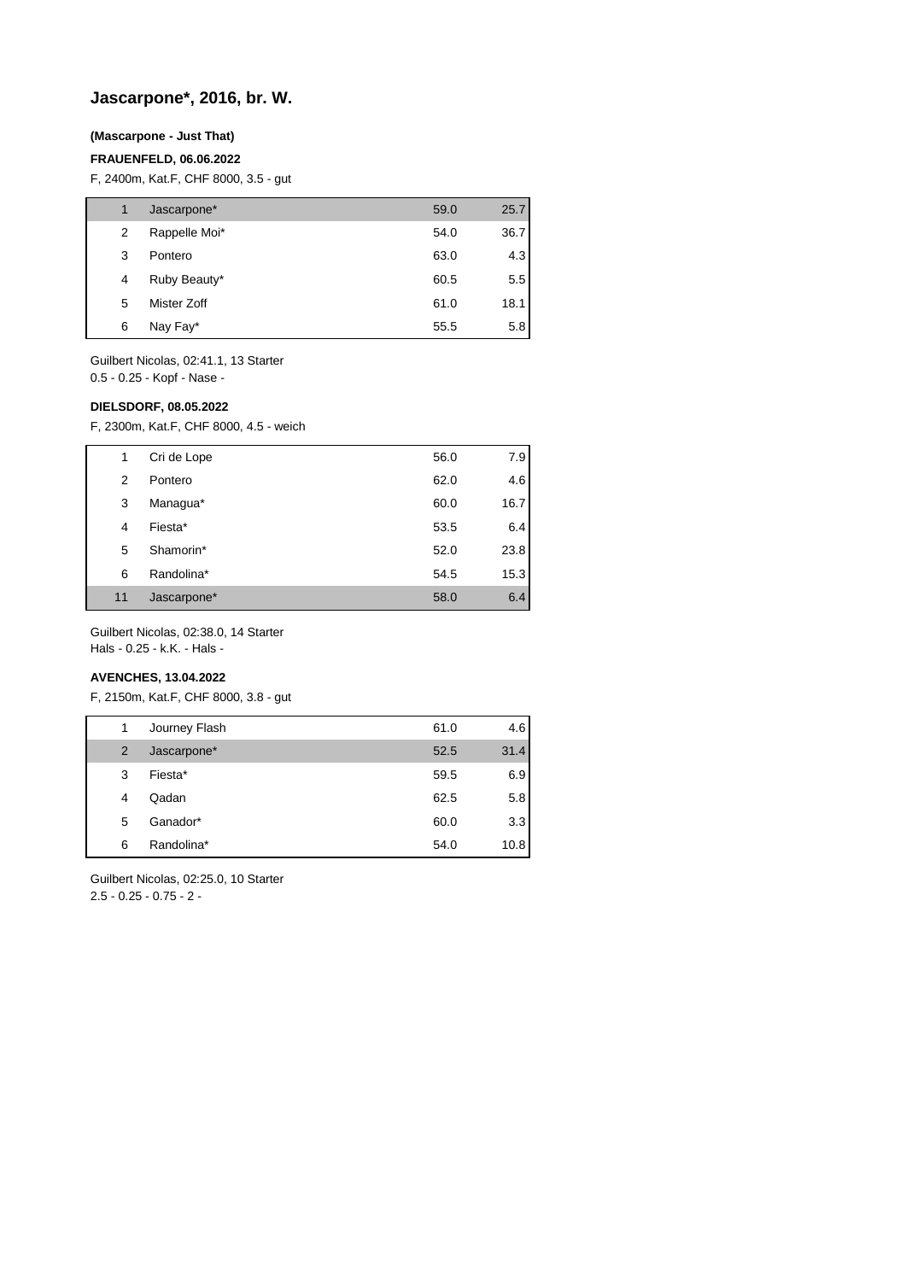## **Jascarpone\*, 2016, br. W.**

### **(Mascarpone - Just That)**

#### **FRAUENFELD, 06.06.2022**

F, 2400m, Kat.F, CHF 8000, 3.5 - gut

| 1 | Jascarpone*   | 59.0 | 25.7 |
|---|---------------|------|------|
| 2 | Rappelle Moi* | 54.0 | 36.7 |
| 3 | Pontero       | 63.0 | 4.3  |
| 4 | Ruby Beauty*  | 60.5 | 5.5  |
| 5 | Mister Zoff   | 61.0 | 18.1 |
| 6 | Nay Fay*      | 55.5 | 5.8  |

Guilbert Nicolas, 02:41.1, 13 Starter

0.5 - 0.25 - Kopf - Nase -

### **DIELSDORF, 08.05.2022**

F, 2300m, Kat.F, CHF 8000, 4.5 - weich

| 1  | Cri de Lope | 56.0 | 7.9  |
|----|-------------|------|------|
| 2  | Pontero     | 62.0 | 4.6  |
| 3  | Managua*    | 60.0 | 16.7 |
| 4  | Fiesta*     | 53.5 | 6.4  |
| 5  | Shamorin*   | 52.0 | 23.8 |
| 6  | Randolina*  | 54.5 | 15.3 |
| 11 | Jascarpone* | 58.0 | 6.4  |

Guilbert Nicolas, 02:38.0, 14 Starter

Hals - 0.25 - k.K. - Hals -

### **AVENCHES, 13.04.2022**

F, 2150m, Kat.F, CHF 8000, 3.8 - gut

| 1 | Journey Flash | 61.0 | 4.6  |
|---|---------------|------|------|
| 2 | Jascarpone*   | 52.5 | 31.4 |
| 3 | Fiesta*       | 59.5 | 6.9  |
| 4 | Qadan         | 62.5 | 5.8  |
| 5 | Ganador*      | 60.0 | 3.3  |
| 6 | Randolina*    | 54.0 | 10.8 |

Guilbert Nicolas, 02:25.0, 10 Starter 2.5 - 0.25 - 0.75 - 2 -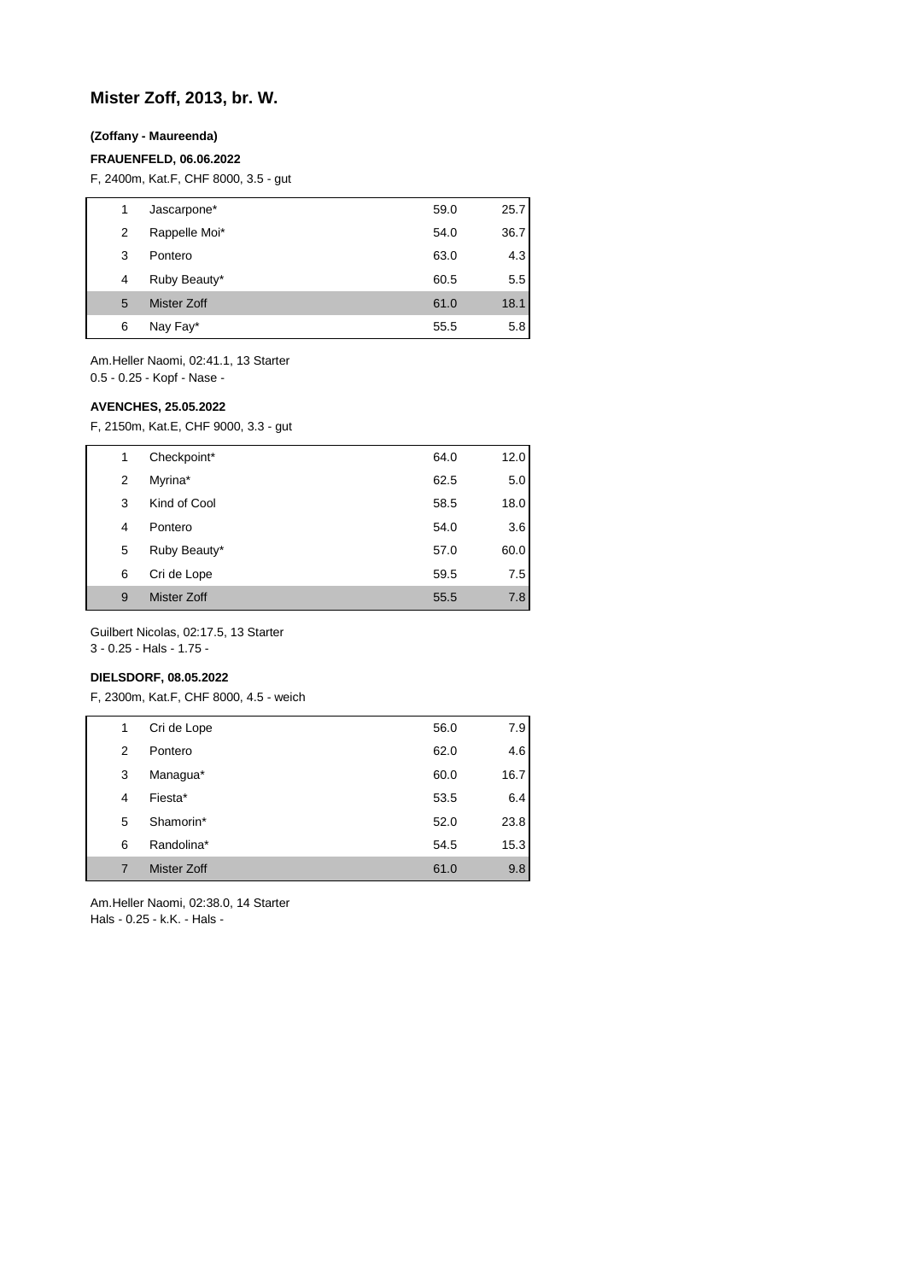## **Mister Zoff, 2013, br. W.**

### **(Zoffany - Maureenda)**

#### **FRAUENFELD, 06.06.2022**

F, 2400m, Kat.F, CHF 8000, 3.5 - gut

| 1 | Jascarpone*        | 59.0 | 25.7 |
|---|--------------------|------|------|
| 2 | Rappelle Moi*      | 54.0 | 36.7 |
| 3 | Pontero            | 63.0 | 4.3  |
| 4 | Ruby Beauty*       | 60.5 | 5.5  |
| 5 | <b>Mister Zoff</b> | 61.0 | 18.1 |
| 6 | Nay Fay*           | 55.5 | 5.8  |

Am.Heller Naomi, 02:41.1, 13 Starter 0.5 - 0.25 - Kopf - Nase -

### **AVENCHES, 25.05.2022**

F, 2150m, Kat.E, CHF 9000, 3.3 - gut

| 1              | Checkpoint*  | 64.0 | 12.0 |
|----------------|--------------|------|------|
| $\overline{2}$ | Myrina*      | 62.5 | 5.0  |
| 3              | Kind of Cool | 58.5 | 18.0 |
| 4              | Pontero      | 54.0 | 3.6  |
| 5              | Ruby Beauty* | 57.0 | 60.0 |
| 6              | Cri de Lope  | 59.5 | 7.5  |
| 9              | Mister Zoff  | 55.5 | 7.8  |

Guilbert Nicolas, 02:17.5, 13 Starter

3 - 0.25 - Hals - 1.75 -

## **DIELSDORF, 08.05.2022**

F, 2300m, Kat.F, CHF 8000, 4.5 - weich

| 1 | Cri de Lope        | 56.0 | 7.9  |
|---|--------------------|------|------|
| 2 | Pontero            | 62.0 | 4.6  |
| 3 | Managua*           | 60.0 | 16.7 |
| 4 | Fiesta*            | 53.5 | 6.4  |
| 5 | Shamorin*          | 52.0 | 23.8 |
| 6 | Randolina*         | 54.5 | 15.3 |
| 7 | <b>Mister Zoff</b> | 61.0 | 9.8  |

Am.Heller Naomi, 02:38.0, 14 Starter Hals - 0.25 - k.K. - Hals -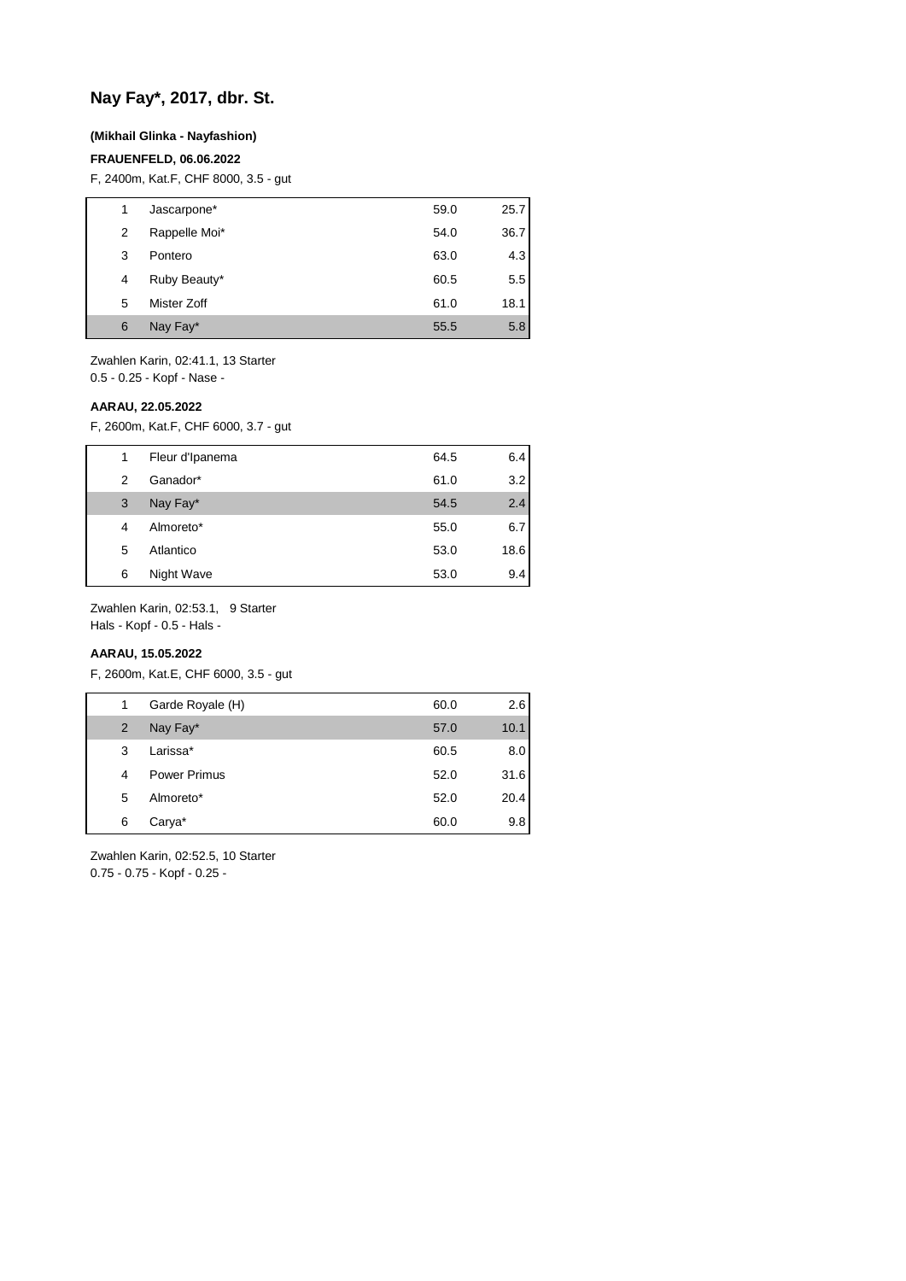## **Nay Fay\*, 2017, dbr. St.**

### **(Mikhail Glinka - Nayfashion)**

#### **FRAUENFELD, 06.06.2022**

F, 2400m, Kat.F, CHF 8000, 3.5 - gut

| 1 | Jascarpone*   | 59.0 | 25.7 |
|---|---------------|------|------|
| 2 | Rappelle Moi* | 54.0 | 36.7 |
| 3 | Pontero       | 63.0 | 4.3  |
| 4 | Ruby Beauty*  | 60.5 | 5.5  |
| 5 | Mister Zoff   | 61.0 | 18.1 |
| 6 | Nay Fay*      | 55.5 | 5.8  |

Zwahlen Karin, 02:41.1, 13 Starter 0.5 - 0.25 - Kopf - Nase -

#### **AARAU, 22.05.2022**

F, 2600m, Kat.F, CHF 6000, 3.7 - gut

| 1 | Fleur d'Ipanema | 64.5 | 6.4  |
|---|-----------------|------|------|
| 2 | Ganador*        | 61.0 | 3.2  |
| 3 | Nay Fay*        | 54.5 | 2.4  |
| 4 | Almoreto*       | 55.0 | 6.7  |
| 5 | Atlantico       | 53.0 | 18.6 |
| 6 | Night Wave      | 53.0 | 9.4  |

Zwahlen Karin, 02:53.1, 9 Starter

Hals - Kopf - 0.5 - Hals -

## **AARAU, 15.05.2022**

F, 2600m, Kat.E, CHF 6000, 3.5 - gut

| 1              | Garde Royale (H)    | 60.0 | 2.6  |
|----------------|---------------------|------|------|
| 2              | Nay Fay*            | 57.0 | 10.1 |
| 3              | Larissa*            | 60.5 | 8.0  |
| $\overline{4}$ | <b>Power Primus</b> | 52.0 | 31.6 |
| 5              | Almoreto*           | 52.0 | 20.4 |
| 6              | Carya*              | 60.0 | 9.8  |
|                |                     |      |      |

Zwahlen Karin, 02:52.5, 10 Starter 0.75 - 0.75 - Kopf - 0.25 -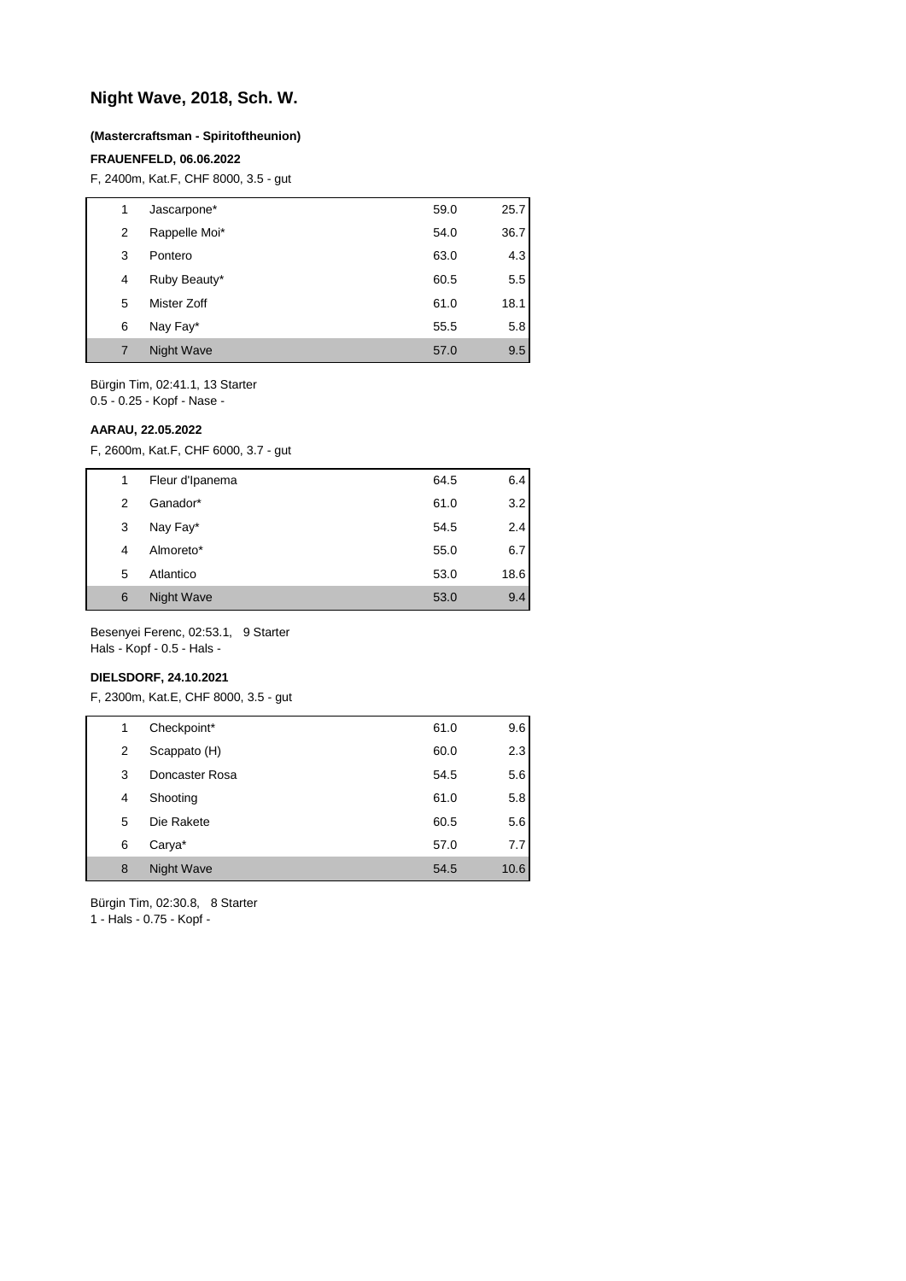## **Night Wave, 2018, Sch. W.**

#### **(Mastercraftsman - Spiritoftheunion)**

#### **FRAUENFELD, 06.06.2022**

F, 2400m, Kat.F, CHF 8000, 3.5 - gut

| 1 | Jascarpone*       | 59.0 | 25.7 |
|---|-------------------|------|------|
| 2 | Rappelle Moi*     | 54.0 | 36.7 |
| 3 | Pontero           | 63.0 | 4.3  |
| 4 | Ruby Beauty*      | 60.5 | 5.5  |
| 5 | Mister Zoff       | 61.0 | 18.1 |
| 6 | Nay Fay*          | 55.5 | 5.8  |
|   | <b>Night Wave</b> | 57.0 | 9.5  |
|   |                   |      |      |

Bürgin Tim, 02:41.1, 13 Starter 0.5 - 0.25 - Kopf - Nase -

**AARAU, 22.05.2022**

F, 2600m, Kat.F, CHF 6000, 3.7 - gut

| 1 | Fleur d'Ipanema | 64.5 | 6.4  |
|---|-----------------|------|------|
| 2 | Ganador*        | 61.0 | 3.2  |
| 3 | Nay Fay*        | 54.5 | 2.4  |
| 4 | Almoreto*       | 55.0 | 6.7  |
| 5 | Atlantico       | 53.0 | 18.6 |
| 6 | Night Wave      | 53.0 | 9.4  |

Besenyei Ferenc, 02:53.1, 9 Starter Hals - Kopf - 0.5 - Hals -

### **DIELSDORF, 24.10.2021**

F, 2300m, Kat.E, CHF 8000, 3.5 - gut

| 1 | Checkpoint*    | 61.0 | 9.6  |
|---|----------------|------|------|
| 2 | Scappato (H)   | 60.0 | 2.3  |
| 3 | Doncaster Rosa | 54.5 | 5.6  |
| 4 | Shooting       | 61.0 | 5.8  |
| 5 | Die Rakete     | 60.5 | 5.6  |
| 6 | Carya*         | 57.0 | 7.7  |
| 8 | Night Wave     | 54.5 | 10.6 |

Bürgin Tim, 02:30.8, 8 Starter

1 - Hals - 0.75 - Kopf -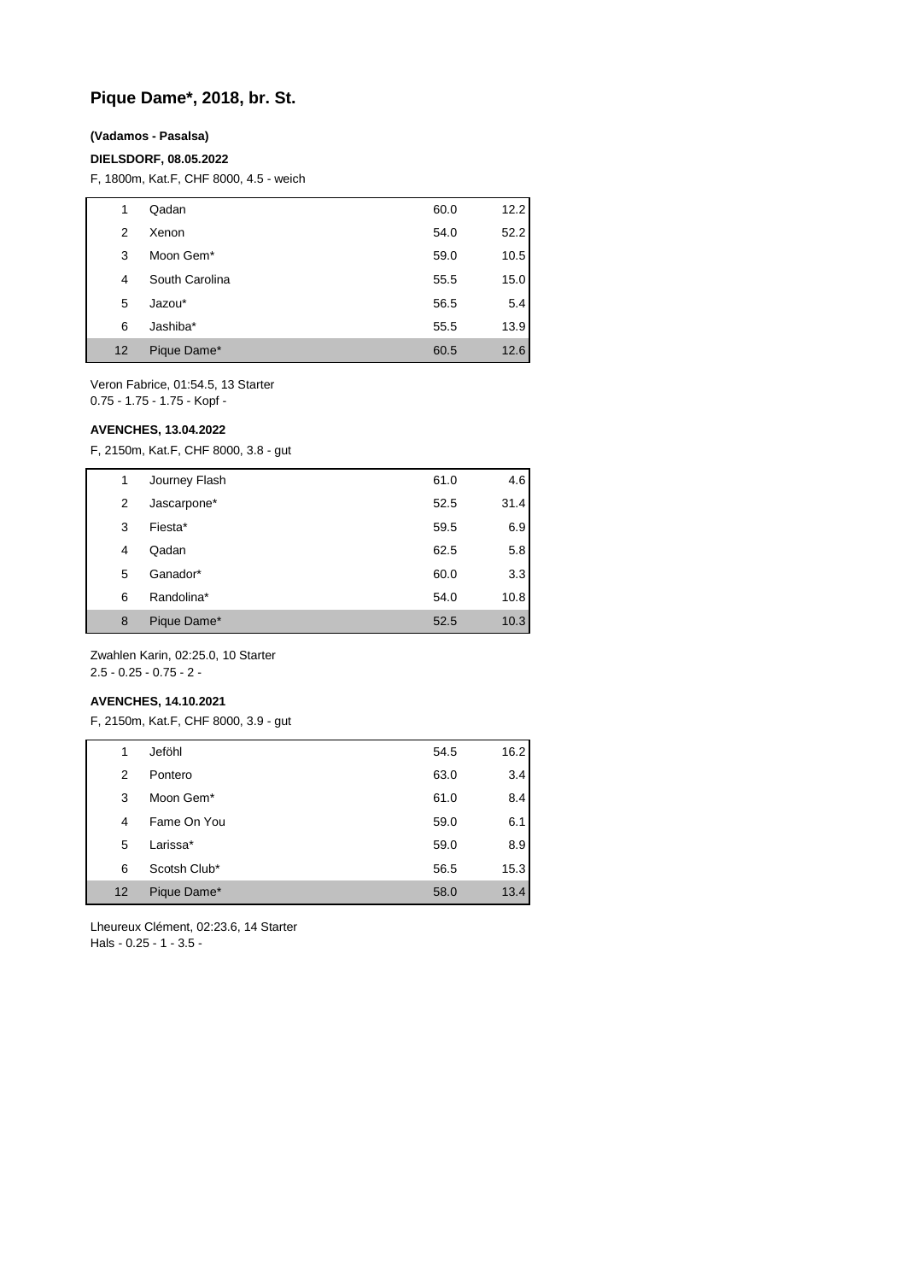## **Pique Dame\*, 2018, br. St.**

#### **(Vadamos - Pasalsa)**

#### **DIELSDORF, 08.05.2022**

F, 1800m, Kat.F, CHF 8000, 4.5 - weich

| 1  | Qadan          | 60.0 | 12.2 |
|----|----------------|------|------|
| 2  | Xenon          | 54.0 | 52.2 |
| 3  | Moon Gem*      | 59.0 | 10.5 |
| 4  | South Carolina | 55.5 | 15.0 |
| 5  | Jazou*         | 56.5 | 5.4  |
| 6  | Jashiba*       | 55.5 | 13.9 |
| 12 | Pique Dame*    | 60.5 | 12.6 |

Veron Fabrice, 01:54.5, 13 Starter 0.75 - 1.75 - 1.75 - Kopf -

#### **AVENCHES, 13.04.2022**

F, 2150m, Kat.F, CHF 8000, 3.8 - gut

| 1 | Journey Flash | 61.0 | 4.6  |
|---|---------------|------|------|
| 2 | Jascarpone*   | 52.5 | 31.4 |
| 3 | Fiesta*       | 59.5 | 6.9  |
| 4 | Qadan         | 62.5 | 5.8  |
| 5 | Ganador*      | 60.0 | 3.3  |
| 6 | Randolina*    | 54.0 | 10.8 |
| 8 | Pique Dame*   | 52.5 | 10.3 |

Zwahlen Karin, 02:25.0, 10 Starter 2.5 - 0.25 - 0.75 - 2 -

#### **AVENCHES, 14.10.2021**

F, 2150m, Kat.F, CHF 8000, 3.9 - gut

| 1  | Jeföhl       | 54.5 | 16.2 |
|----|--------------|------|------|
| 2  | Pontero      | 63.0 | 3.4  |
| 3  | Moon Gem*    | 61.0 | 8.4  |
| 4  | Fame On You  | 59.0 | 6.1  |
| 5  | Larissa*     | 59.0 | 8.9  |
| 6  | Scotsh Club* | 56.5 | 15.3 |
| 12 | Pique Dame*  | 58.0 | 13.4 |

Lheureux Clément, 02:23.6, 14 Starter Hals - 0.25 - 1 - 3.5 -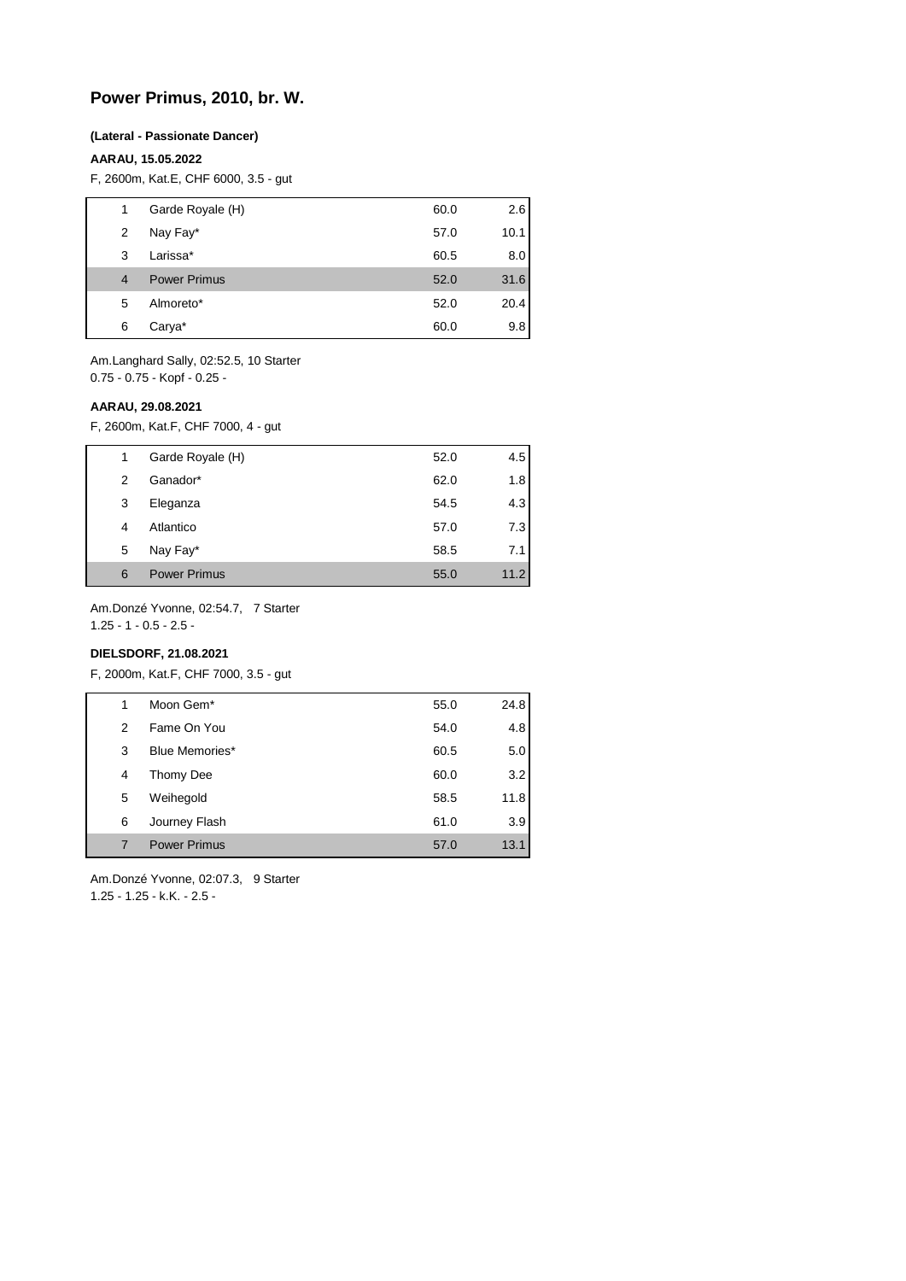## **Power Primus, 2010, br. W.**

#### **(Lateral - Passionate Dancer)**

#### **AARAU, 15.05.2022**

F, 2600m, Kat.E, CHF 6000, 3.5 - gut

|                | Garde Royale (H)    | 60.0 | 2.6  |
|----------------|---------------------|------|------|
| 2              | Nay Fay*            | 57.0 | 10.1 |
| 3              | Larissa*            | 60.5 | 8.0  |
| $\overline{4}$ | <b>Power Primus</b> | 52.0 | 31.6 |
| 5              | Almoreto*           | 52.0 | 20.4 |
| 6              | Carya*              | 60.0 | 9.8  |
|                |                     |      |      |

Am.Langhard Sally, 02:52.5, 10 Starter 0.75 - 0.75 - Kopf - 0.25 -

#### **AARAU, 29.08.2021**

F, 2600m, Kat.F, CHF 7000, 4 - gut

| 1 | Garde Royale (H)    | 52.0 | 4.5  |
|---|---------------------|------|------|
| 2 | Ganador*            | 62.0 | 1.8  |
| 3 | Eleganza            | 54.5 | 4.3  |
| 4 | Atlantico           | 57.0 | 7.3  |
| 5 | Nay Fay*            | 58.5 | 7.1  |
| 6 | <b>Power Primus</b> | 55.0 | 11.2 |

Am.Donzé Yvonne, 02:54.7, 7 Starter

1.25 - 1 - 0.5 - 2.5 -

## **DIELSDORF, 21.08.2021**

F, 2000m, Kat.F, CHF 7000, 3.5 - gut

| 1 | Moon Gem <sup>*</sup> | 55.0 | 24.8 |
|---|-----------------------|------|------|
| 2 | Fame On You           | 54.0 | 4.8  |
| 3 | Blue Memories*        | 60.5 | 5.0  |
| 4 | Thomy Dee             | 60.0 | 3.2  |
| 5 | Weihegold             | 58.5 | 11.8 |
| 6 | Journey Flash         | 61.0 | 3.9  |
| 7 | <b>Power Primus</b>   | 57.0 | 13.1 |

Am.Donzé Yvonne, 02:07.3, 9 Starter 1.25 - 1.25 - k.K. - 2.5 -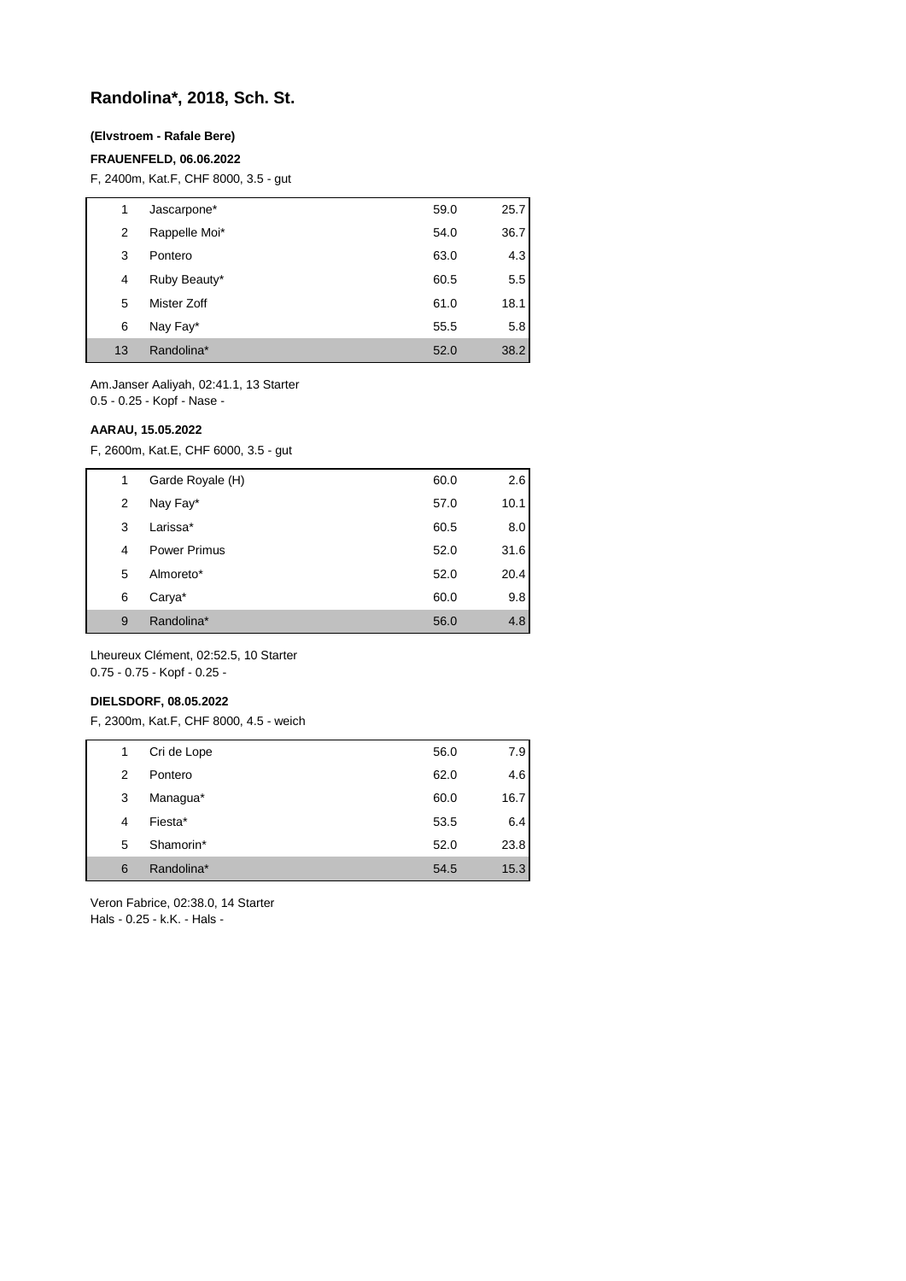## **Randolina\*, 2018, Sch. St.**

### **(Elvstroem - Rafale Bere)**

#### **FRAUENFELD, 06.06.2022**

F, 2400m, Kat.F, CHF 8000, 3.5 - gut

| 1  | Jascarpone*   | 59.0 | 25.7 |
|----|---------------|------|------|
| 2  | Rappelle Moi* | 54.0 | 36.7 |
| 3  | Pontero       | 63.0 | 4.3  |
| 4  | Ruby Beauty*  | 60.5 | 5.5  |
| 5  | Mister Zoff   | 61.0 | 18.1 |
| 6  | Nay Fay*      | 55.5 | 5.8  |
| 13 | Randolina*    | 52.0 | 38.2 |

Am.Janser Aaliyah, 02:41.1, 13 Starter 0.5 - 0.25 - Kopf - Nase -

#### **AARAU, 15.05.2022**

F, 2600m, Kat.E, CHF 6000, 3.5 - gut

| 1 | Garde Royale (H) | 60.0 | 2.6  |
|---|------------------|------|------|
| 2 | Nay Fay*         | 57.0 | 10.1 |
| 3 | Larissa*         | 60.5 | 8.0  |
| 4 | Power Primus     | 52.0 | 31.6 |
| 5 | Almoreto*        | 52.0 | 20.4 |
| 6 | Carya*           | 60.0 | 9.8  |
| 9 | Randolina*       | 56.0 | 4.8  |

Lheureux Clément, 02:52.5, 10 Starter 0.75 - 0.75 - Kopf - 0.25 -

#### **DIELSDORF, 08.05.2022**

F, 2300m, Kat.F, CHF 8000, 4.5 - weich

| 1 | Cri de Lope | 56.0 | 7.9  |
|---|-------------|------|------|
| 2 | Pontero     | 62.0 | 4.6  |
| 3 | Managua*    | 60.0 | 16.7 |
| 4 | Fiesta*     | 53.5 | 6.4  |
| 5 | Shamorin*   | 52.0 | 23.8 |
| 6 | Randolina*  | 54.5 | 15.3 |

Veron Fabrice, 02:38.0, 14 Starter Hals - 0.25 - k.K. - Hals -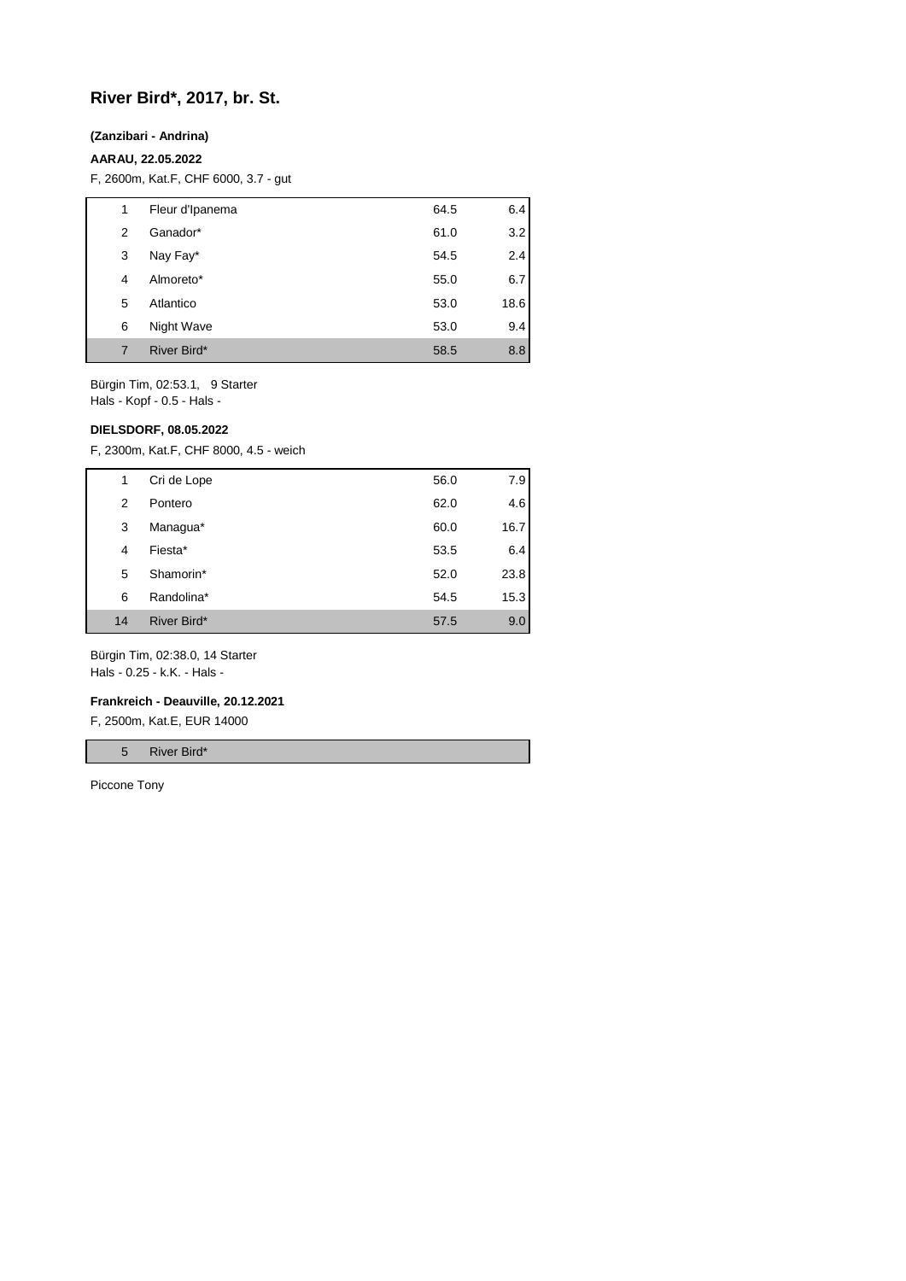## **River Bird\*, 2017, br. St.**

#### **(Zanzibari - Andrina)**

### **AARAU, 22.05.2022**

F, 2600m, Kat.F, CHF 6000, 3.7 - gut

| 1 | Fleur d'Ipanema | 64.5 | 6.4  |
|---|-----------------|------|------|
| 2 | Ganador*        | 61.0 | 3.2  |
| 3 | Nay Fay*        | 54.5 | 2.4  |
| 4 | Almoreto*       | 55.0 | 6.7  |
| 5 | Atlantico       | 53.0 | 18.6 |
| 6 | Night Wave      | 53.0 | 9.4  |
| 7 | River Bird*     | 58.5 | 8.8  |

Bürgin Tim, 02:53.1, 9 Starter Hals - Kopf - 0.5 - Hals -

#### **DIELSDORF, 08.05.2022**

F, 2300m, Kat.F, CHF 8000, 4.5 - weich

| 1  | Cri de Lope | 56.0 | 7.9  |
|----|-------------|------|------|
| 2  | Pontero     | 62.0 | 4.6  |
| 3  | Managua*    | 60.0 | 16.7 |
| 4  | Fiesta*     | 53.5 | 6.4  |
| 5  | Shamorin*   | 52.0 | 23.8 |
| 6  | Randolina*  | 54.5 | 15.3 |
| 14 | River Bird* | 57.5 | 9.0  |

Bürgin Tim, 02:38.0, 14 Starter Hals - 0.25 - k.K. - Hals -

#### **Frankreich - Deauville, 20.12.2021**

F, 2500m, Kat.E, EUR 14000

5 River Bird\*

Piccone Tony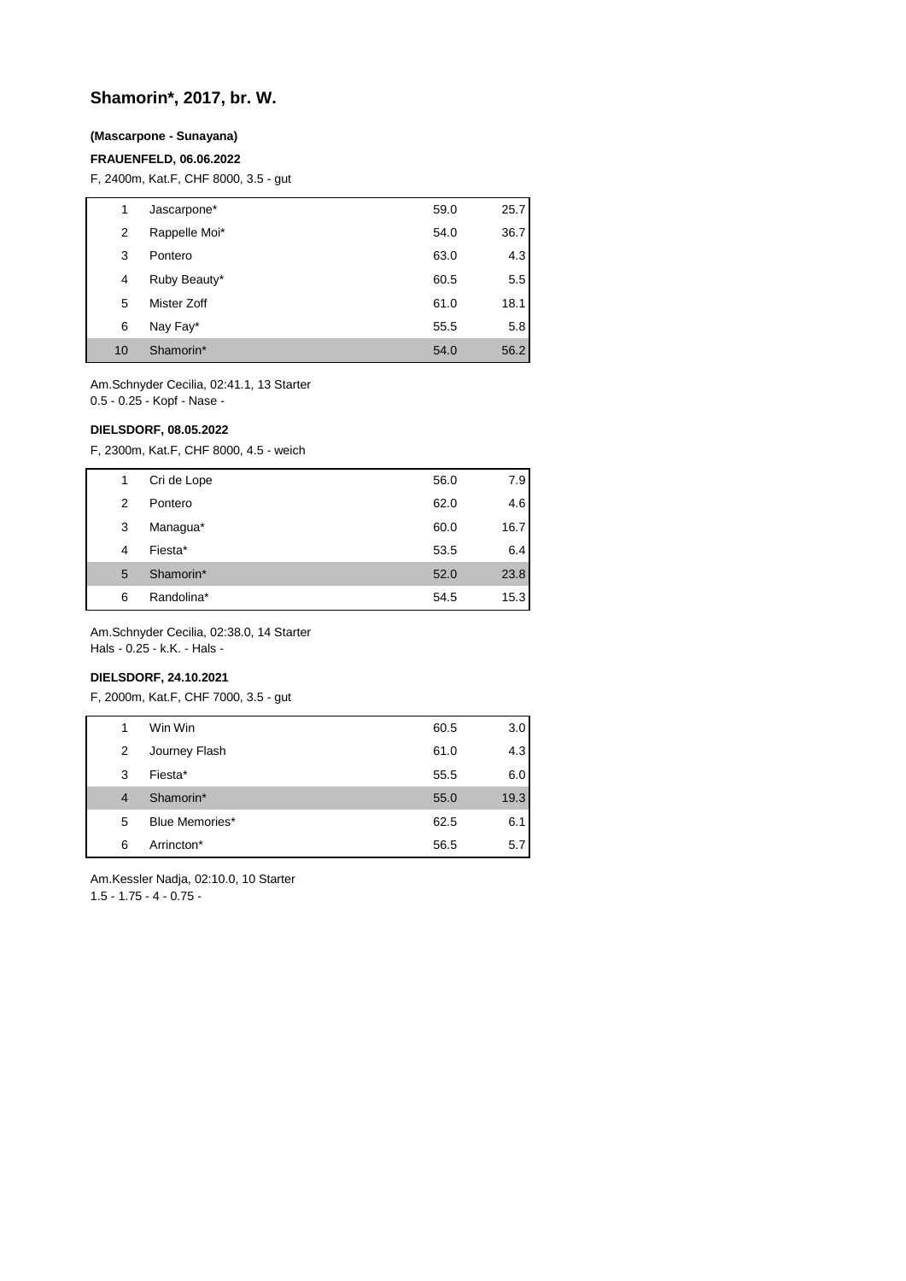## **Shamorin\*, 2017, br. W.**

#### **(Mascarpone - Sunayana)**

#### **FRAUENFELD, 06.06.2022**

F, 2400m, Kat.F, CHF 8000, 3.5 - gut

| 1  | Jascarpone*   | 59.0 | 25.7 |
|----|---------------|------|------|
| 2  | Rappelle Moi* | 54.0 | 36.7 |
| 3  | Pontero       | 63.0 | 4.3  |
| 4  | Ruby Beauty*  | 60.5 | 5.5  |
| 5  | Mister Zoff   | 61.0 | 18.1 |
| 6  | Nay Fay*      | 55.5 | 5.8  |
| 10 | Shamorin*     | 54.0 | 56.2 |

Am.Schnyder Cecilia, 02:41.1, 13 Starter 0.5 - 0.25 - Kopf - Nase -

#### **DIELSDORF, 08.05.2022**

F, 2300m, Kat.F, CHF 8000, 4.5 - weich

| 1 | Cri de Lope | 56.0 | 7.9  |
|---|-------------|------|------|
| 2 | Pontero     | 62.0 | 4.6  |
| 3 | Managua*    | 60.0 | 16.7 |
| 4 | Fiesta*     | 53.5 | 6.4  |
| 5 | Shamorin*   | 52.0 | 23.8 |
| 6 | Randolina*  | 54.5 | 15.3 |

Am.Schnyder Cecilia, 02:38.0, 14 Starter Hals - 0.25 - k.K. - Hals -

### **DIELSDORF, 24.10.2021**

F, 2000m, Kat.F, CHF 7000, 3.5 - gut

| 1              | Win Win        | 60.5 | 3.0  |
|----------------|----------------|------|------|
| 2              | Journey Flash  | 61.0 | 4.3  |
| 3              | Fiesta*        | 55.5 | 6.0  |
| $\overline{4}$ | Shamorin*      | 55.0 | 19.3 |
| 5              | Blue Memories* | 62.5 | 6.1  |
| 6              | Arrincton*     | 56.5 | 5.7  |

Am.Kessler Nadja, 02:10.0, 10 Starter

1.5 - 1.75 - 4 - 0.75 -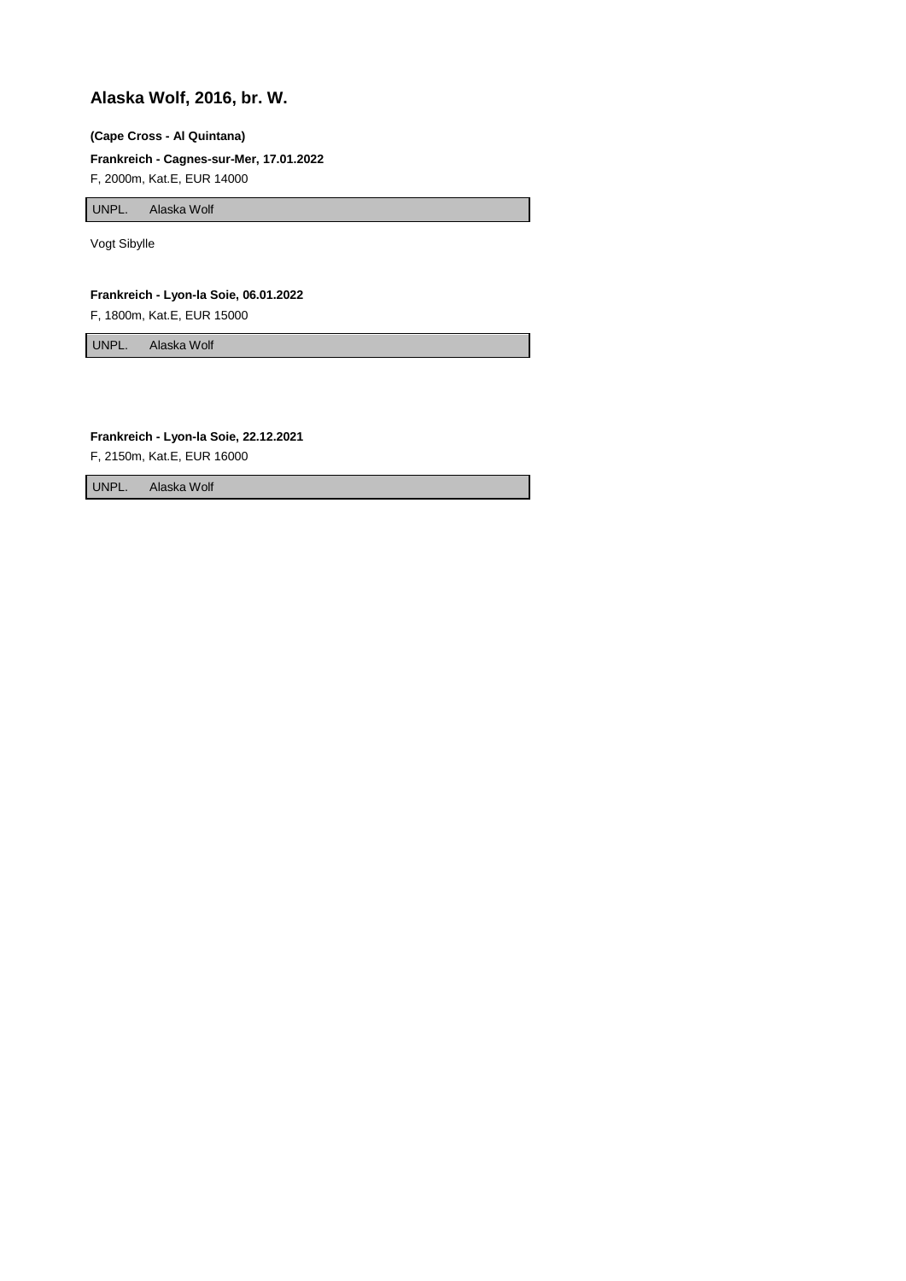## **Alaska Wolf, 2016, br. W.**

#### **(Cape Cross - Al Quintana)**

**Frankreich - Cagnes-sur-Mer, 17.01.2022**

F, 2000m, Kat.E, EUR 14000

UNPL. Alaska Wolf

Vogt Sibylle

**Frankreich - Lyon-la Soie, 06.01.2022**

F, 1800m, Kat.E, EUR 15000

UNPL. Alaska Wolf

#### **Frankreich - Lyon-la Soie, 22.12.2021**

F, 2150m, Kat.E, EUR 16000

UNPL. Alaska Wolf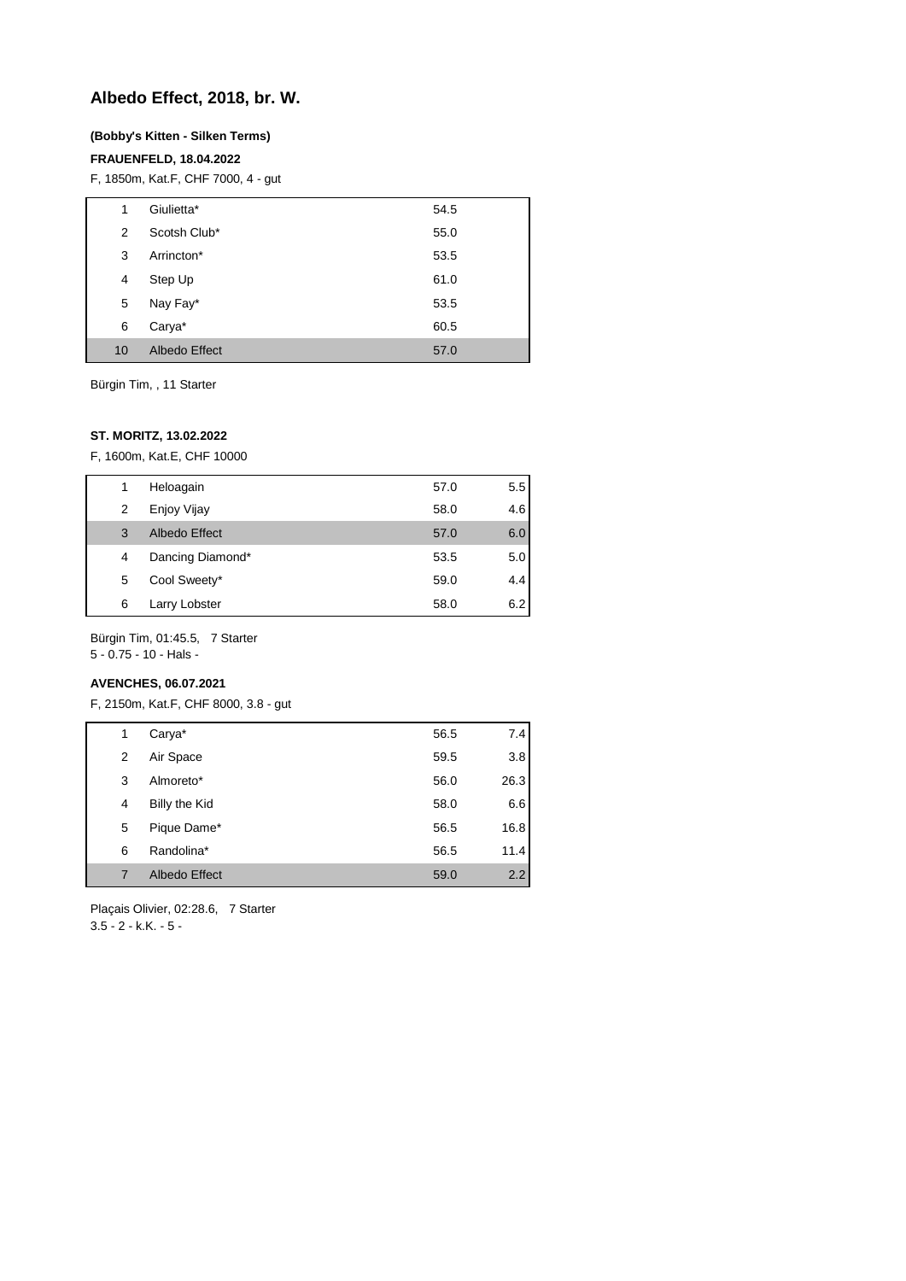## **Albedo Effect, 2018, br. W.**

#### **(Bobby's Kitten - Silken Terms)**

### **FRAUENFELD, 18.04.2022**

F, 1850m, Kat.F, CHF 7000, 4 - gut

| 1  | Giulietta*           | 54.5 |
|----|----------------------|------|
| 2  | Scotsh Club*         | 55.0 |
| 3  | Arrincton*           | 53.5 |
| 4  | Step Up              | 61.0 |
| 5  | Nay Fay*             | 53.5 |
| 6  | Carya*               | 60.5 |
| 10 | <b>Albedo Effect</b> | 57.0 |

Bürgin Tim, , 11 Starter

#### **ST. MORITZ, 13.02.2022**

F, 1600m, Kat.E, CHF 10000

|   | Heloagain        | 57.0 | 5.5 |
|---|------------------|------|-----|
| 2 | Enjoy Vijay      | 58.0 | 4.6 |
| 3 | Albedo Effect    | 57.0 | 6.0 |
| 4 | Dancing Diamond* | 53.5 | 5.0 |
| 5 | Cool Sweety*     | 59.0 | 4.4 |
| 6 | Larry Lobster    | 58.0 | 6.2 |

Bürgin Tim, 01:45.5, 7 Starter

5 - 0.75 - 10 - Hals -

### **AVENCHES, 06.07.2021**

F, 2150m, Kat.F, CHF 8000, 3.8 - gut

| 1 | Carya*        | 56.5 | 7.4  |
|---|---------------|------|------|
| 2 | Air Space     | 59.5 | 3.8  |
| 3 | Almoreto*     | 56.0 | 26.3 |
| 4 | Billy the Kid | 58.0 | 6.6  |
| 5 | Pique Dame*   | 56.5 | 16.8 |
| 6 | Randolina*    | 56.5 | 11.4 |
| 7 | Albedo Effect | 59.0 | 2.2  |

Plaçais Olivier, 02:28.6, 7 Starter  $3.5 - 2 - k.K. - 5 -$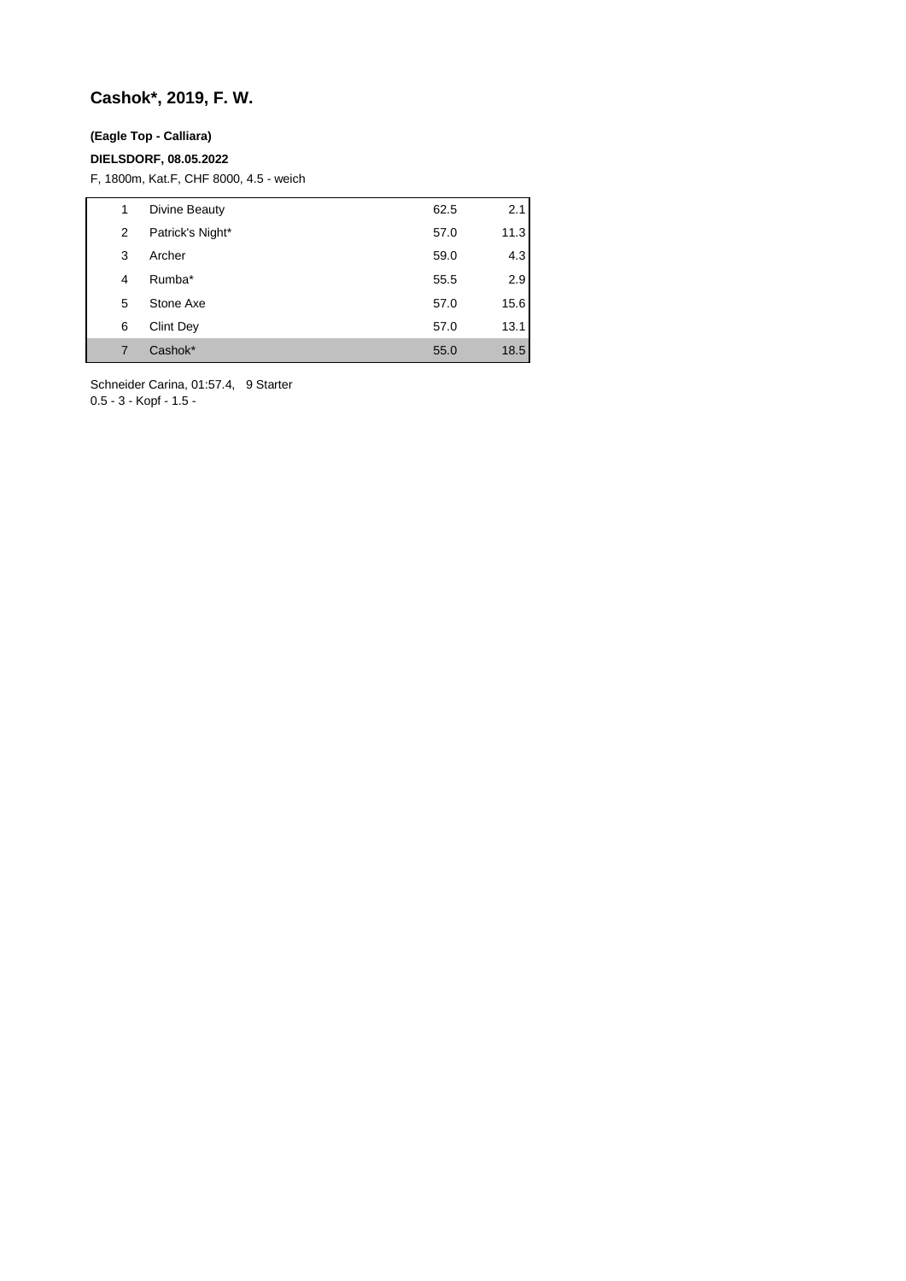# **Cashok\*, 2019, F. W.**

## **(Eagle Top - Calliara)**

### **DIELSDORF, 08.05.2022**

F, 1800m, Kat.F, CHF 8000, 4.5 - weich

| 1 | Divine Beauty    | 62.5 | 2.1  |
|---|------------------|------|------|
| 2 | Patrick's Night* | 57.0 | 11.3 |
| 3 | Archer           | 59.0 | 4.3  |
| 4 | Rumba*           | 55.5 | 2.9  |
| 5 | Stone Axe        | 57.0 | 15.6 |
| 6 | Clint Dey        | 57.0 | 13.1 |
| 7 | Cashok*          | 55.0 | 18.5 |

Schneider Carina, 01:57.4, 9 Starter 0.5 - 3 - Kopf - 1.5 -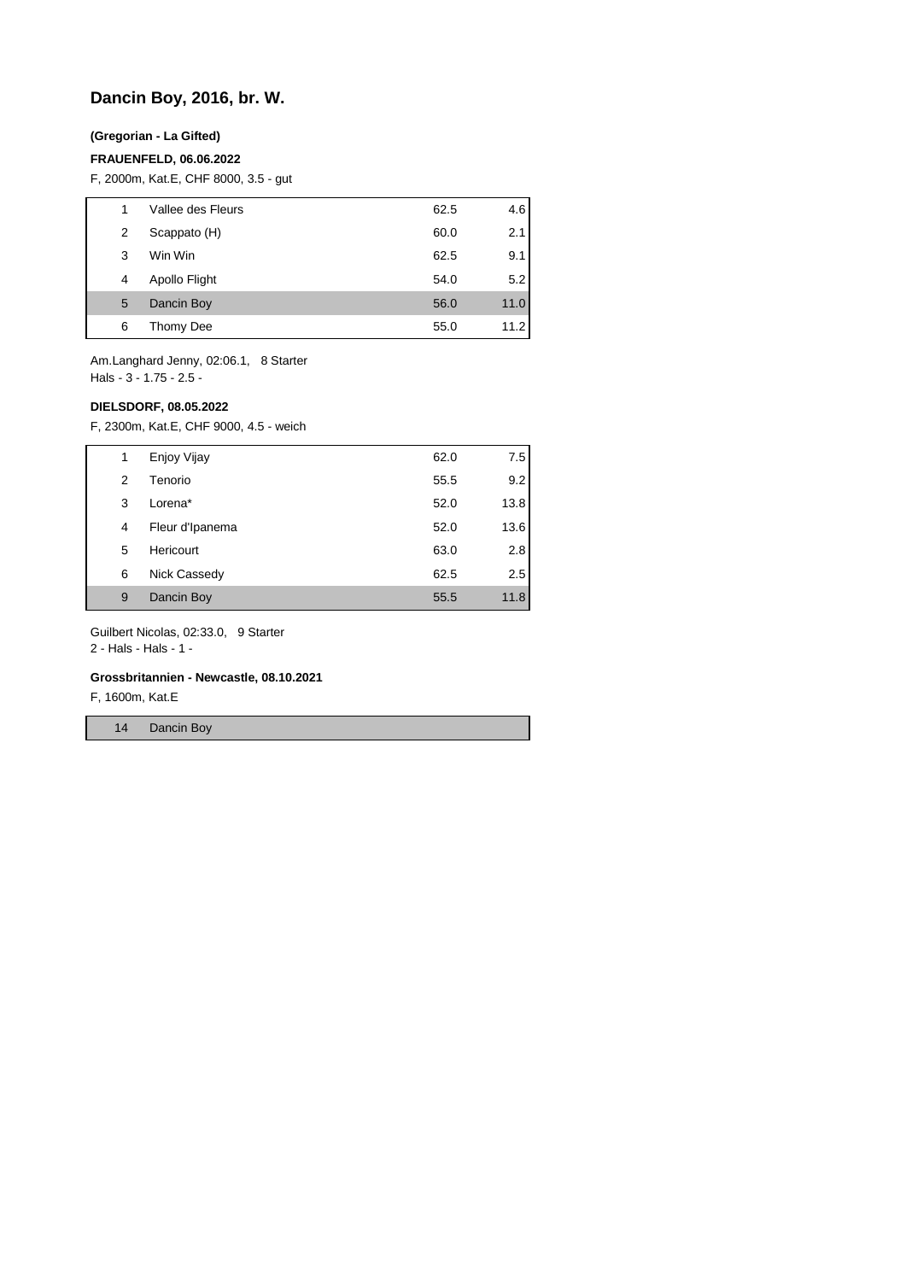## **Dancin Boy, 2016, br. W.**

### **(Gregorian - La Gifted)**

#### **FRAUENFELD, 06.06.2022**

F, 2000m, Kat.E, CHF 8000, 3.5 - gut

| 1 | Vallee des Fleurs | 62.5 | 4.6  |
|---|-------------------|------|------|
| 2 | Scappato (H)      | 60.0 | 2.1  |
| 3 | Win Win           | 62.5 | 9.1  |
| 4 | Apollo Flight     | 54.0 | 5.2  |
| 5 | Dancin Boy        | 56.0 | 11.0 |
| 6 | Thomy Dee         | 55.0 | 11.2 |

Am.Langhard Jenny, 02:06.1, 8 Starter Hals - 3 - 1.75 - 2.5 -

#### **DIELSDORF, 08.05.2022**

F, 2300m, Kat.E, CHF 9000, 4.5 - weich

| 1              | Enjoy Vijay     | 62.0 | 7.5  |
|----------------|-----------------|------|------|
| $\overline{2}$ | Tenorio         | 55.5 | 9.2  |
| 3              | Lorena*         | 52.0 | 13.8 |
| 4              | Fleur d'Ipanema | 52.0 | 13.6 |
| 5              | Hericourt       | 63.0 | 2.8  |
| 6              | Nick Cassedy    | 62.5 | 2.5  |
| 9              | Dancin Boy      | 55.5 | 11.8 |

Guilbert Nicolas, 02:33.0, 9 Starter

2 - Hals - Hals - 1 -

#### **Grossbritannien - Newcastle, 08.10.2021**

F, 1600m, Kat.E

14 Dancin Boy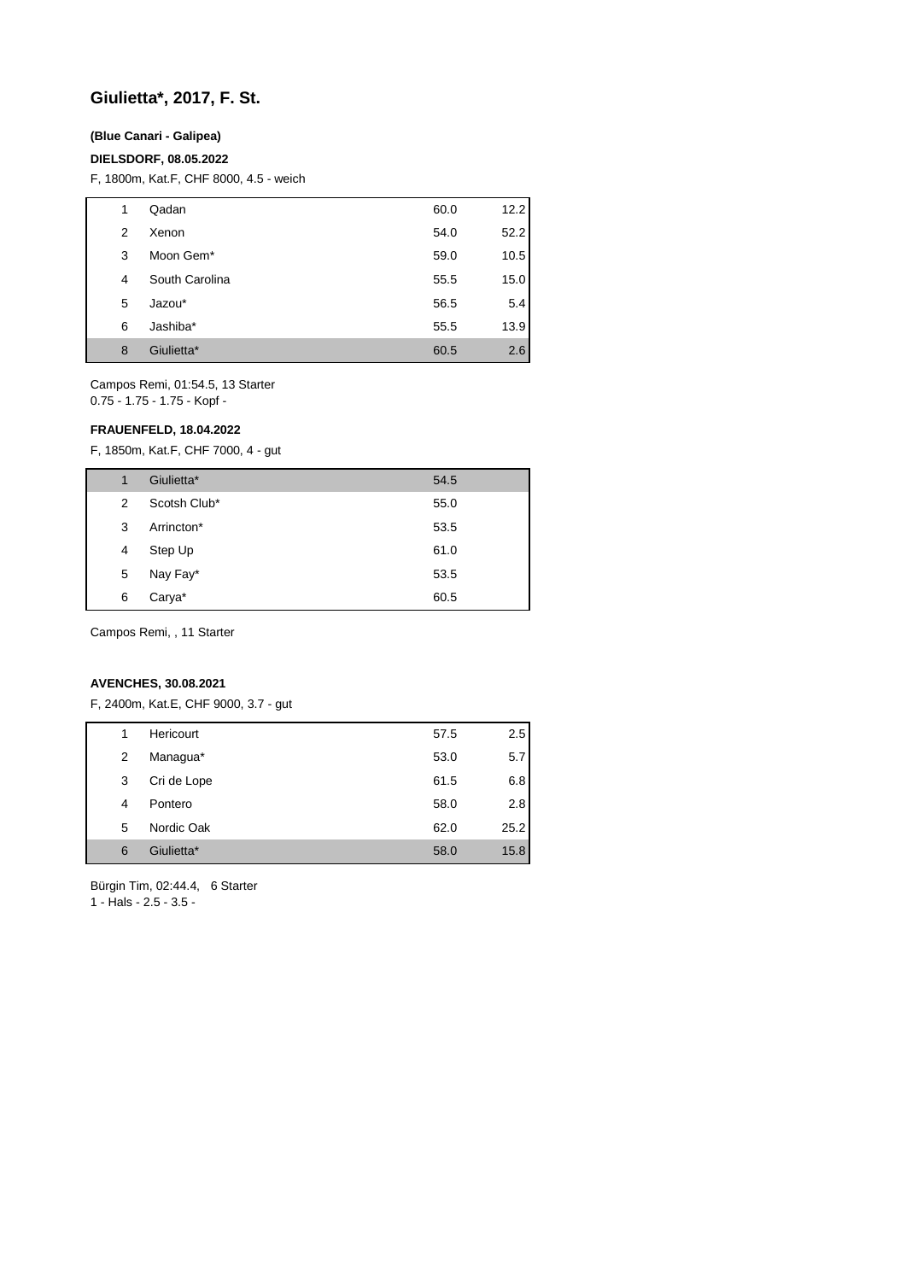## **Giulietta\*, 2017, F. St.**

### **(Blue Canari - Galipea)**

#### **DIELSDORF, 08.05.2022**

F, 1800m, Kat.F, CHF 8000, 4.5 - weich

| 1 | Qadan          | 60.0 | 12.2 |
|---|----------------|------|------|
| 2 | Xenon          | 54.0 | 52.2 |
| 3 | Moon Gem*      | 59.0 | 10.5 |
| 4 | South Carolina | 55.5 | 15.0 |
| 5 | Jazou*         | 56.5 | 5.4  |
| 6 | Jashiba*       | 55.5 | 13.9 |
| 8 | Giulietta*     | 60.5 | 2.6  |

Campos Remi, 01:54.5, 13 Starter 0.75 - 1.75 - 1.75 - Kopf -

### **FRAUENFELD, 18.04.2022**

F, 1850m, Kat.F, CHF 7000, 4 - gut

| 1 | Giulietta*   | 54.5 |
|---|--------------|------|
| 2 | Scotsh Club* | 55.0 |
| 3 | Arrincton*   | 53.5 |
| 4 | Step Up      | 61.0 |
| 5 | Nay Fay*     | 53.5 |
| 6 | Carya*       | 60.5 |
|   |              |      |

Campos Remi, , 11 Starter

#### **AVENCHES, 30.08.2021**

F, 2400m, Kat.E, CHF 9000, 3.7 - gut

| 1 | Hericourt   | 57.5 | $2.5^{\circ}$ |
|---|-------------|------|---------------|
| 2 | Managua*    | 53.0 | 5.7           |
| 3 | Cri de Lope | 61.5 | 6.8           |
| 4 | Pontero     | 58.0 | 2.8           |
| 5 | Nordic Oak  | 62.0 | 25.2          |
| 6 | Giulietta*  | 58.0 | 15.8          |
|   |             |      |               |

Bürgin Tim, 02:44.4, 6 Starter 1 - Hals - 2.5 - 3.5 -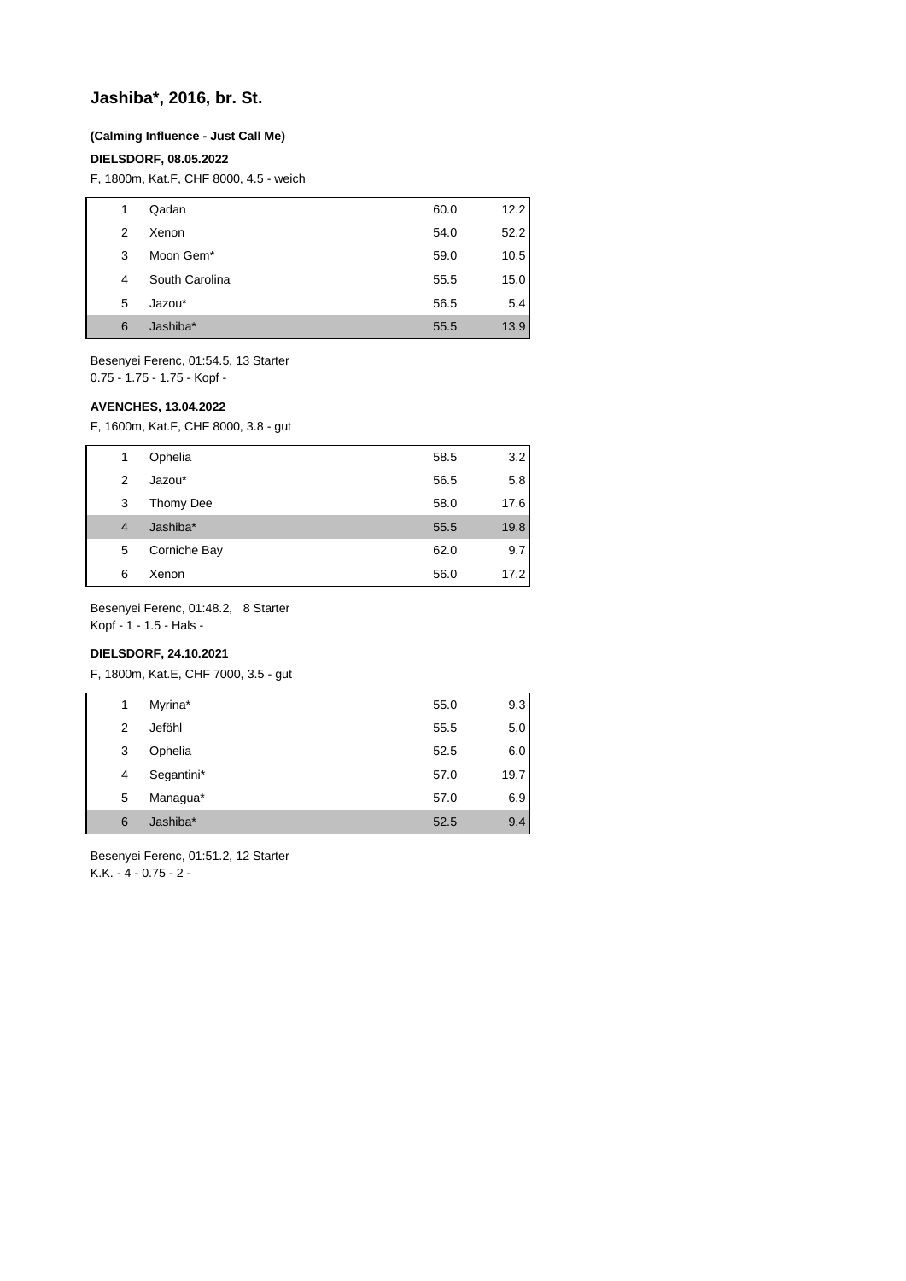## **Jashiba\*, 2016, br. St.**

#### **(Calming Influence - Just Call Me)**

#### **DIELSDORF, 08.05.2022**

F, 1800m, Kat.F, CHF 8000, 4.5 - weich

| 1 | Qadan                 | 60.0 | 12.2 |
|---|-----------------------|------|------|
| 2 | Xenon                 | 54.0 | 52.2 |
| 3 | Moon Gem <sup>*</sup> | 59.0 | 10.5 |
| 4 | South Carolina        | 55.5 | 15.0 |
| 5 | Jazou*                | 56.5 | 5.4  |
| 6 | Jashiba*              | 55.5 | 13.9 |

Besenyei Ferenc, 01:54.5, 13 Starter 0.75 - 1.75 - 1.75 - Kopf -

### **AVENCHES, 13.04.2022**

F, 1600m, Kat.F, CHF 8000, 3.8 - gut

| 1              | Ophelia      | 58.5 | 3.2  |
|----------------|--------------|------|------|
| 2              | Jazou*       | 56.5 | 5.8  |
| 3              | Thomy Dee    | 58.0 | 17.6 |
| $\overline{4}$ | Jashiba*     | 55.5 | 19.8 |
| 5              | Corniche Bay | 62.0 | 9.7  |
| 6              | Xenon        | 56.0 | 17.2 |

Besenyei Ferenc, 01:48.2, 8 Starter

Kopf - 1 - 1.5 - Hals -

## **DIELSDORF, 24.10.2021**

F, 1800m, Kat.E, CHF 7000, 3.5 - gut

| 1 | Myrina*    | 55.0 | 9.3  |
|---|------------|------|------|
| 2 | Jeföhl     | 55.5 | 5.0  |
| 3 | Ophelia    | 52.5 | 6.0  |
| 4 | Segantini* | 57.0 | 19.7 |
| 5 | Managua*   | 57.0 | 6.9  |
| 6 | Jashiba*   | 52.5 | 9.4  |

Besenyei Ferenc, 01:51.2, 12 Starter K.K. - 4 - 0.75 - 2 -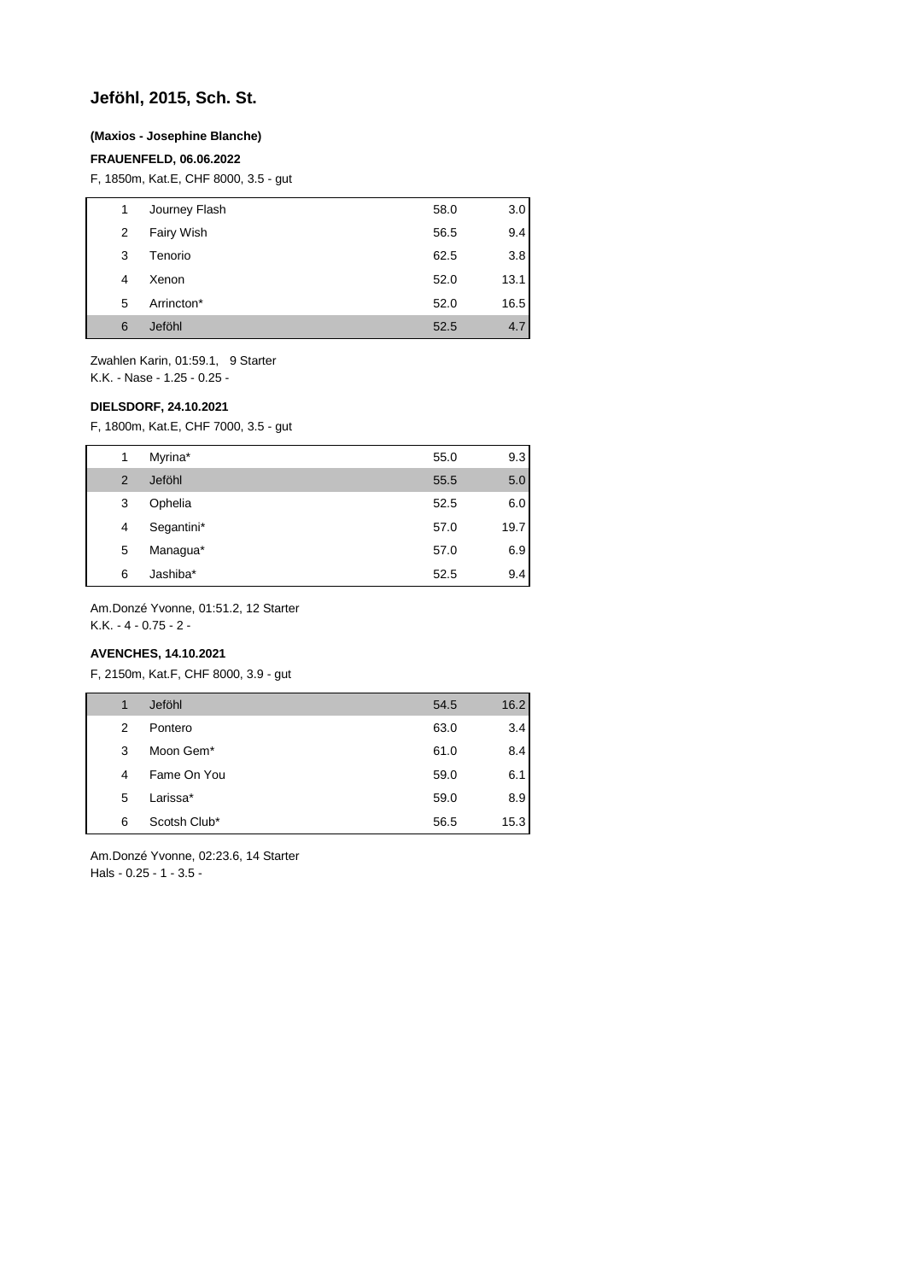## **Jeföhl, 2015, Sch. St.**

### **(Maxios - Josephine Blanche)**

### **FRAUENFELD, 06.06.2022**

F, 1850m, Kat.E, CHF 8000, 3.5 - gut

| 1 | Journey Flash | 58.0 | 3.0  |
|---|---------------|------|------|
| 2 | Fairy Wish    | 56.5 | 9.4  |
| 3 | Tenorio       | 62.5 | 3.8  |
| 4 | Xenon         | 52.0 | 13.1 |
| 5 | Arrincton*    | 52.0 | 16.5 |
| 6 | Jeföhl        | 52.5 | 4.7  |

Zwahlen Karin, 01:59.1, 9 Starter K.K. - Nase - 1.25 - 0.25 -

**DIELSDORF, 24.10.2021**

F, 1800m, Kat.E, CHF 7000, 3.5 - gut

| 1 | Myrina*    | 55.0 | 9.3  |
|---|------------|------|------|
| 2 | Jeföhl     | 55.5 | 5.0  |
| 3 | Ophelia    | 52.5 | 6.0  |
| 4 | Segantini* | 57.0 | 19.7 |
| 5 | Managua*   | 57.0 | 6.9  |
| 6 | Jashiba*   | 52.5 | 9.4  |

Am.Donzé Yvonne, 01:51.2, 12 Starter

K.K. - 4 - 0.75 - 2 -

## **AVENCHES, 14.10.2021**

F, 2150m, Kat.F, CHF 8000, 3.9 - gut

| 1 | Jeföhl       | 54.5 | 16.2 |
|---|--------------|------|------|
| 2 | Pontero      | 63.0 | 3.4  |
| 3 | Moon Gem*    | 61.0 | 8.4  |
| 4 | Fame On You  | 59.0 | 6.1  |
| 5 | Larissa*     | 59.0 | 8.9  |
| 6 | Scotsh Club* | 56.5 | 15.3 |
|   |              |      |      |

Am.Donzé Yvonne, 02:23.6, 14 Starter Hals - 0.25 - 1 - 3.5 -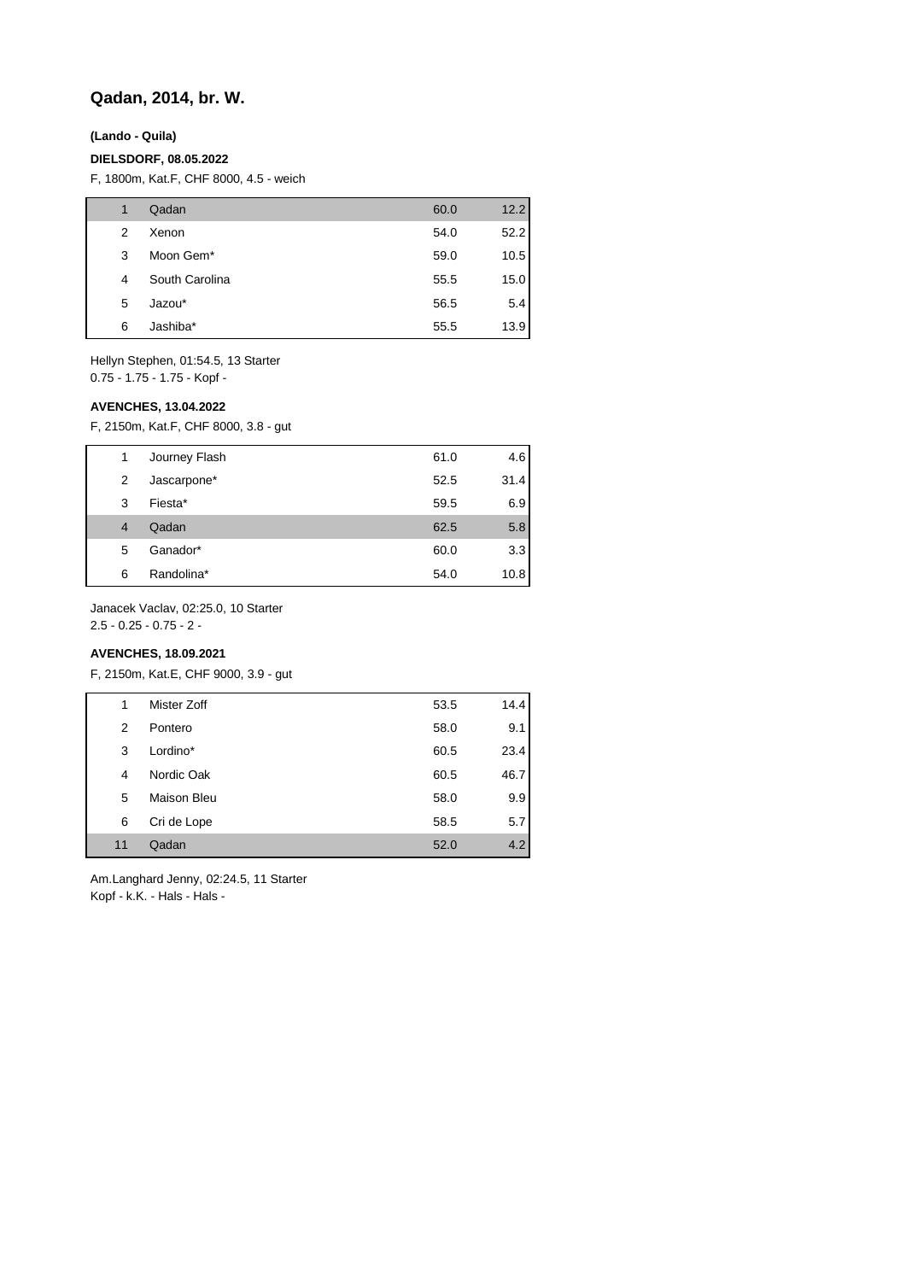## **Qadan, 2014, br. W.**

#### **(Lando - Quila)**

#### **DIELSDORF, 08.05.2022**

F, 1800m, Kat.F, CHF 8000, 4.5 - weich

| 1 | Qadan          | 60.0 | 12.2 |
|---|----------------|------|------|
| 2 | Xenon          | 54.0 | 52.2 |
| 3 | Moon Gem*      | 59.0 | 10.5 |
| 4 | South Carolina | 55.5 | 15.0 |
| 5 | Jazou*         | 56.5 | 5.4  |
| 6 | Jashiba*       | 55.5 | 13.9 |

Hellyn Stephen, 01:54.5, 13 Starter 0.75 - 1.75 - 1.75 - Kopf -

#### **AVENCHES, 13.04.2022**

F, 2150m, Kat.F, CHF 8000, 3.8 - gut

| 1              | Journey Flash | 61.0 | 4.6  |
|----------------|---------------|------|------|
| 2              | Jascarpone*   | 52.5 | 31.4 |
| 3              | Fiesta*       | 59.5 | 6.9  |
| $\overline{4}$ | Qadan         | 62.5 | 5.8  |
| 5              | Ganador*      | 60.0 | 3.3  |
| 6              | Randolina*    | 54.0 | 10.8 |

Janacek Vaclav, 02:25.0, 10 Starter

2.5 - 0.25 - 0.75 - 2 -

## **AVENCHES, 18.09.2021**

F, 2150m, Kat.E, CHF 9000, 3.9 - gut

| 1  | Mister Zoff | 53.5 | 14.4 |
|----|-------------|------|------|
| 2  | Pontero     | 58.0 | 9.1  |
| 3  | Lordino*    | 60.5 | 23.4 |
| 4  | Nordic Oak  | 60.5 | 46.7 |
| 5  | Maison Bleu | 58.0 | 9.9  |
| 6  | Cri de Lope | 58.5 | 5.7  |
| 11 | Qadan       | 52.0 | 4.2  |

Am.Langhard Jenny, 02:24.5, 11 Starter Kopf - k.K. - Hals - Hals -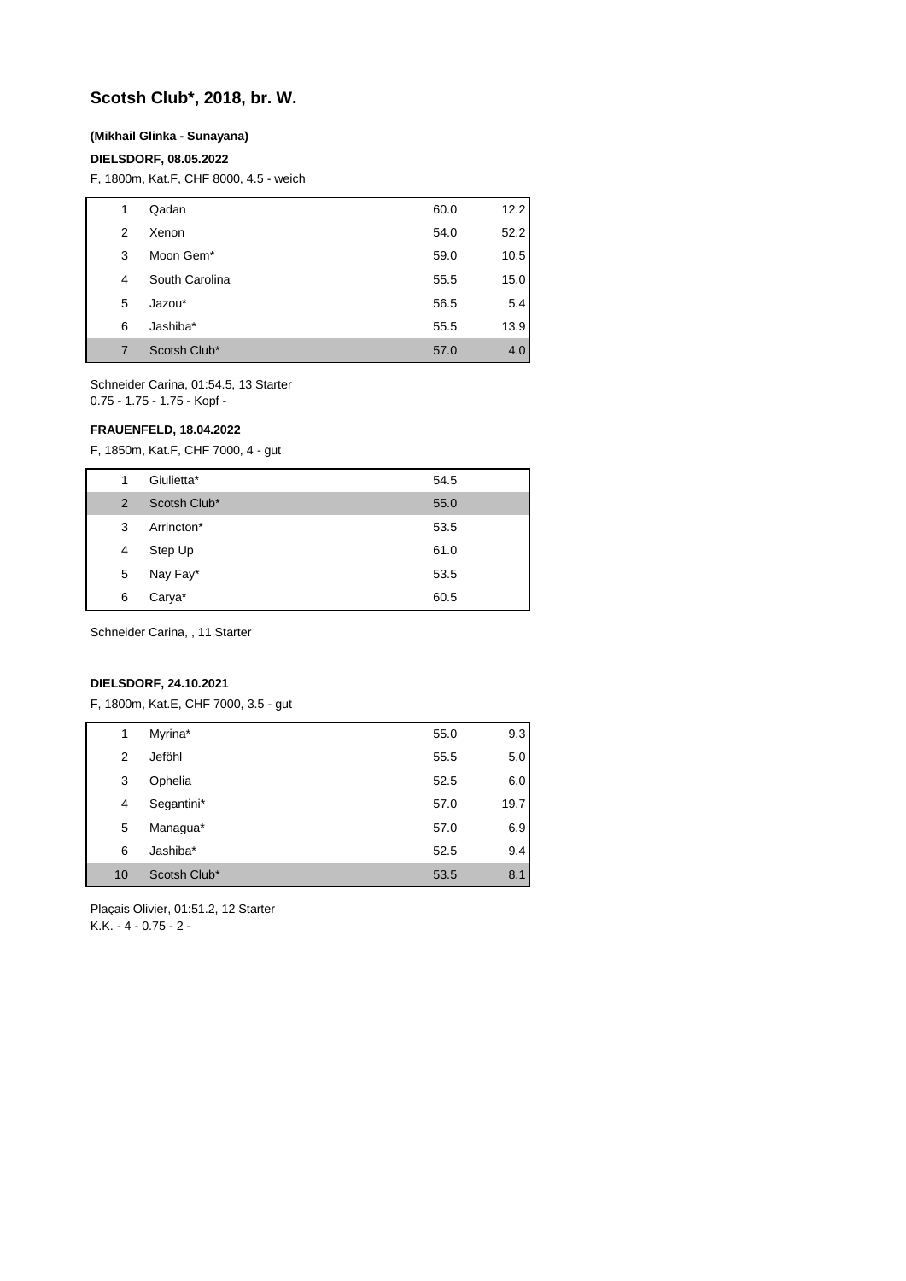## **Scotsh Club\*, 2018, br. W.**

#### **(Mikhail Glinka - Sunayana)**

#### **DIELSDORF, 08.05.2022**

F, 1800m, Kat.F, CHF 8000, 4.5 - weich

| 1 | Qadan                 | 60.0 | 12.2 |
|---|-----------------------|------|------|
| 2 | Xenon                 | 54.0 | 52.2 |
| 3 | Moon Gem <sup>*</sup> | 59.0 | 10.5 |
| 4 | South Carolina        | 55.5 | 15.0 |
| 5 | Jazou*                | 56.5 | 5.4  |
| 6 | Jashiba*              | 55.5 | 13.9 |
| 7 | Scotsh Club*          | 57.0 | 4.0  |

Schneider Carina, 01:54.5, 13 Starter 0.75 - 1.75 - 1.75 - Kopf -

#### **FRAUENFELD, 18.04.2022**

F, 1850m, Kat.F, CHF 7000, 4 - gut

| 1 | Giulietta*   | 54.5 |
|---|--------------|------|
| 2 | Scotsh Club* | 55.0 |
| 3 | Arrincton*   | 53.5 |
| 4 | Step Up      | 61.0 |
| 5 | Nay Fay*     | 53.5 |
| 6 | Carya*       | 60.5 |

Schneider Carina, , 11 Starter

#### **DIELSDORF, 24.10.2021**

F, 1800m, Kat.E, CHF 7000, 3.5 - gut

| 1  | Myrina*      | 55.0 | 9.3  |
|----|--------------|------|------|
| 2  | Jeföhl       | 55.5 | 5.0  |
| 3  | Ophelia      | 52.5 | 6.0  |
| 4  | Segantini*   | 57.0 | 19.7 |
| 5  | Managua*     | 57.0 | 6.9  |
| 6  | Jashiba*     | 52.5 | 9.4  |
| 10 | Scotsh Club* | 53.5 | 8.1  |

Plaçais Olivier, 01:51.2, 12 Starter K.K.  $-4 - 0.75 - 2 -$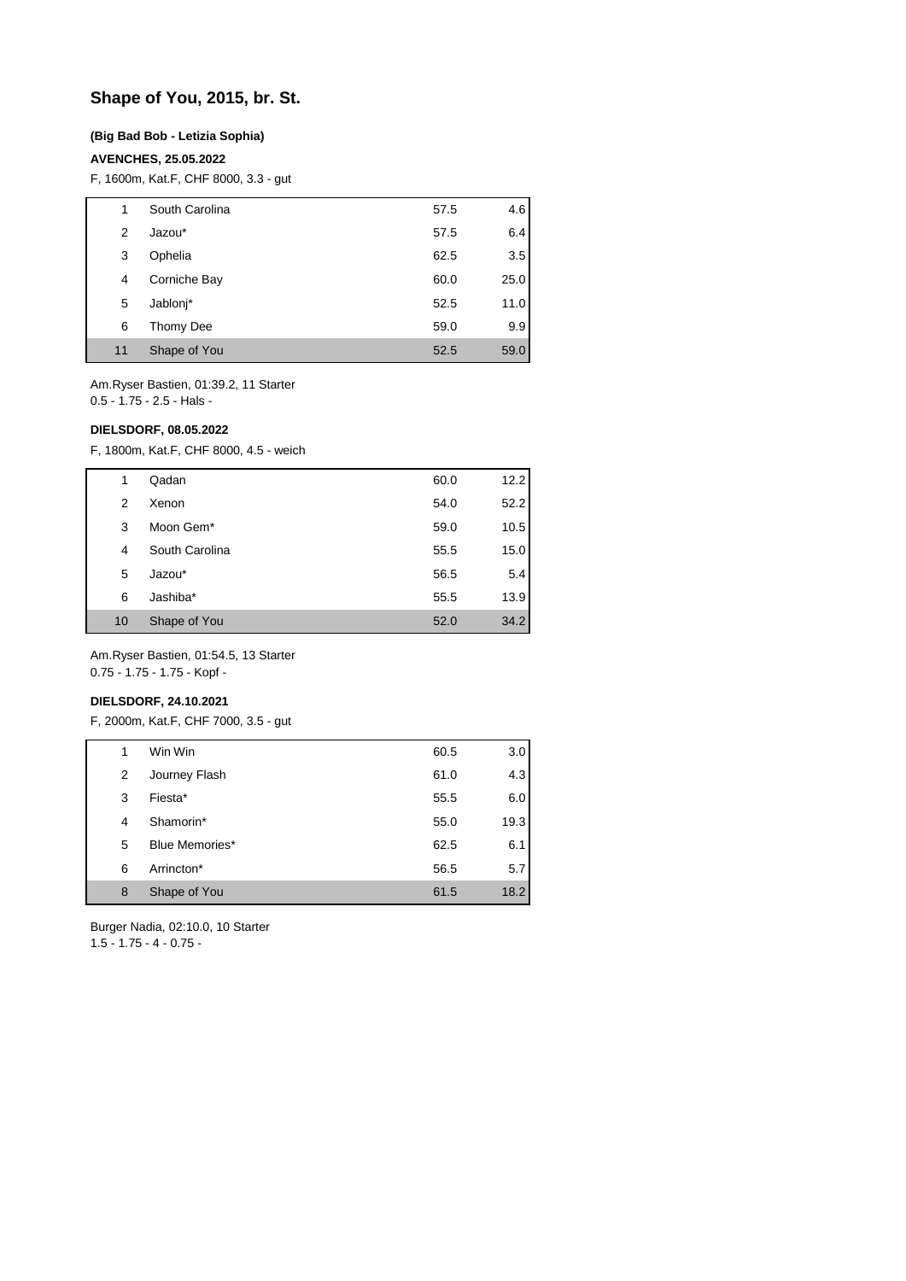## **Shape of You, 2015, br. St.**

#### **(Big Bad Bob - Letizia Sophia)**

#### **AVENCHES, 25.05.2022**

F, 1600m, Kat.F, CHF 8000, 3.3 - gut

| 1  | South Carolina | 57.5 | 4.6  |
|----|----------------|------|------|
| 2  | Jazou*         | 57.5 | 6.4  |
| 3  | Ophelia        | 62.5 | 3.5  |
| 4  | Corniche Bay   | 60.0 | 25.0 |
| 5  | Jablonj*       | 52.5 | 11.0 |
| 6  | Thomy Dee      | 59.0 | 9.9  |
| 11 | Shape of You   | 52.5 | 59.0 |

Am.Ryser Bastien, 01:39.2, 11 Starter 0.5 - 1.75 - 2.5 - Hals -

#### **DIELSDORF, 08.05.2022**

F, 1800m, Kat.F, CHF 8000, 4.5 - weich

| 1  | Qadan          | 60.0 | 12.2 |
|----|----------------|------|------|
| 2  | Xenon          | 54.0 | 52.2 |
| 3  | Moon Gem*      | 59.0 | 10.5 |
| 4  | South Carolina | 55.5 | 15.0 |
| 5  | Jazou*         | 56.5 | 5.4  |
| 6  | Jashiba*       | 55.5 | 13.9 |
| 10 | Shape of You   | 52.0 | 34.2 |

Am.Ryser Bastien, 01:54.5, 13 Starter 0.75 - 1.75 - 1.75 - Kopf -

#### **DIELSDORF, 24.10.2021**

F, 2000m, Kat.F, CHF 7000, 3.5 - gut

| 1 |   | Win Win        | 60.5 | 3.0  |
|---|---|----------------|------|------|
|   | 2 | Journey Flash  | 61.0 | 4.3  |
|   | 3 | Fiesta*        | 55.5 | 6.0  |
|   | 4 | Shamorin*      | 55.0 | 19.3 |
|   | 5 | Blue Memories* | 62.5 | 6.1  |
|   | 6 | Arrincton*     | 56.5 | 5.7  |
|   | 8 | Shape of You   | 61.5 | 18.2 |

Burger Nadia, 02:10.0, 10 Starter

1.5 - 1.75 - 4 - 0.75 -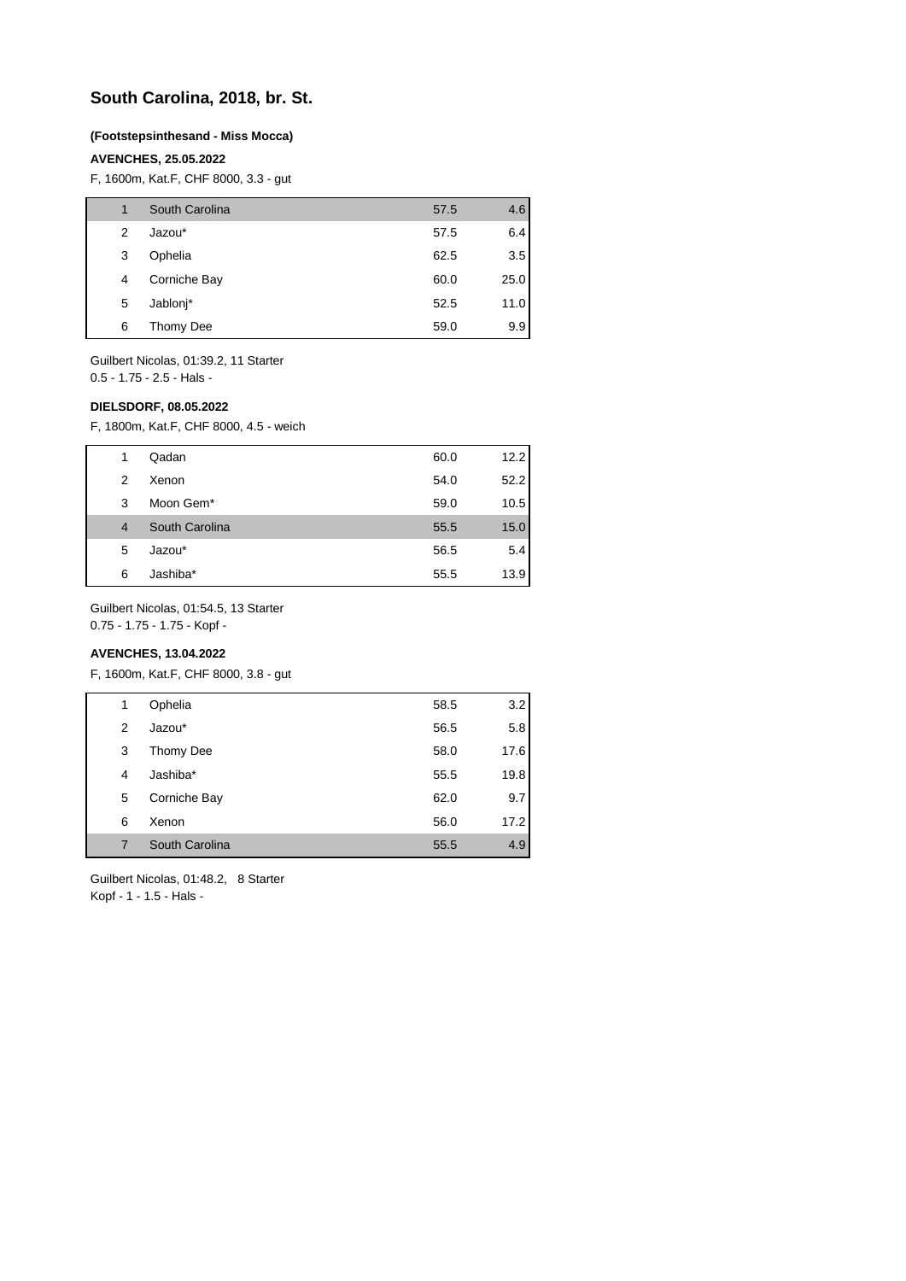## **South Carolina, 2018, br. St.**

#### **(Footstepsinthesand - Miss Mocca)**

#### **AVENCHES, 25.05.2022**

F, 1600m, Kat.F, CHF 8000, 3.3 - gut

| 1 | South Carolina | 57.5 | 4.6  |
|---|----------------|------|------|
| 2 | Jazou*         | 57.5 | 6.4  |
| 3 | Ophelia        | 62.5 | 3.5  |
| 4 | Corniche Bay   | 60.0 | 25.0 |
| 5 | Jablonj*       | 52.5 | 11.0 |
| 6 | Thomy Dee      | 59.0 | 9.9  |

Guilbert Nicolas, 01:39.2, 11 Starter 0.5 - 1.75 - 2.5 - Hals -

#### **DIELSDORF, 08.05.2022**

F, 1800m, Kat.F, CHF 8000, 4.5 - weich

| 1              | Qadan          | 60.0 | 12.2 |
|----------------|----------------|------|------|
| 2              | Xenon          | 54.0 | 52.2 |
| 3              | Moon Gem*      | 59.0 | 10.5 |
| $\overline{4}$ | South Carolina | 55.5 | 15.0 |
| 5              | Jazou*         | 56.5 | 5.4  |
| 6              | Jashiba*       | 55.5 | 13.9 |

Guilbert Nicolas, 01:54.5, 13 Starter

0.75 - 1.75 - 1.75 - Kopf -

### **AVENCHES, 13.04.2022**

F, 1600m, Kat.F, CHF 8000, 3.8 - gut

| 1 | Ophelia        | 58.5 | 3.2  |
|---|----------------|------|------|
| 2 | Jazou*         | 56.5 | 5.8  |
| 3 | Thomy Dee      | 58.0 | 17.6 |
| 4 | Jashiba*       | 55.5 | 19.8 |
| 5 | Corniche Bay   | 62.0 | 9.7  |
| 6 | Xenon          | 56.0 | 17.2 |
| 7 | South Carolina | 55.5 | 4.9  |
|   |                |      |      |

Guilbert Nicolas, 01:48.2, 8 Starter Kopf - 1 - 1.5 - Hals -